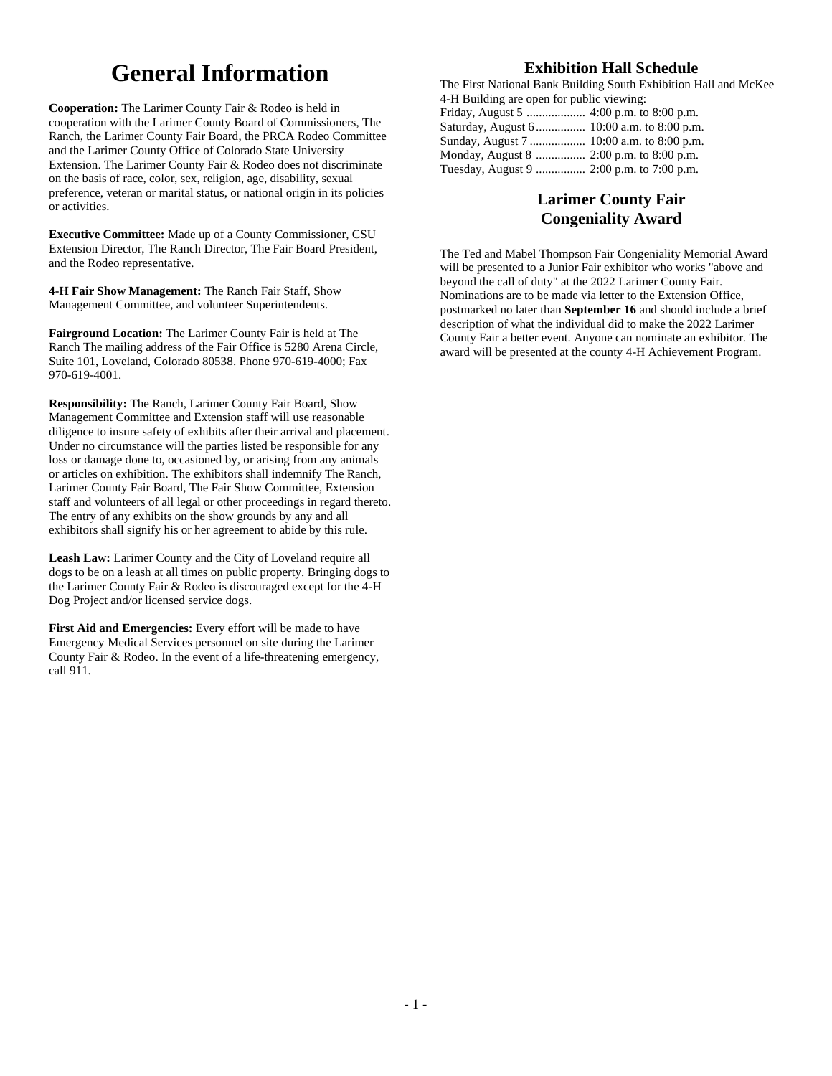# **General Information**

**Cooperation:** The Larimer County Fair & Rodeo is held in cooperation with the Larimer County Board of Commissioners, The Ranch, the Larimer County Fair Board, the PRCA Rodeo Committee and the Larimer County Office of Colorado State University Extension. The Larimer County Fair & Rodeo does not discriminate on the basis of race, color, sex, religion, age, disability, sexual preference, veteran or marital status, or national origin in its policies or activities.

**Executive Committee:** Made up of a County Commissioner, CSU Extension Director, The Ranch Director, The Fair Board President, and the Rodeo representative.

**4-H Fair Show Management:** The Ranch Fair Staff, Show Management Committee, and volunteer Superintendents.

**Fairground Location:** The Larimer County Fair is held at The Ranch The mailing address of the Fair Office is 5280 Arena Circle, Suite 101, Loveland, Colorado 80538. Phone 970-619-4000; Fax 970-619-4001.

**Responsibility:** The Ranch, Larimer County Fair Board, Show Management Committee and Extension staff will use reasonable diligence to insure safety of exhibits after their arrival and placement. Under no circumstance will the parties listed be responsible for any loss or damage done to, occasioned by, or arising from any animals or articles on exhibition. The exhibitors shall indemnify The Ranch, Larimer County Fair Board, The Fair Show Committee, Extension staff and volunteers of all legal or other proceedings in regard thereto. The entry of any exhibits on the show grounds by any and all exhibitors shall signify his or her agreement to abide by this rule.

**Leash Law:** Larimer County and the City of Loveland require all dogs to be on a leash at all times on public property. Bringing dogs to the Larimer County Fair & Rodeo is discouraged except for the 4-H Dog Project and/or licensed service dogs.

**First Aid and Emergencies:** Every effort will be made to have Emergency Medical Services personnel on site during the Larimer County Fair & Rodeo. In the event of a life-threatening emergency, call 911.

## **Exhibition Hall Schedule**

The First National Bank Building South Exhibition Hall and McKee 4-H Building are open for public viewing: 4:00 p.m. to 8:00 p.m.

| Saturday, August 6 10:00 a.m. to 8:00 p.m. |  |
|--------------------------------------------|--|
|                                            |  |
|                                            |  |
|                                            |  |

## **Larimer County Fair Congeniality Award**

The Ted and Mabel Thompson Fair Congeniality Memorial Award will be presented to a Junior Fair exhibitor who works "above and beyond the call of duty" at the 2022 Larimer County Fair. Nominations are to be made via letter to the Extension Office, postmarked no later than **September 16** and should include a brief description of what the individual did to make the 2022 Larimer County Fair a better event. Anyone can nominate an exhibitor. The award will be presented at the county 4-H Achievement Program.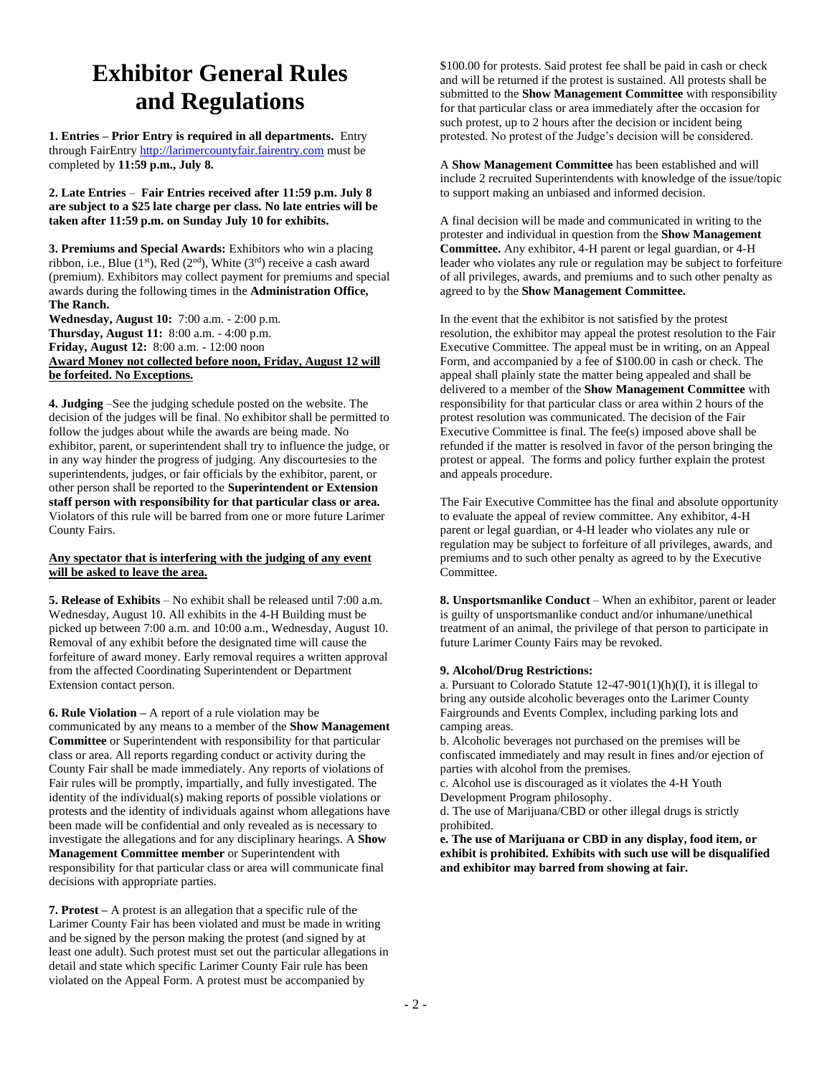# **Exhibitor General Rules and Regulations**

**1. Entries – Prior Entry is required in all departments.** Entry through FairEntry [http://larimercountyfair.fairentry.com](http://larimercountyfair.fairentry.com/) must be completed by **11:59 p.m., July 8.**

**2. Late Entries** – **Fair Entries received after 11:59 p.m. July 8 are subject to a \$25 late charge per class. No late entries will be taken after 11:59 p.m. on Sunday July 10 for exhibits.**

**3. Premiums and Special Awards:** Exhibitors who win a placing ribbon, i.e., Blue (1st), Red (2nd), White (3rd) receive a cash award (premium). Exhibitors may collect payment for premiums and special awards during the following times in the **Administration Office, The Ranch.**

**Wednesday, August 10:** 7:00 a.m. - 2:00 p.m. **Thursday, August 11:** 8:00 a.m. - 4:00 p.m. **Friday, August 12:** 8:00 a.m. - 12:00 noon **Award Money not collected before noon, Friday, August 12 will be forfeited. No Exceptions.**

**4. Judging** –See the judging schedule posted on the website. The decision of the judges will be final. No exhibitor shall be permitted to follow the judges about while the awards are being made. No exhibitor, parent, or superintendent shall try to influence the judge, or in any way hinder the progress of judging. Any discourtesies to the superintendents, judges, or fair officials by the exhibitor, parent, or other person shall be reported to the **Superintendent or Extension staff person with responsibility for that particular class or area.**  Violators of this rule will be barred from one or more future Larimer County Fairs.

### **Any spectator that is interfering with the judging of any event will be asked to leave the area.**

**5. Release of Exhibits** – No exhibit shall be released until 7:00 a.m. Wednesday, August 10. All exhibits in the 4-H Building must be picked up between 7:00 a.m. and 10:00 a.m., Wednesday, August 10. Removal of any exhibit before the designated time will cause the forfeiture of award money. Early removal requires a written approval from the affected Coordinating Superintendent or Department Extension contact person.

**6. Rule Violation –** A report of a rule violation may be communicated by any means to a member of the **Show Management Committee** or Superintendent with responsibility for that particular class or area. All reports regarding conduct or activity during the County Fair shall be made immediately. Any reports of violations of Fair rules will be promptly, impartially, and fully investigated. The identity of the individual(s) making reports of possible violations or protests and the identity of individuals against whom allegations have been made will be confidential and only revealed as is necessary to investigate the allegations and for any disciplinary hearings. A **Show Management Committee member** or Superintendent with responsibility for that particular class or area will communicate final decisions with appropriate parties.

**7. Protest –** A protest is an allegation that a specific rule of the Larimer County Fair has been violated and must be made in writing and be signed by the person making the protest (and signed by at least one adult). Such protest must set out the particular allegations in detail and state which specific Larimer County Fair rule has been violated on the Appeal Form. A protest must be accompanied by

\$100.00 for protests. Said protest fee shall be paid in cash or check and will be returned if the protest is sustained. All protests shall be submitted to the **Show Management Committee** with responsibility for that particular class or area immediately after the occasion for such protest, up to 2 hours after the decision or incident being protested. No protest of the Judge's decision will be considered.

A **Show Management Committee** has been established and will include 2 recruited Superintendents with knowledge of the issue/topic to support making an unbiased and informed decision.

A final decision will be made and communicated in writing to the protester and individual in question from the **Show Management Committee.** Any exhibitor, 4-H parent or legal guardian, or 4-H leader who violates any rule or regulation may be subject to forfeiture of all privileges, awards, and premiums and to such other penalty as agreed to by the **Show Management Committee.**

In the event that the exhibitor is not satisfied by the protest resolution, the exhibitor may appeal the protest resolution to the Fair Executive Committee. The appeal must be in writing, on an Appeal Form, and accompanied by a fee of \$100.00 in cash or check. The appeal shall plainly state the matter being appealed and shall be delivered to a member of the **Show Management Committee** with responsibility for that particular class or area within 2 hours of the protest resolution was communicated. The decision of the Fair Executive Committee is final. The fee(s) imposed above shall be refunded if the matter is resolved in favor of the person bringing the protest or appeal. The forms and policy further explain the protest and appeals procedure.

The Fair Executive Committee has the final and absolute opportunity to evaluate the appeal of review committee. Any exhibitor, 4-H parent or legal guardian, or 4-H leader who violates any rule or regulation may be subject to forfeiture of all privileges, awards, and premiums and to such other penalty as agreed to by the Executive Committee.

**8. Unsportsmanlike Conduct** – When an exhibitor, parent or leader is guilty of unsportsmanlike conduct and/or inhumane/unethical treatment of an animal, the privilege of that person to participate in future Larimer County Fairs may be revoked.

### **9. Alcohol/Drug Restrictions:**

a. Pursuant to Colorado Statute  $12-47-901(1)(h)(I)$ , it is illegal to bring any outside alcoholic beverages onto the Larimer County Fairgrounds and Events Complex, including parking lots and camping areas.

b. Alcoholic beverages not purchased on the premises will be confiscated immediately and may result in fines and/or ejection of parties with alcohol from the premises.

c. Alcohol use is discouraged as it violates the 4-H Youth Development Program philosophy.

d. The use of Marijuana/CBD or other illegal drugs is strictly prohibited.

**e. The use of Marijuana or CBD in any display, food item, or exhibit is prohibited. Exhibits with such use will be disqualified and exhibitor may barred from showing at fair.**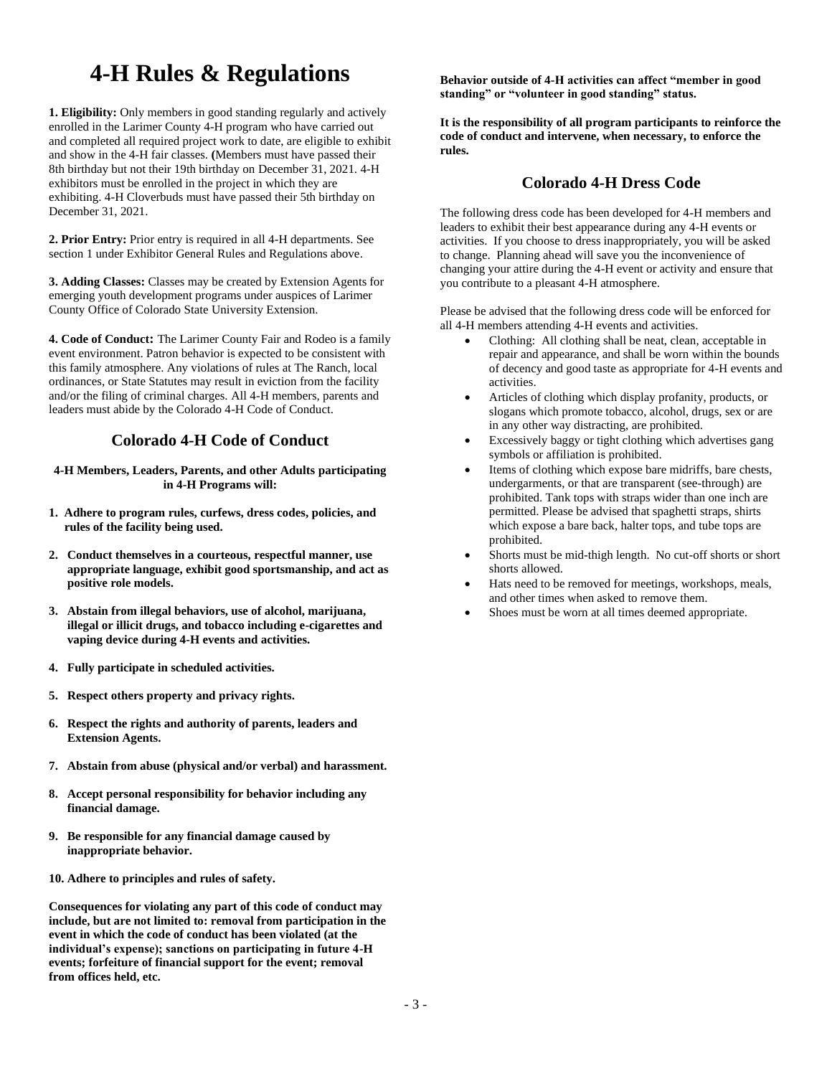# **4-H Rules & Regulations**

**1. Eligibility:** Only members in good standing regularly and actively enrolled in the Larimer County 4-H program who have carried out and completed all required project work to date, are eligible to exhibit and show in the 4-H fair classes. **(**Members must have passed their 8th birthday but not their 19th birthday on December 31, 2021. 4-H exhibitors must be enrolled in the project in which they are exhibiting. 4-H Cloverbuds must have passed their 5th birthday on December 31, 2021.

**2. Prior Entry:** Prior entry is required in all 4-H departments. See section 1 under Exhibitor General Rules and Regulations above.

**3. Adding Classes:** Classes may be created by Extension Agents for emerging youth development programs under auspices of Larimer County Office of Colorado State University Extension.

**4. Code of Conduct:** The Larimer County Fair and Rodeo is a family event environment. Patron behavior is expected to be consistent with this family atmosphere. Any violations of rules at The Ranch, local ordinances, or State Statutes may result in eviction from the facility and/or the filing of criminal charges. All 4-H members, parents and leaders must abide by the Colorado 4-H Code of Conduct.

## **Colorado 4-H Code of Conduct**

**4-H Members, Leaders, Parents, and other Adults participating in 4-H Programs will:**

- **1. Adhere to program rules, curfews, dress codes, policies, and rules of the facility being used.**
- **2. Conduct themselves in a courteous, respectful manner, use appropriate language, exhibit good sportsmanship, and act as positive role models.**
- **3. Abstain from illegal behaviors, use of alcohol, marijuana, illegal or illicit drugs, and tobacco including e-cigarettes and vaping device during 4-H events and activities.**
- **4. Fully participate in scheduled activities.**
- **5. Respect others property and privacy rights.**
- **6. Respect the rights and authority of parents, leaders and Extension Agents.**
- **7. Abstain from abuse (physical and/or verbal) and harassment.**
- **8. Accept personal responsibility for behavior including any financial damage.**
- **9. Be responsible for any financial damage caused by inappropriate behavior.**
- **10. Adhere to principles and rules of safety.**

**Consequences for violating any part of this code of conduct may include, but are not limited to: removal from participation in the event in which the code of conduct has been violated (at the individual's expense); sanctions on participating in future 4-H events; forfeiture of financial support for the event; removal from offices held, etc.**

**Behavior outside of 4-H activities can affect "member in good standing" or "volunteer in good standing" status.**

**It is the responsibility of all program participants to reinforce the code of conduct and intervene, when necessary, to enforce the rules.**

## **Colorado 4-H Dress Code**

The following dress code has been developed for 4-H members and leaders to exhibit their best appearance during any 4-H events or activities. If you choose to dress inappropriately, you will be asked to change. Planning ahead will save you the inconvenience of changing your attire during the 4-H event or activity and ensure that you contribute to a pleasant 4-H atmosphere.

Please be advised that the following dress code will be enforced for all 4-H members attending 4-H events and activities.

- Clothing: All clothing shall be neat, clean, acceptable in repair and appearance, and shall be worn within the bounds of decency and good taste as appropriate for 4-H events and activities.
- Articles of clothing which display profanity, products, or slogans which promote tobacco, alcohol, drugs, sex or are in any other way distracting, are prohibited.
- Excessively baggy or tight clothing which advertises gang symbols or affiliation is prohibited.
- Items of clothing which expose bare midriffs, bare chests, undergarments, or that are transparent (see-through) are prohibited. Tank tops with straps wider than one inch are permitted. Please be advised that spaghetti straps, shirts which expose a bare back, halter tops, and tube tops are prohibited.
- Shorts must be mid-thigh length. No cut-off shorts or short shorts allowed.
- Hats need to be removed for meetings, workshops, meals, and other times when asked to remove them.
- Shoes must be worn at all times deemed appropriate.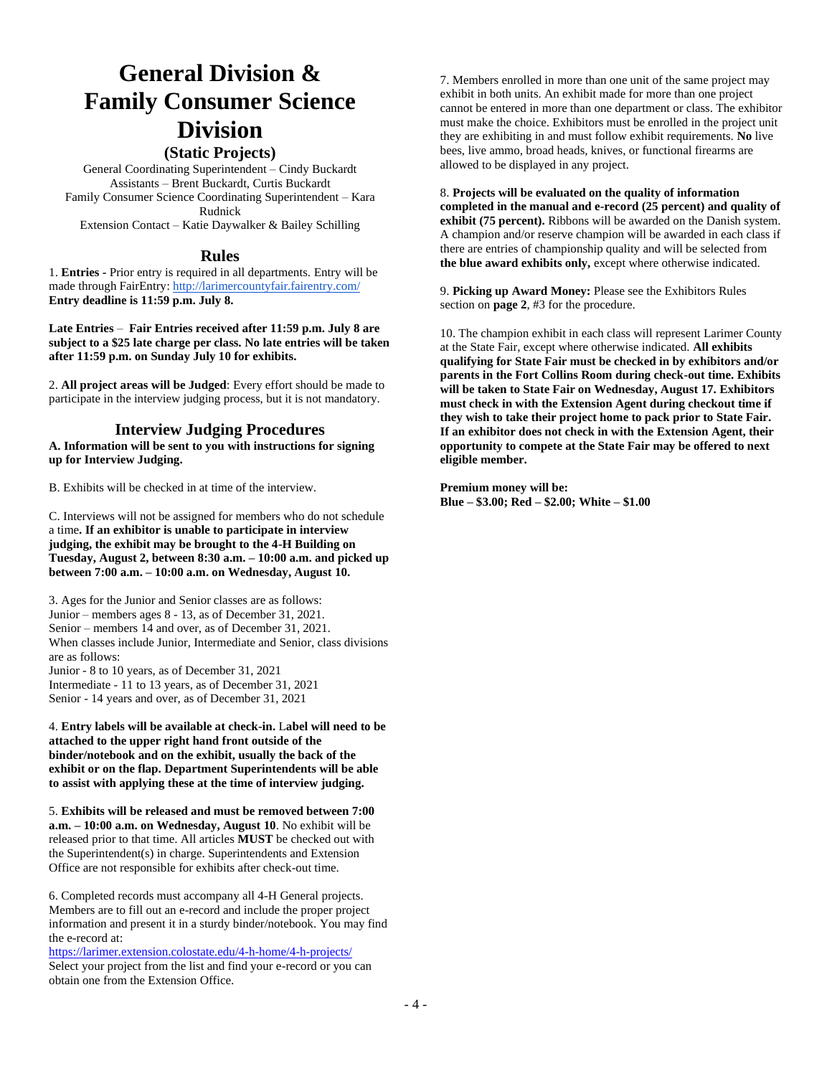# **General Division & Family Consumer Science Division**

## **(Static Projects)**

General Coordinating Superintendent – Cindy Buckardt Assistants – Brent Buckardt, Curtis Buckardt Family Consumer Science Coordinating Superintendent – Kara Rudnick Extension Contact – Katie Daywalker & Bailey Schilling

### **Rules**

1. **Entries -** Prior entry is required in all departments. Entry will be made through FairEntry[: http://larimercountyfair.fairentry.com/](http://larimercountyfair.fairentry.com/) **Entry deadline is 11:59 p.m. July 8.**

**Late Entries** – **Fair Entries received after 11:59 p.m. July 8 are subject to a \$25 late charge per class. No late entries will be taken after 11:59 p.m. on Sunday July 10 for exhibits.**

2. **All project areas will be Judged**: Every effort should be made to participate in the interview judging process, but it is not mandatory.

## **Interview Judging Procedures**

**A. Information will be sent to you with instructions for signing up for Interview Judging.**

B. Exhibits will be checked in at time of the interview.

C. Interviews will not be assigned for members who do not schedule a time**. If an exhibitor is unable to participate in interview judging, the exhibit may be brought to the 4-H Building on Tuesday, August 2, between 8:30 a.m. – 10:00 a.m. and picked up between 7:00 a.m. – 10:00 a.m. on Wednesday, August 10.**

3. Ages for the Junior and Senior classes are as follows: Junior – members ages 8 - 13, as of December 31, 2021. Senior – members 14 and over, as of December 31, 2021. When classes include Junior, Intermediate and Senior, class divisions are as follows: Junior - 8 to 10 years, as of December 31, 2021 Intermediate - 11 to 13 years, as of December 31, 2021 Senior - 14 years and over, as of December 31, 2021

4. **Entry labels will be available at check-in.** L**abel will need to be attached to the upper right hand front outside of the binder/notebook and on the exhibit, usually the back of the exhibit or on the flap. Department Superintendents will be able to assist with applying these at the time of interview judging.**

5. **Exhibits will be released and must be removed between 7:00 a.m. – 10:00 a.m. on Wednesday, August 10**. No exhibit will be released prior to that time. All articles **MUST** be checked out with the Superintendent(s) in charge. Superintendents and Extension Office are not responsible for exhibits after check-out time.

6. Completed records must accompany all 4-H General projects. Members are to fill out an e-record and include the proper project information and present it in a sturdy binder/notebook. You may find the e-record at:

<https://larimer.extension.colostate.edu/4-h-home/4-h-projects/> Select your project from the list and find your e-record or you can obtain one from the Extension Office.

7. Members enrolled in more than one unit of the same project may exhibit in both units. An exhibit made for more than one project cannot be entered in more than one department or class. The exhibitor must make the choice. Exhibitors must be enrolled in the project unit they are exhibiting in and must follow exhibit requirements. **No** live bees, live ammo, broad heads, knives, or functional firearms are allowed to be displayed in any project.

8. **Projects will be evaluated on the quality of information completed in the manual and e-record (25 percent) and quality of exhibit (75 percent).** Ribbons will be awarded on the Danish system. A champion and/or reserve champion will be awarded in each class if there are entries of championship quality and will be selected from **the blue award exhibits only,** except where otherwise indicated.

9. **Picking up Award Money:** Please see the Exhibitors Rules section on **page 2**, #3 for the procedure.

10. The champion exhibit in each class will represent Larimer County at the State Fair, except where otherwise indicated. **All exhibits qualifying for State Fair must be checked in by exhibitors and/or parents in the Fort Collins Room during check-out time. Exhibits will be taken to State Fair on Wednesday, August 17. Exhibitors must check in with the Extension Agent during checkout time if they wish to take their project home to pack prior to State Fair. If an exhibitor does not check in with the Extension Agent, their opportunity to compete at the State Fair may be offered to next eligible member.**

**Premium money will be: Blue – \$3.00; Red – \$2.00; White – \$1.00**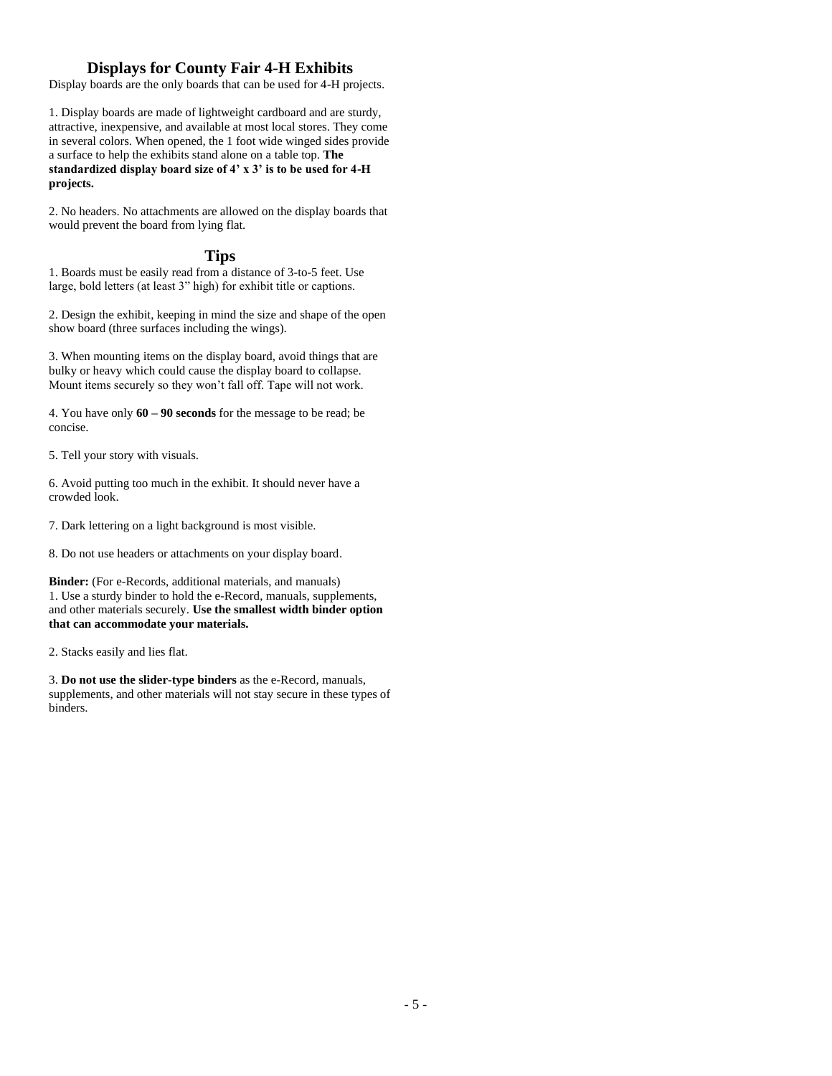## **Displays for County Fair 4-H Exhibits**

Display boards are the only boards that can be used for 4-H projects.

1. Display boards are made of lightweight cardboard and are sturdy, attractive, inexpensive, and available at most local stores. They come in several colors. When opened, the 1 foot wide winged sides provide a surface to help the exhibits stand alone on a table top. **The standardized display board size of 4' x 3' is to be used for 4-H projects.**

2. No headers. No attachments are allowed on the display boards that would prevent the board from lying flat.

### **Tips**

1. Boards must be easily read from a distance of 3-to-5 feet. Use large, bold letters (at least 3" high) for exhibit title or captions.

2. Design the exhibit, keeping in mind the size and shape of the open show board (three surfaces including the wings).

3. When mounting items on the display board, avoid things that are bulky or heavy which could cause the display board to collapse. Mount items securely so they won't fall off. Tape will not work.

4. You have only **60 – 90 seconds** for the message to be read; be concise.

5. Tell your story with visuals.

6. Avoid putting too much in the exhibit. It should never have a crowded look.

7. Dark lettering on a light background is most visible.

8. Do not use headers or attachments on your display board.

**Binder:** (For e-Records, additional materials, and manuals) 1. Use a sturdy binder to hold the e-Record, manuals, supplements, and other materials securely. **Use the smallest width binder option that can accommodate your materials.**

2. Stacks easily and lies flat.

3. **Do not use the slider-type binders** as the e-Record, manuals, supplements, and other materials will not stay secure in these types of binders.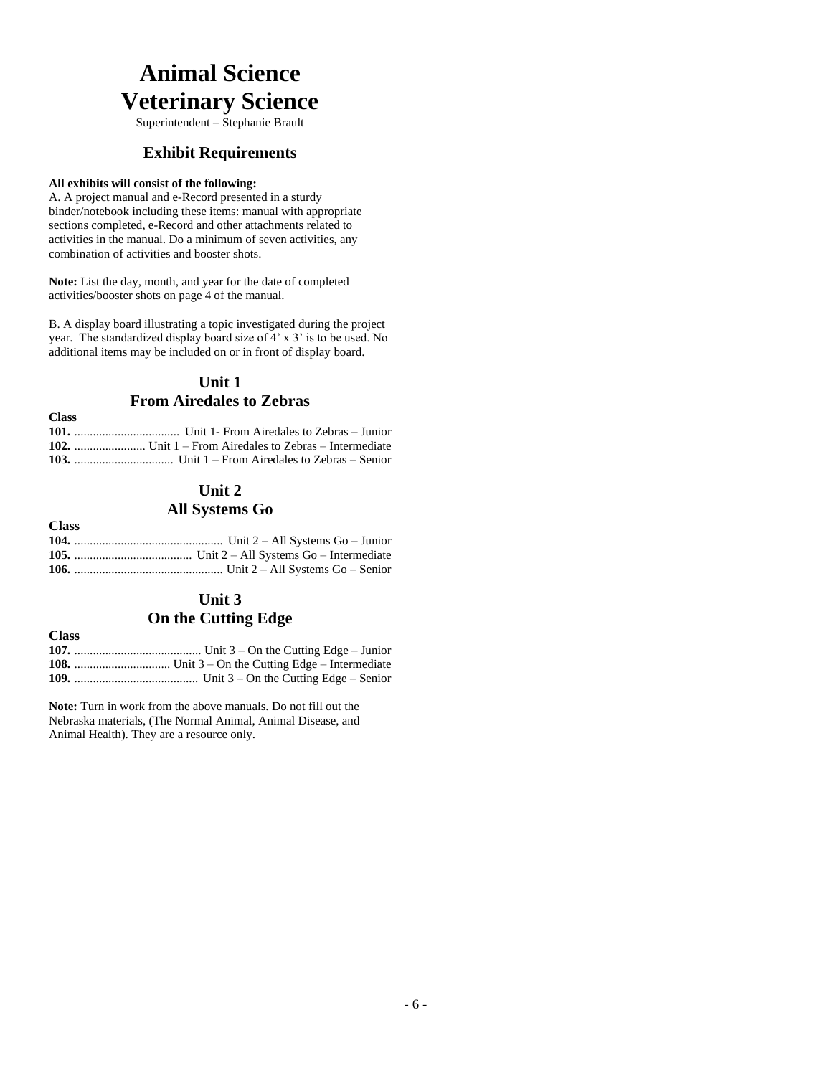# **Animal Science Veterinary Science**

Superintendent – Stephanie Brault

## **Exhibit Requirements**

### **All exhibits will consist of the following:**

A. A project manual and e-Record presented in a sturdy binder/notebook including these items: manual with appropriate sections completed, e-Record and other attachments related to activities in the manual. Do a minimum of seven activities, any combination of activities and booster shots.

**Note:** List the day, month, and year for the date of completed activities/booster shots on page 4 of the manual.

B. A display board illustrating a topic investigated during the project year. The standardized display board size of 4' x 3' is to be used. No additional items may be included on or in front of display board.

## **Unit 1 From Airedales to Zebras**

| $\sim$ |  |
|--------|--|
|        |  |
|        |  |
|        |  |

## **Unit 2 All Systems Go**

### **Class 104.** ................................................ Unit 2 – All Systems Go – Junior **105.** ...................................... Unit 2 – All Systems Go – Intermediate **106.** ................................................ Unit 2 – All Systems Go – Senior

## **Unit 3 On the Cutting Edge**

**Class**

**Class**

## **107.** ......................................... Unit 3 – On the Cutting Edge – Junior **108.** ............................... Unit 3 – On the Cutting Edge – Intermediate

**109.** ........................................ Unit 3 – On the Cutting Edge – Senior

**Note:** Turn in work from the above manuals. Do not fill out the Nebraska materials, (The Normal Animal, Animal Disease, and Animal Health). They are a resource only.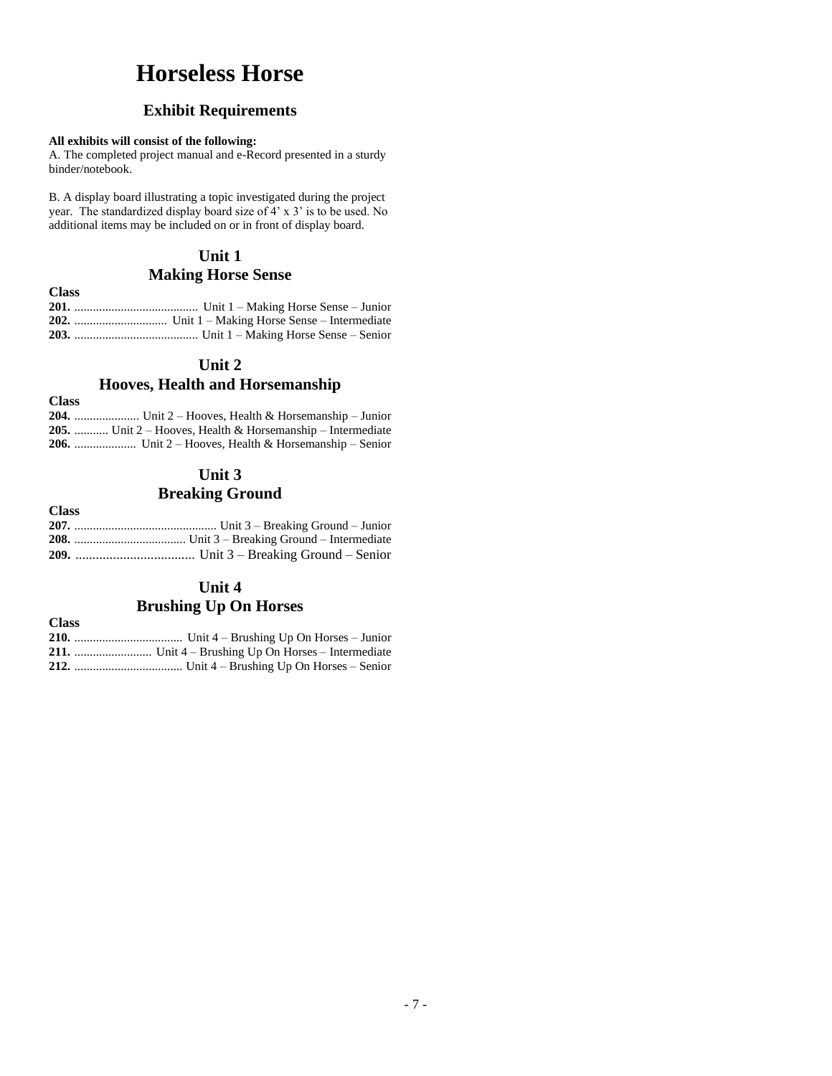# **Horseless Horse**

## **Exhibit Requirements**

### **All exhibits will consist of the following:**

A. The completed project manual and e-Record presented in a sturdy binder/notebook.

B. A display board illustrating a topic investigated during the project year. The standardized display board size of 4' x 3' is to be used. No additional items may be included on or in front of display board.

## **Unit 1**

## **Making Horse Sense**

**Class 201.** ........................................ Unit 1 – Making Horse Sense – Junior **202.** .............................. Unit 1 – Making Horse Sense – Intermediate **203.** ........................................ Unit 1 – Making Horse Sense – Senior

## **Unit 2**

## **Hooves, Health and Horsemanship**

**Class**

| <b>204.</b> Unit 2 – Hooves, Health & Horsemanship – Junior       |
|-------------------------------------------------------------------|
| <b>205.</b> Unit 2 – Hooves, Health & Horsemanship – Intermediate |
| <b>206.</b> Unit 2 – Hooves, Health & Horsemanship – Senior       |

## **Unit 3 Breaking Ground**

| <b>Class</b> |  |
|--------------|--|
|              |  |
|              |  |
|              |  |

## **Unit 4 Brushing Up On Horses**

| Class |  |
|-------|--|
|       |  |
|       |  |
|       |  |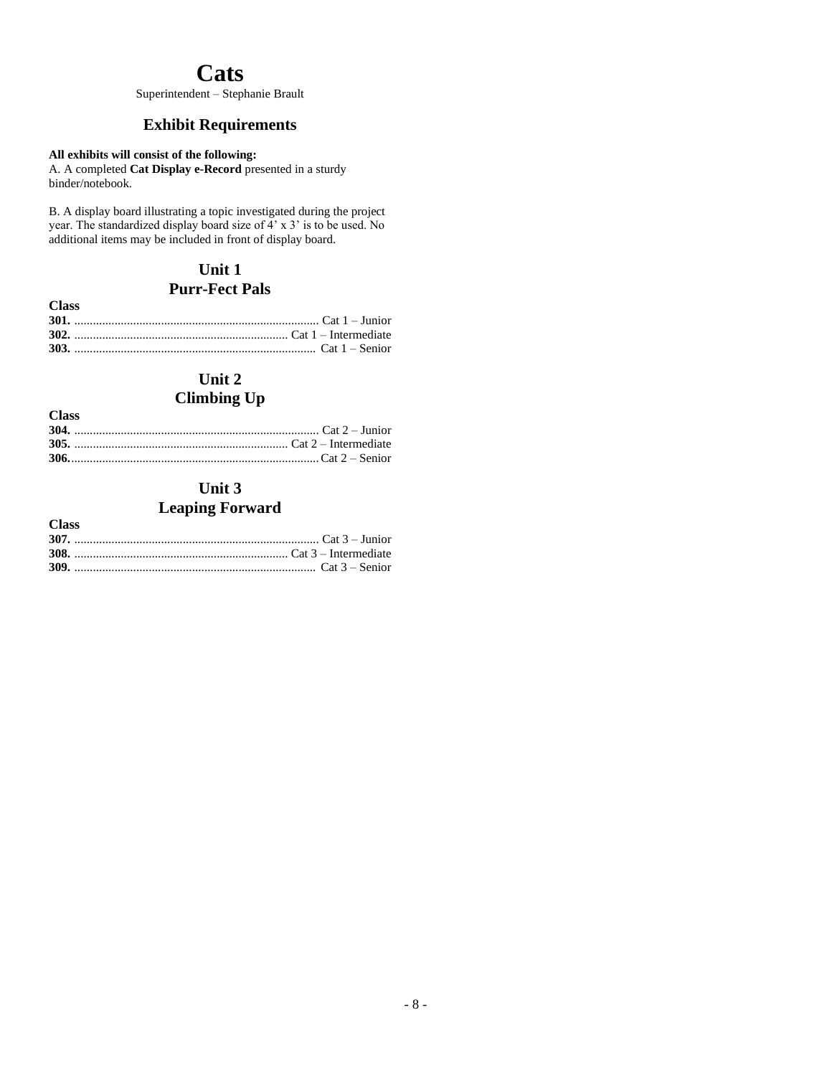## **Cats**

Superintendent – Stephanie Brault

## **Exhibit Requirements**

## **All exhibits will consist of the following:**

A. A completed **Cat Display e-Record** presented in a sturdy binder/notebook.

B. A display board illustrating a topic investigated during the project year. The standardized display board size of 4' x 3' is to be used. No additional items may be included in front of display board.

## **Unit 1 Purr-Fect Pals**

| <b>Class</b> |  |
|--------------|--|
|              |  |
|              |  |
|              |  |

## **Unit 2**

## **Climbing Up**

| <b>Class</b> |  |
|--------------|--|
|              |  |
|              |  |
|              |  |

## **Unit 3 Leaping Forward**

| <b>Class</b> |  |
|--------------|--|
|              |  |
|              |  |
|              |  |
|              |  |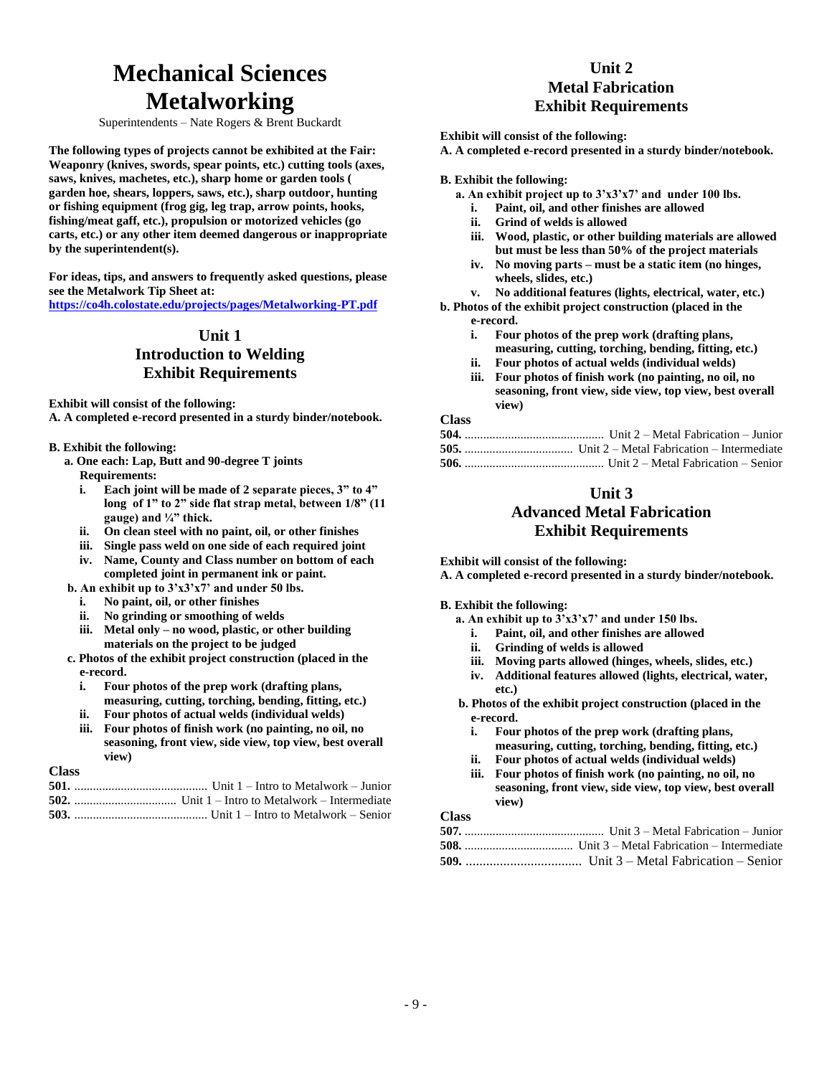# **Mechanical Sciences Metalworking**

Superintendents – Nate Rogers & Brent Buckardt

**The following types of projects cannot be exhibited at the Fair: Weaponry (knives, swords, spear points, etc.) cutting tools (axes, saws, knives, machetes, etc.), sharp home or garden tools ( garden hoe, shears, loppers, saws, etc.), sharp outdoor, hunting or fishing equipment (frog gig, leg trap, arrow points, hooks, fishing/meat gaff, etc.), propulsion or motorized vehicles (go carts, etc.) or any other item deemed dangerous or inappropriate by the superintendent(s).**

**For ideas, tips, and answers to frequently asked questions, please see the Metalwork Tip Sheet at: <https://co4h.colostate.edu/projects/pages/Metalworking-PT.pdf>**

## **Unit 1 Introduction to Welding Exhibit Requirements**

**Exhibit will consist of the following:**

**A. A completed e-record presented in a sturdy binder/notebook.**

### **B. Exhibit the following:**

- **a. One each: Lap, Butt and 90-degree T joints Requirements:** 
	- **i. Each joint will be made of 2 separate pieces, 3" to 4" long of 1" to 2" side flat strap metal, between 1/8" (11 gauge) and ¼" thick.**
	- **ii. On clean steel with no paint, oil, or other finishes**
	- **iii. Single pass weld on one side of each required joint**
- **iv. Name, County and Class number on bottom of each completed joint in permanent ink or paint. b. An exhibit up to 3'x3'x7' and under 50 lbs.** 
	-
	- **i. No paint, oil, or other finishes**
	- **ii. No grinding or smoothing of welds**
	- **iii. Metal only – no wood, plastic, or other building materials on the project to be judged**
- **c. Photos of the exhibit project construction (placed in the e-record.** 
	- **i. Four photos of the prep work (drafting plans, measuring, cutting, torching, bending, fitting, etc.)**
	- **ii. Four photos of actual welds (individual welds)**
	- **iii. Four photos of finish work (no painting, no oil, no seasoning, front view, side view, top view, best overall view)**

### **Class**

## **Unit 2 Metal Fabrication Exhibit Requirements**

**Exhibit will consist of the following:**

**A. A completed e-record presented in a sturdy binder/notebook.**

**B. Exhibit the following:**

- **a. An exhibit project up to 3'x3'x7' and under 100 lbs.**
	- **i. Paint, oil, and other finishes are allowed**
	- **ii. Grind of welds is allowed**
	- **iii. Wood, plastic, or other building materials are allowed but must be less than 50% of the project materials**
	- **iv. No moving parts – must be a static item (no hinges, wheels, slides, etc.)**

**v. No additional features (lights, electrical, water, etc.)**

- **b. Photos of the exhibit project construction (placed in the e-record.** 
	- **i. Four photos of the prep work (drafting plans, measuring, cutting, torching, bending, fitting, etc.)**
	- **ii. Four photos of actual welds (individual welds)**
	- **iii. Four photos of finish work (no painting, no oil, no seasoning, front view, side view, top view, best overall view)**

**Class**

## **Unit 3 Advanced Metal Fabrication Exhibit Requirements**

**Exhibit will consist of the following:**

**A. A completed e-record presented in a sturdy binder/notebook.**

**B. Exhibit the following:**

**view)**

- **a. An exhibit up to 3'x3'x7' and under 150 lbs.** 
	- **i. Paint, oil, and other finishes are allowed**
	- **ii. Grinding of welds is allowed**
	- **iii. Moving parts allowed (hinges, wheels, slides, etc.)**
	- **iv. Additional features allowed (lights, electrical, water, etc.)**
- **b. Photos of the exhibit project construction (placed in the e-record.** 
	- **i. Four photos of the prep work (drafting plans,**
	- **measuring, cutting, torching, bending, fitting, etc.) ii. Four photos of actual welds (individual welds)**
	- **iii. Four photos of finish work (no painting, no oil, no seasoning, front view, side view, top view, best overall**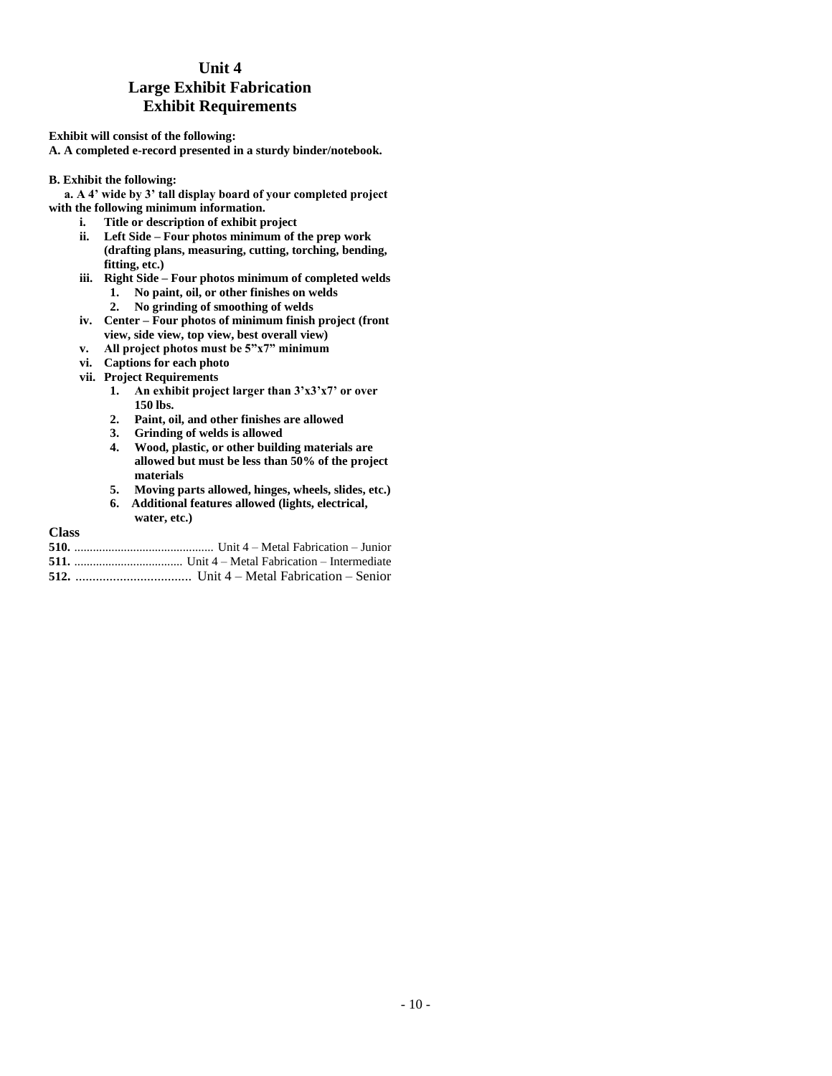## **Unit 4 Large Exhibit Fabrication Exhibit Requirements**

**Exhibit will consist of the following: A. A completed e-record presented in a sturdy binder/notebook.**

**B. Exhibit the following:**

**a. A 4' wide by 3' tall display board of your completed project with the following minimum information.** 

- **i. Title or description of exhibit project**
- **ii. Left Side – Four photos minimum of the prep work (drafting plans, measuring, cutting, torching, bending, fitting, etc.)**
- **iii. Right Side – Four photos minimum of completed welds**
	- **1. No paint, oil, or other finishes on welds**
	- **2. No grinding of smoothing of welds**
- **iv. Center – Four photos of minimum finish project (front view, side view, top view, best overall view)**
- **v. All project photos must be 5"x7" minimum**
- **vi. Captions for each photo**
- **vii. Project Requirements**
	- **1. An exhibit project larger than 3'x3'x7' or over 150 lbs.**
	- **2. Paint, oil, and other finishes are allowed**
	- **3. Grinding of welds is allowed**
	- **4. Wood, plastic, or other building materials are allowed but must be less than 50% of the project materials**
	- **5. Moving parts allowed, hinges, wheels, slides, etc.)**
	- **6. Additional features allowed (lights, electrical, water, etc.)**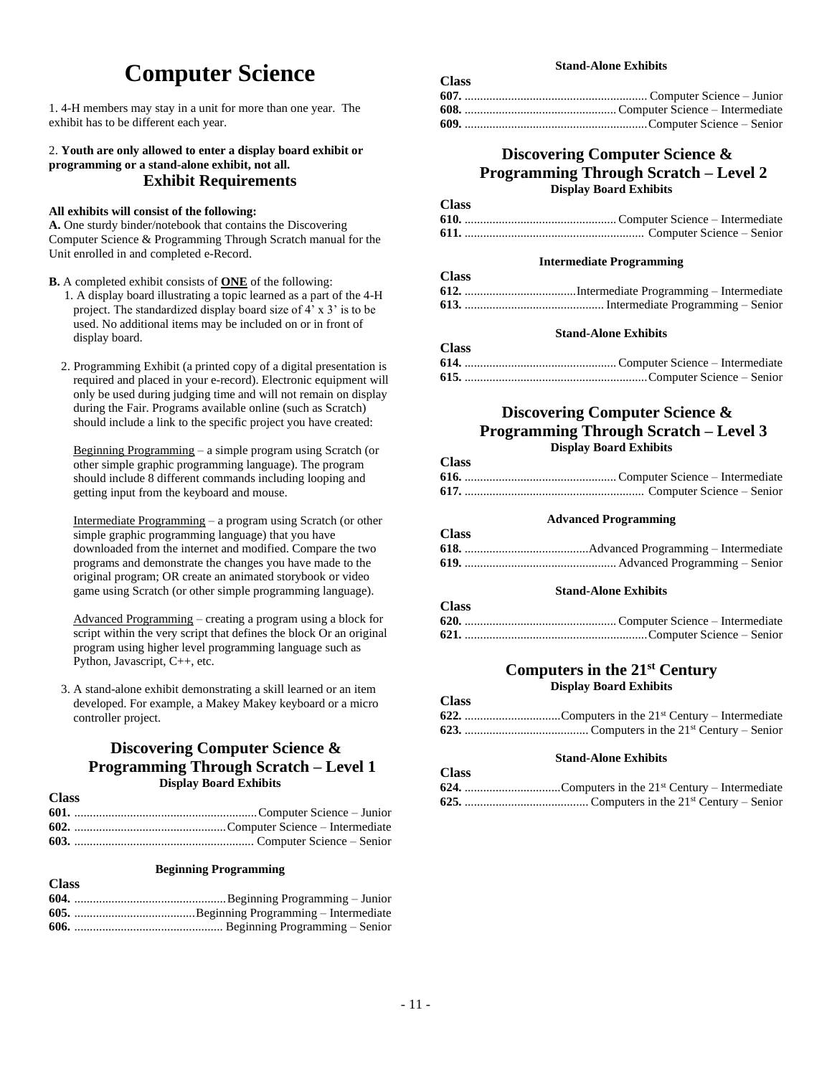# **Computer Science**

1. 4-H members may stay in a unit for more than one year. The exhibit has to be different each year.

### 2. **Youth are only allowed to enter a display board exhibit or programming or a stand-alone exhibit, not all. Exhibit Requirements**

### **All exhibits will consist of the following:**

**A.** One sturdy binder/notebook that contains the Discovering Computer Science & Programming Through Scratch manual for the Unit enrolled in and completed e-Record.

**B.** A completed exhibit consists of **ONE** of the following:

- 1. A display board illustrating a topic learned as a part of the 4-H project. The standardized display board size of 4' x 3' is to be used. No additional items may be included on or in front of display board.
- 2. Programming Exhibit (a printed copy of a digital presentation is required and placed in your e-record). Electronic equipment will only be used during judging time and will not remain on display during the Fair. Programs available online (such as Scratch) should include a link to the specific project you have created:

Beginning Programming – a simple program using Scratch (or other simple graphic programming language). The program should include 8 different commands including looping and getting input from the keyboard and mouse.

Intermediate Programming – a program using Scratch (or other simple graphic programming language) that you have downloaded from the internet and modified. Compare the two programs and demonstrate the changes you have made to the original program; OR create an animated storybook or video game using Scratch (or other simple programming language).

Advanced Programming – creating a program using a block for script within the very script that defines the block Or an original program using higher level programming language such as Python, Javascript, C++, etc.

3. A stand-alone exhibit demonstrating a skill learned or an item developed. For example, a Makey Makey keyboard or a micro controller project.

## **Discovering Computer Science & Programming Through Scratch – Level 1 Display Board Exhibits**

**Class**

**Class**

### **Beginning Programming**

| <b>UNUS</b> |  |
|-------------|--|
|             |  |
|             |  |
|             |  |
|             |  |

### **Stand-Alone Exhibits**

| Стаээ |  |
|-------|--|
|       |  |
|       |  |
|       |  |

## **Discovering Computer Science & Programming Through Scratch – Level 2 Display Board Exhibits**

### **Class**

**Class**

### **Intermediate Programming**

| <b>Class</b> |  |
|--------------|--|
|              |  |
|              |  |

### **Stand-Alone Exhibits**

| <b>Class</b> |  |
|--------------|--|
|              |  |
|              |  |

## **Discovering Computer Science & Programming Through Scratch – Level 3 Display Board Exhibits**

**Class**

**Class**

**Class**

**Class**

| ------ |  |
|--------|--|
|        |  |
|        |  |

### **Advanced Programming**

| <b>Class</b> |  |
|--------------|--|
|              |  |
|              |  |

### **Stand-Alone Exhibits**

### **620.** ................................................. Computer Science – Intermediate **621.** ...........................................................Computer Science – Senior

## **Computers in the 21st Century Display Board Exhibits**

| Стазэ |  |
|-------|--|
|       |  |
|       |  |

### **Stand-Alone Exhibits**

| Стаээ |  |
|-------|--|
|       |  |
|       |  |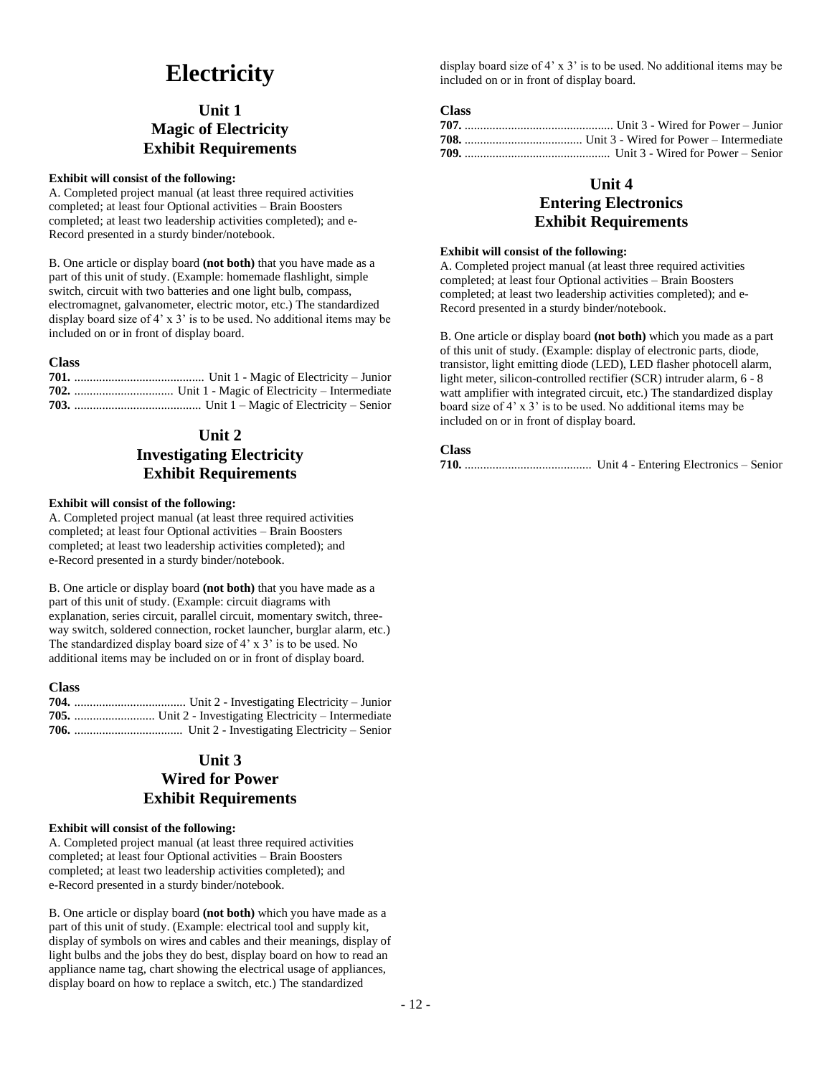# **Electricity**

## **Unit 1 Magic of Electricity Exhibit Requirements**

### **Exhibit will consist of the following:**

A. Completed project manual (at least three required activities completed; at least four Optional activities – Brain Boosters completed; at least two leadership activities completed); and e-Record presented in a sturdy binder/notebook.

B. One article or display board **(not both)** that you have made as a part of this unit of study. (Example: homemade flashlight, simple switch, circuit with two batteries and one light bulb, compass, electromagnet, galvanometer, electric motor, etc.) The standardized display board size of 4' x 3' is to be used. No additional items may be included on or in front of display board.

### **Class**

## **Unit 2 Investigating Electricity Exhibit Requirements**

### **Exhibit will consist of the following:**

A. Completed project manual (at least three required activities completed; at least four Optional activities – Brain Boosters completed; at least two leadership activities completed); and e-Record presented in a sturdy binder/notebook.

B. One article or display board **(not both)** that you have made as a part of this unit of study. (Example: circuit diagrams with explanation, series circuit, parallel circuit, momentary switch, threeway switch, soldered connection, rocket launcher, burglar alarm, etc.) The standardized display board size of 4' x 3' is to be used. No additional items may be included on or in front of display board.

### **Class**

## **Unit 3 Wired for Power Exhibit Requirements**

### **Exhibit will consist of the following:**

A. Completed project manual (at least three required activities completed; at least four Optional activities – Brain Boosters completed; at least two leadership activities completed); and e-Record presented in a sturdy binder/notebook.

B. One article or display board **(not both)** which you have made as a part of this unit of study. (Example: electrical tool and supply kit, display of symbols on wires and cables and their meanings, display of light bulbs and the jobs they do best, display board on how to read an appliance name tag, chart showing the electrical usage of appliances, display board on how to replace a switch, etc.) The standardized

display board size of 4' x 3' is to be used. No additional items may be included on or in front of display board.

### **Class**

## **Unit 4 Entering Electronics Exhibit Requirements**

### **Exhibit will consist of the following:**

A. Completed project manual (at least three required activities completed; at least four Optional activities – Brain Boosters completed; at least two leadership activities completed); and e-Record presented in a sturdy binder/notebook.

B. One article or display board **(not both)** which you made as a part of this unit of study. (Example: display of electronic parts, diode, transistor, light emitting diode (LED), LED flasher photocell alarm, light meter, silicon-controlled rectifier (SCR) intruder alarm, 6 - 8 watt amplifier with integrated circuit, etc.) The standardized display board size of 4' x 3' is to be used. No additional items may be included on or in front of display board.

```
710. ......................................... Unit 4 - Entering Electronics – Senior
```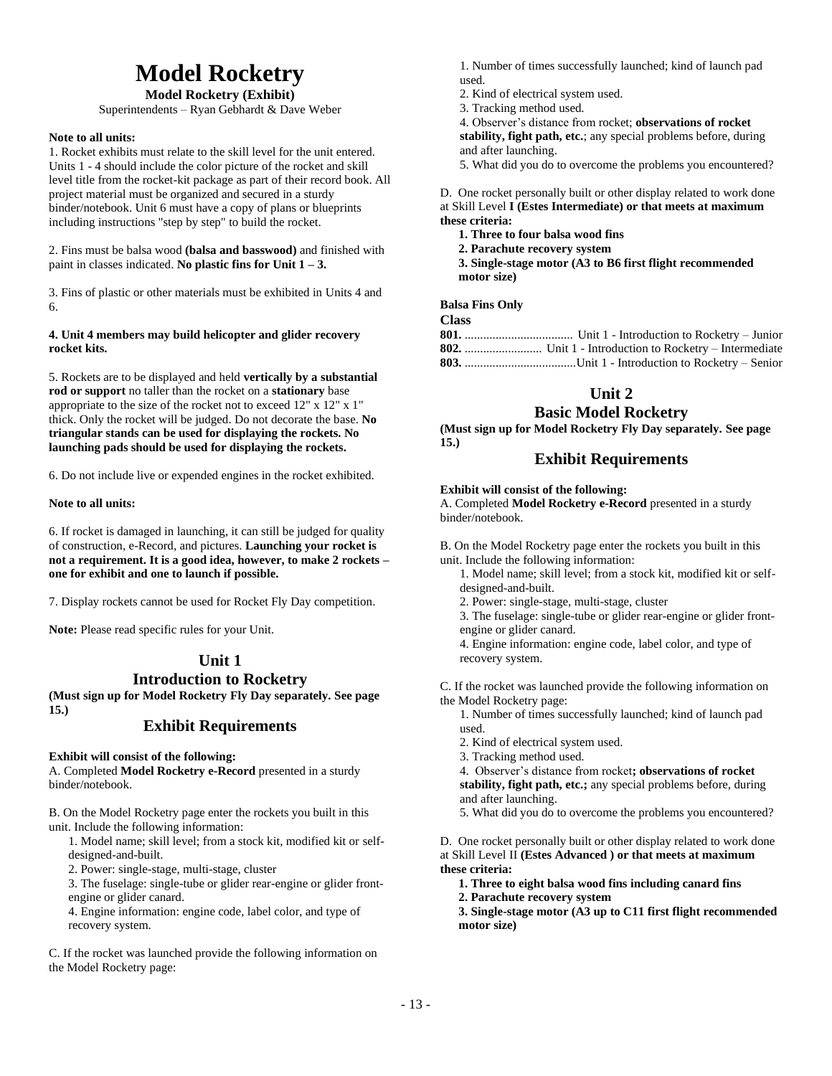# **Model Rocketry**

### **Model Rocketry (Exhibit)**

Superintendents – Ryan Gebhardt & Dave Weber

### **Note to all units:**

1. Rocket exhibits must relate to the skill level for the unit entered. Units 1 - 4 should include the color picture of the rocket and skill level title from the rocket-kit package as part of their record book. All project material must be organized and secured in a sturdy binder/notebook. Unit 6 must have a copy of plans or blueprints including instructions "step by step" to build the rocket.

2. Fins must be balsa wood **(balsa and basswood)** and finished with paint in classes indicated. **No plastic fins for Unit 1 – 3.**

3. Fins of plastic or other materials must be exhibited in Units 4 and 6.

**4. Unit 4 members may build helicopter and glider recovery rocket kits.**

5. Rockets are to be displayed and held **vertically by a substantial rod or support** no taller than the rocket on a **stationary** base appropriate to the size of the rocket not to exceed 12" x 12" x 1" thick. Only the rocket will be judged. Do not decorate the base. **No triangular stands can be used for displaying the rockets. No launching pads should be used for displaying the rockets.**

6. Do not include live or expended engines in the rocket exhibited.

### **Note to all units:**

6. If rocket is damaged in launching, it can still be judged for quality of construction, e-Record, and pictures. **Launching your rocket is not a requirement. It is a good idea, however, to make 2 rockets – one for exhibit and one to launch if possible.**

7. Display rockets cannot be used for Rocket Fly Day competition.

**Note:** Please read specific rules for your Unit.

## **Unit 1 Introduction to Rocketry**

**(Must sign up for Model Rocketry Fly Day separately. See page 15.)**

## **Exhibit Requirements**

### **Exhibit will consist of the following:**

A. Completed **Model Rocketry e-Record** presented in a sturdy binder/notebook.

B. On the Model Rocketry page enter the rockets you built in this unit. Include the following information:

1. Model name; skill level; from a stock kit, modified kit or selfdesigned-and-built.

2. Power: single-stage, multi-stage, cluster

3. The fuselage: single-tube or glider rear-engine or glider frontengine or glider canard.

4. Engine information: engine code, label color, and type of recovery system.

C. If the rocket was launched provide the following information on the Model Rocketry page:

1. Number of times successfully launched; kind of launch pad used.

2. Kind of electrical system used.

3. Tracking method used.

4. Observer's distance from rocket; **observations of rocket stability, fight path, etc.**; any special problems before, during and after launching.

5. What did you do to overcome the problems you encountered?

### D. One rocket personally built or other display related to work done at Skill Level **I (Estes Intermediate) or that meets at maximum these criteria:**

**1. Three to four balsa wood fins**

**2. Parachute recovery system**

**3. Single-stage motor (A3 to B6 first flight recommended motor size)**

**Balsa Fins Only** 

### **Class**

## **Unit 2**

## **Basic Model Rocketry**

**(Must sign up for Model Rocketry Fly Day separately. See page 15.)**

## **Exhibit Requirements**

**Exhibit will consist of the following:**

A. Completed **Model Rocketry e-Record** presented in a sturdy binder/notebook.

B. On the Model Rocketry page enter the rockets you built in this unit. Include the following information:

1. Model name; skill level; from a stock kit, modified kit or selfdesigned-and-built.

- 2. Power: single-stage, multi-stage, cluster
- 3. The fuselage: single-tube or glider rear-engine or glider frontengine or glider canard.

4. Engine information: engine code, label color, and type of recovery system.

C. If the rocket was launched provide the following information on the Model Rocketry page:

1. Number of times successfully launched; kind of launch pad used.

- 2. Kind of electrical system used.
- 3. Tracking method used.

4. Observer's distance from rocket**; observations of rocket stability, fight path, etc.;** any special problems before, during and after launching.

5. What did you do to overcome the problems you encountered?

D. One rocket personally built or other display related to work done at Skill Level II **(Estes Advanced ) or that meets at maximum these criteria:**

- **1. Three to eight balsa wood fins including canard fins**
- **2. Parachute recovery system**

**3. Single-stage motor (A3 up to C11 first flight recommended motor size)**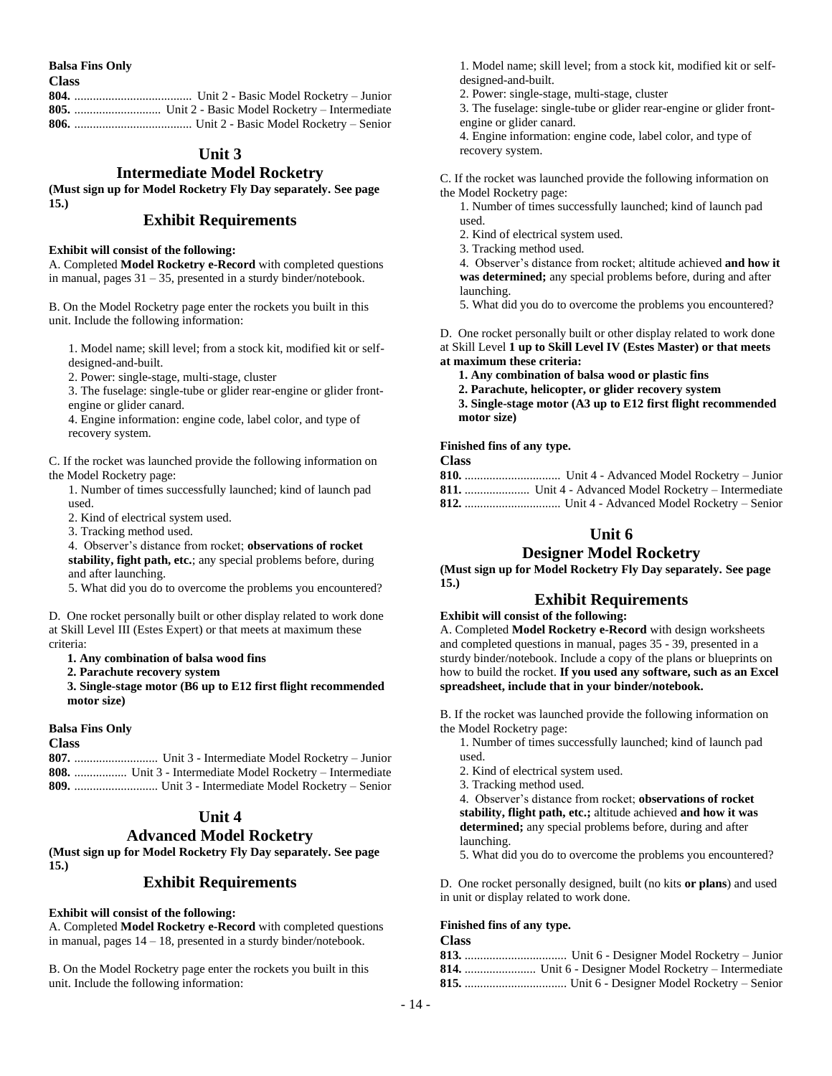**Balsa Fins Only**

**Class**

## **Unit 3**

## **Intermediate Model Rocketry**

**(Must sign up for Model Rocketry Fly Day separately. See page 15.)**

## **Exhibit Requirements**

### **Exhibit will consist of the following:**

A. Completed **Model Rocketry e-Record** with completed questions in manual, pages  $31 - 35$ , presented in a sturdy binder/notebook.

B. On the Model Rocketry page enter the rockets you built in this unit. Include the following information:

1. Model name; skill level; from a stock kit, modified kit or selfdesigned-and-built.

2. Power: single-stage, multi-stage, cluster

3. The fuselage: single-tube or glider rear-engine or glider frontengine or glider canard.

4. Engine information: engine code, label color, and type of recovery system.

C. If the rocket was launched provide the following information on the Model Rocketry page:

1. Number of times successfully launched; kind of launch pad used.

2. Kind of electrical system used.

3. Tracking method used.

4. Observer's distance from rocket; **observations of rocket stability, fight path, etc.**; any special problems before, during and after launching.

5. What did you do to overcome the problems you encountered?

D. One rocket personally built or other display related to work done at Skill Level III (Estes Expert) or that meets at maximum these criteria:

### **1. Any combination of balsa wood fins**

**2. Parachute recovery system**

**3. Single-stage motor (B6 up to E12 first flight recommended motor size)**

### **Balsa Fins Only**

### **Class**

**807.** ........................... Unit 3 - Intermediate Model Rocketry – Junior **808.** ................. Unit 3 - Intermediate Model Rocketry – Intermediate **809.** ........................... Unit 3 - Intermediate Model Rocketry – Senior

## **Unit 4**

### **Advanced Model Rocketry**

**(Must sign up for Model Rocketry Fly Day separately. See page 15.)**

### **Exhibit Requirements**

### **Exhibit will consist of the following:**

A. Completed **Model Rocketry e-Record** with completed questions in manual, pages 14 – 18, presented in a sturdy binder/notebook.

B. On the Model Rocketry page enter the rockets you built in this unit. Include the following information:

1. Model name; skill level; from a stock kit, modified kit or selfdesigned-and-built.

2. Power: single-stage, multi-stage, cluster

3. The fuselage: single-tube or glider rear-engine or glider frontengine or glider canard.

4. Engine information: engine code, label color, and type of recovery system.

C. If the rocket was launched provide the following information on the Model Rocketry page:

1. Number of times successfully launched; kind of launch pad used.

- 2. Kind of electrical system used.
- 3. Tracking method used.

4. Observer's distance from rocket; altitude achieved **and how it was determined;** any special problems before, during and after launching.

5. What did you do to overcome the problems you encountered?

D. One rocket personally built or other display related to work done at Skill Level **1 up to Skill Level IV (Estes Master) or that meets at maximum these criteria:**

**1. Any combination of balsa wood or plastic fins**

**2. Parachute, helicopter, or glider recovery system**

**3. Single-stage motor (A3 up to E12 first flight recommended motor size)**

### **Finished fins of any type.**

**Class**

## **Unit 6**

### **Designer Model Rocketry**

**(Must sign up for Model Rocketry Fly Day separately. See page 15.)**

### **Exhibit Requirements**

**Exhibit will consist of the following:** A. Completed **Model Rocketry e-Record** with design worksheets and completed questions in manual, pages 35 - 39, presented in a sturdy binder/notebook. Include a copy of the plans or blueprints on how to build the rocket. **If you used any software, such as an Excel spreadsheet, include that in your binder/notebook.**

B. If the rocket was launched provide the following information on the Model Rocketry page:

- 1. Number of times successfully launched; kind of launch pad used.
- 2. Kind of electrical system used.
- 3. Tracking method used.

4. Observer's distance from rocket; **observations of rocket stability, flight path, etc.;** altitude achieved **and how it was determined;** any special problems before, during and after launching.

5. What did you do to overcome the problems you encountered?

D. One rocket personally designed, built (no kits **or plans**) and used in unit or display related to work done.

### **Finished fins of any type.**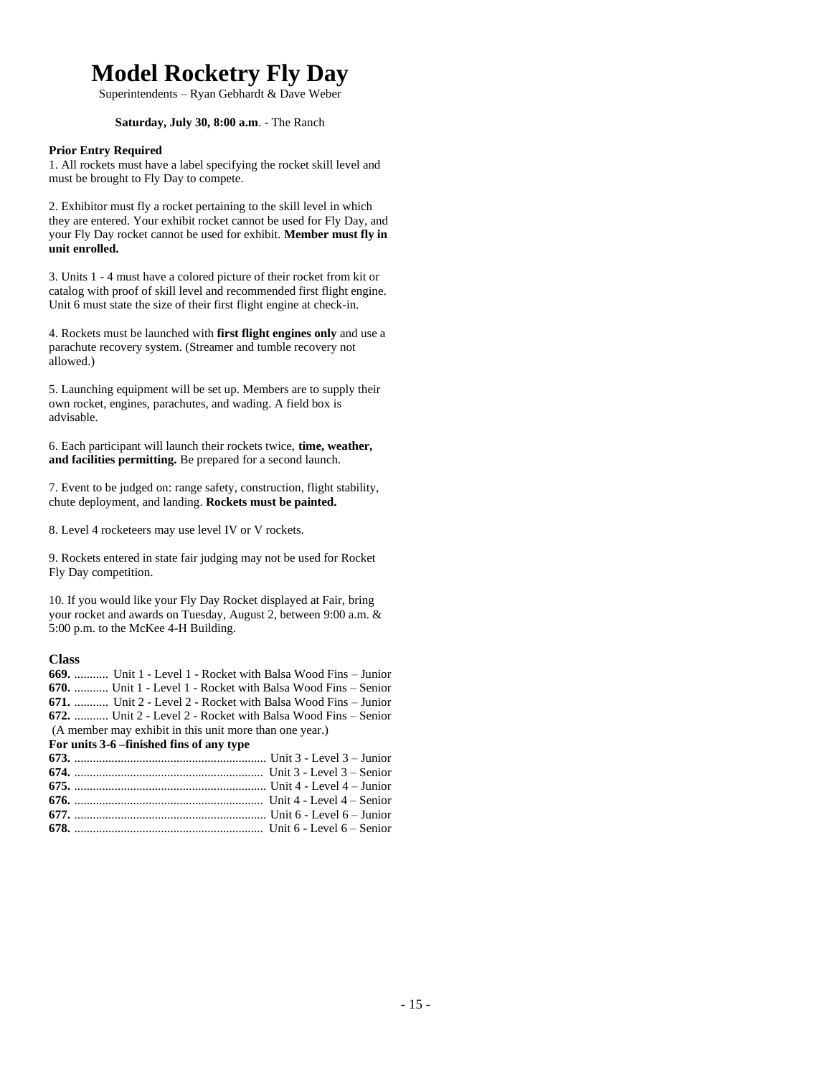# **Model Rocketry Fly Day**

Superintendents – Ryan Gebhardt & Dave Weber

### **Saturday, July 30, 8:00 a.m**. - The Ranch

### **Prior Entry Required**

1. All rockets must have a label specifying the rocket skill level and must be brought to Fly Day to compete.

2. Exhibitor must fly a rocket pertaining to the skill level in which they are entered. Your exhibit rocket cannot be used for Fly Day, and your Fly Day rocket cannot be used for exhibit. **Member must fly in unit enrolled.**

3. Units 1 - 4 must have a colored picture of their rocket from kit or catalog with proof of skill level and recommended first flight engine. Unit 6 must state the size of their first flight engine at check-in.

4. Rockets must be launched with **first flight engines only** and use a parachute recovery system. (Streamer and tumble recovery not allowed.)

5. Launching equipment will be set up. Members are to supply their own rocket, engines, parachutes, and wading. A field box is advisable.

6. Each participant will launch their rockets twice, **time, weather, and facilities permitting.** Be prepared for a second launch.

7. Event to be judged on: range safety, construction, flight stability, chute deployment, and landing. **Rockets must be painted.**

8. Level 4 rocketeers may use level IV or V rockets.

9. Rockets entered in state fair judging may not be used for Rocket Fly Day competition.

10. If you would like your Fly Day Rocket displayed at Fair, bring your rocket and awards on Tuesday, August 2, between 9:00 a.m. & 5:00 p.m. to the McKee 4-H Building.

| <b>669.</b> Unit 1 - Level 1 - Rocket with Balsa Wood Fins – Junior |
|---------------------------------------------------------------------|
| 670.  Unit 1 - Level 1 - Rocket with Balsa Wood Fins – Senior       |
| $671$ ,  Unit 2 - Level 2 - Rocket with Balsa Wood Fins – Junior    |
| 672.  Unit 2 - Level 2 - Rocket with Balsa Wood Fins – Senior       |
| (A member may exhibit in this unit more than one year.)             |
| For units 3-6 –finished fins of any type                            |
|                                                                     |
|                                                                     |
|                                                                     |
|                                                                     |
|                                                                     |
|                                                                     |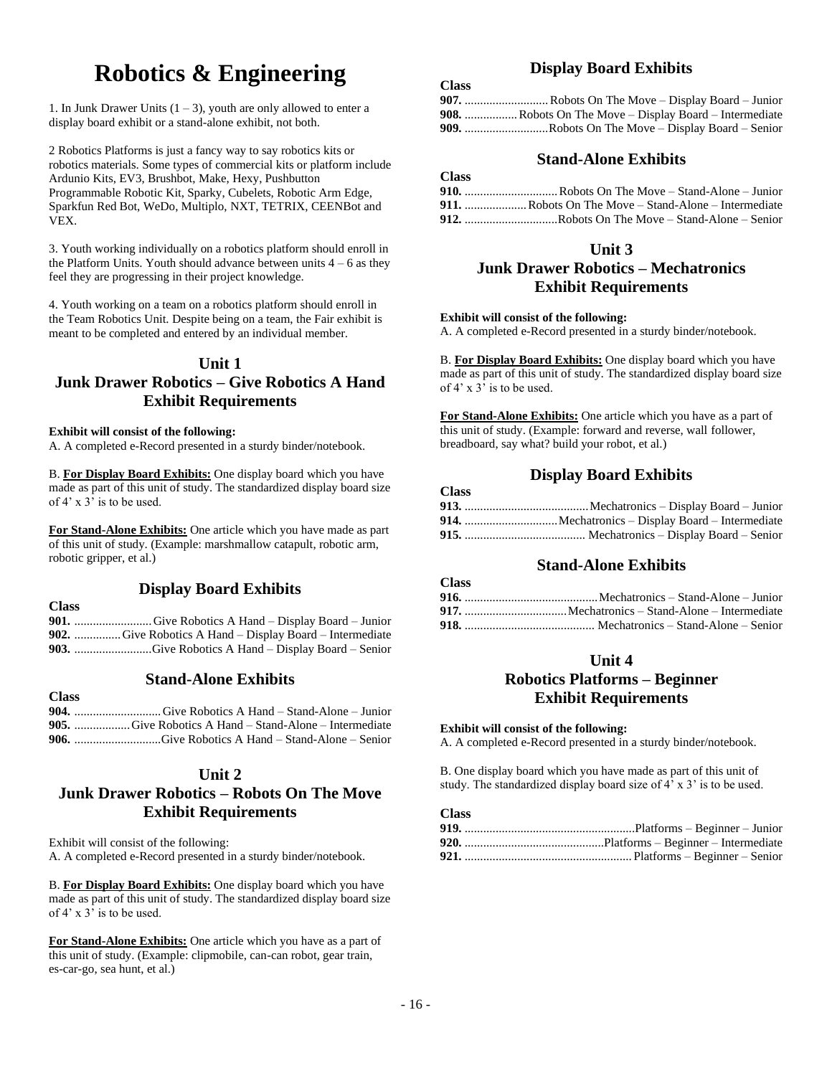# **Robotics & Engineering**

1. In Junk Drawer Units  $(1 – 3)$ , youth are only allowed to enter a display board exhibit or a stand-alone exhibit, not both.

2 Robotics Platforms is just a fancy way to say robotics kits or robotics materials. Some types of commercial kits or platform include Ardunio Kits, EV3, Brushbot, Make, Hexy, Pushbutton Programmable Robotic Kit, Sparky, Cubelets, Robotic Arm Edge, Sparkfun Red Bot, WeDo, Multiplo, NXT, TETRIX, CEENBot and VEX.

3. Youth working individually on a robotics platform should enroll in the Platform Units. Youth should advance between units  $4 - 6$  as they feel they are progressing in their project knowledge.

4. Youth working on a team on a robotics platform should enroll in the Team Robotics Unit. Despite being on a team, the Fair exhibit is meant to be completed and entered by an individual member.

## **Unit 1**

## **Junk Drawer Robotics – Give Robotics A Hand Exhibit Requirements**

### **Exhibit will consist of the following:**

A. A completed e-Record presented in a sturdy binder/notebook.

B. **For Display Board Exhibits:** One display board which you have made as part of this unit of study. The standardized display board size of 4' x 3' is to be used.

**For Stand-Alone Exhibits:** One article which you have made as part of this unit of study. (Example: marshmallow catapult, robotic arm, robotic gripper, et al.)

## **Display Board Exhibits**

**Class 901.** .........................Give Robotics A Hand – Display Board – Junior **902.** ...............Give Robotics A Hand – Display Board – Intermediate **903.** .........................Give Robotics A Hand – Display Board – Senior

### **Stand-Alone Exhibits**

### **Class**

### **904.** ............................Give Robotics A Hand – Stand-Alone – Junior **905.** ..................Give Robotics A Hand – Stand-Alone – Intermediate **906.** ............................Give Robotics A Hand – Stand-Alone – Senior

### **Unit 2**

## **Junk Drawer Robotics – Robots On The Move Exhibit Requirements**

Exhibit will consist of the following: A. A completed e-Record presented in a sturdy binder/notebook.

B. **For Display Board Exhibits:** One display board which you have made as part of this unit of study. The standardized display board size of 4' x 3' is to be used.

**For Stand-Alone Exhibits:** One article which you have as a part of this unit of study. (Example: clipmobile, can-can robot, gear train, es-car-go, sea hunt, et al.)

## **Display Board Exhibits**

### **Class**

**Class**

**Class**

| <b>908.</b> Robots On The Move – Display Board – Intermediate |
|---------------------------------------------------------------|
| 909. Robots On The Move – Display Board – Senior              |

## **Stand-Alone Exhibits**

| $\sim$ |  |
|--------|--|
|        |  |
|        |  |
|        |  |

## **Unit 3**

## **Junk Drawer Robotics – Mechatronics Exhibit Requirements**

### **Exhibit will consist of the following:**

A. A completed e-Record presented in a sturdy binder/notebook.

B. **For Display Board Exhibits:** One display board which you have made as part of this unit of study. The standardized display board size of  $4'$  x  $3'$  is to be used.

**For Stand-Alone Exhibits:** One article which you have as a part of this unit of study. (Example: forward and reverse, wall follower, breadboard, say what? build your robot, et al.)

## **Display Board Exhibits**

| - 1033 |  |
|--------|--|
|        |  |
|        |  |
|        |  |

## **Stand-Alone Exhibits**

| <b>Class</b> |  |
|--------------|--|
|              |  |
|              |  |
|              |  |

### **Unit 4**

## **Robotics Platforms – Beginner Exhibit Requirements**

### **Exhibit will consist of the following:**

A. A completed e-Record presented in a sturdy binder/notebook.

B. One display board which you have made as part of this unit of study. The standardized display board size of 4' x 3' is to be used.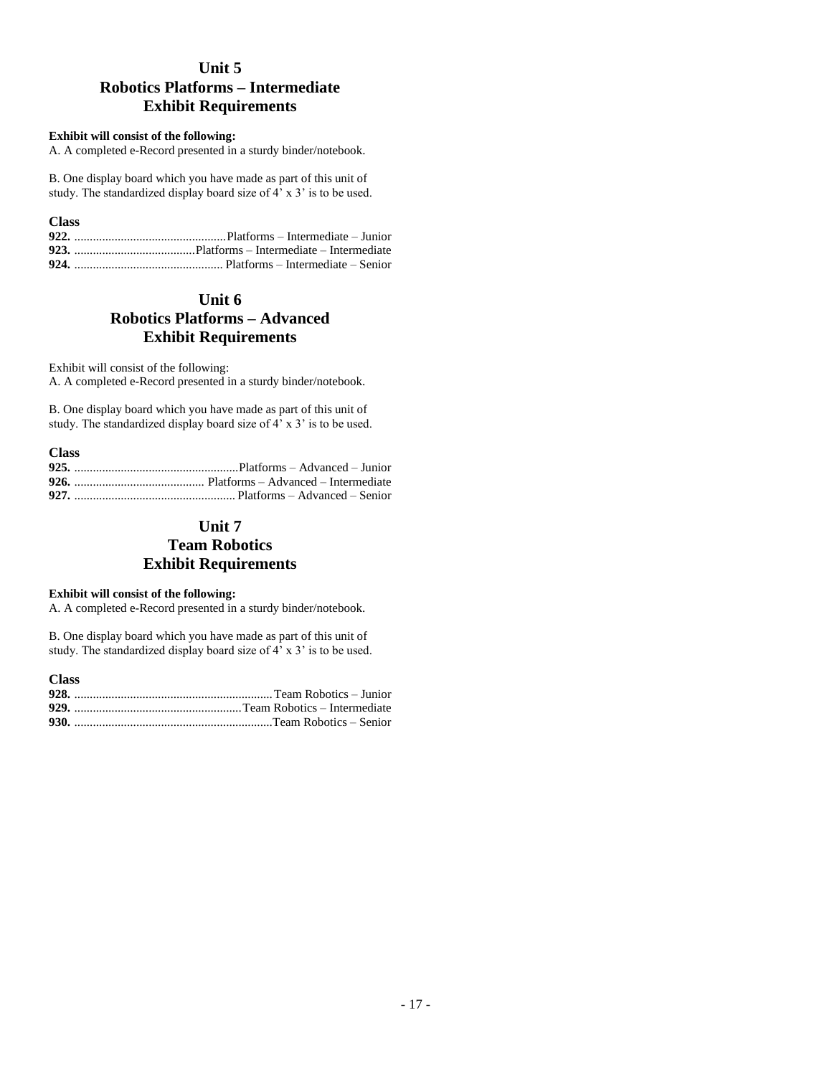## **Unit 5 Robotics Platforms – Intermediate Exhibit Requirements**

### **Exhibit will consist of the following:**

A. A completed e-Record presented in a sturdy binder/notebook.

B. One display board which you have made as part of this unit of study. The standardized display board size of  $4^7$  x 3' is to be used.

**Class**

## **Unit 6 Robotics Platforms – Advanced Exhibit Requirements**

Exhibit will consist of the following:

A. A completed e-Record presented in a sturdy binder/notebook.

B. One display board which you have made as part of this unit of study. The standardized display board size of 4' x 3' is to be used.

### **Class**

## **Unit 7 Team Robotics Exhibit Requirements**

### **Exhibit will consist of the following:**

A. A completed e-Record presented in a sturdy binder/notebook.

B. One display board which you have made as part of this unit of study. The standardized display board size of 4' x 3' is to be used.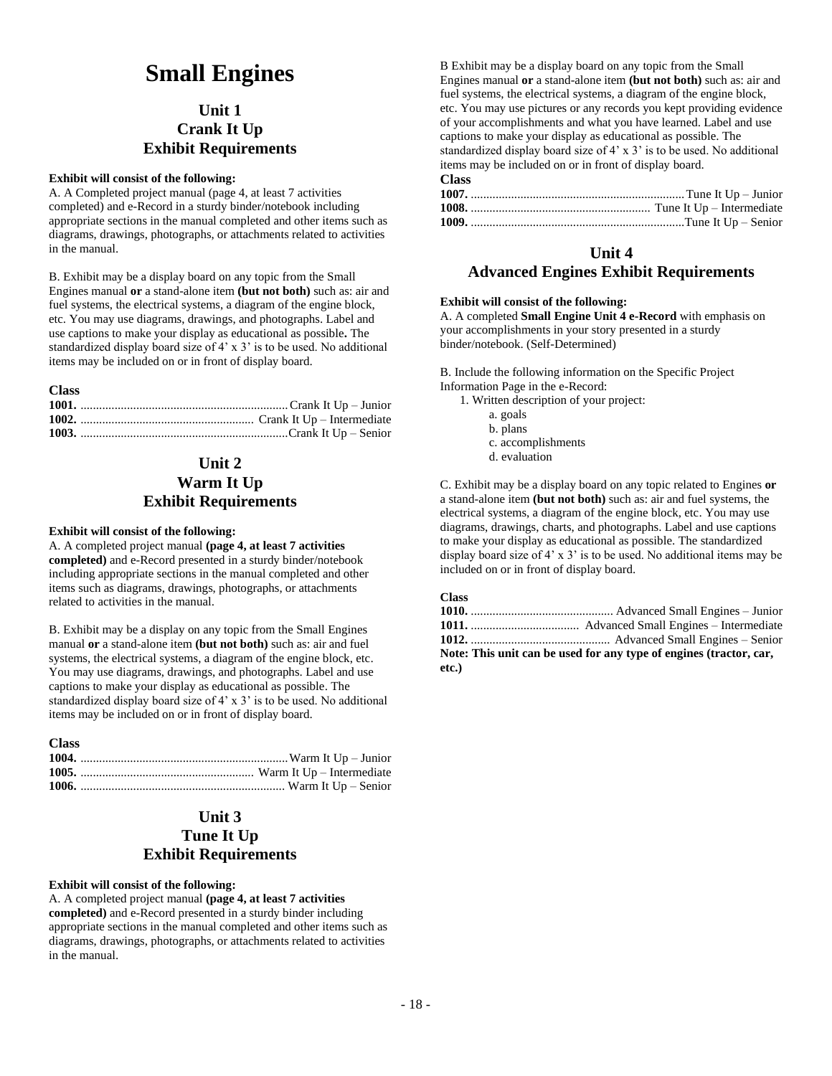# **Small Engines**

## **Unit 1 Crank It Up Exhibit Requirements**

### **Exhibit will consist of the following:**

A. A Completed project manual (page 4, at least 7 activities completed) and e-Record in a sturdy binder/notebook including appropriate sections in the manual completed and other items such as diagrams, drawings, photographs, or attachments related to activities in the manual.

B. Exhibit may be a display board on any topic from the Small Engines manual **or** a stand-alone item **(but not both)** such as: air and fuel systems, the electrical systems, a diagram of the engine block, etc. You may use diagrams, drawings, and photographs. Label and use captions to make your display as educational as possible**.** The standardized display board size of 4' x 3' is to be used. No additional items may be included on or in front of display board.

### **Class**

## **Unit 2 Warm It Up Exhibit Requirements**

### **Exhibit will consist of the following:**

A. A completed project manual **(page 4, at least 7 activities completed)** and e-Record presented in a sturdy binder/notebook including appropriate sections in the manual completed and other items such as diagrams, drawings, photographs, or attachments related to activities in the manual.

B. Exhibit may be a display on any topic from the Small Engines manual **or** a stand-alone item **(but not both)** such as: air and fuel systems, the electrical systems, a diagram of the engine block, etc. You may use diagrams, drawings, and photographs. Label and use captions to make your display as educational as possible. The standardized display board size of 4' x 3' is to be used. No additional items may be included on or in front of display board.

### **Class**

## **Unit 3 Tune It Up Exhibit Requirements**

### **Exhibit will consist of the following:**

A. A completed project manual **(page 4, at least 7 activities completed)** and e-Record presented in a sturdy binder including appropriate sections in the manual completed and other items such as diagrams, drawings, photographs, or attachments related to activities in the manual.

B Exhibit may be a display board on any topic from the Small Engines manual **or** a stand-alone item **(but not both)** such as: air and fuel systems, the electrical systems, a diagram of the engine block, etc. You may use pictures or any records you kept providing evidence of your accomplishments and what you have learned. Label and use captions to make your display as educational as possible. The standardized display board size of 4' x 3' is to be used. No additional items may be included on or in front of display board.

## **Class**

## **Unit 4**

## **Advanced Engines Exhibit Requirements**

### **Exhibit will consist of the following:**

A. A completed **Small Engine Unit 4 e-Record** with emphasis on your accomplishments in your story presented in a sturdy binder/notebook. (Self-Determined)

B. Include the following information on the Specific Project Information Page in the e-Record:

1. Written description of your project:

- a. goals
- b. plans
- c. accomplishments
- d. evaluation

C. Exhibit may be a display board on any topic related to Engines **or** a stand-alone item **(but not both)** such as: air and fuel systems, the electrical systems, a diagram of the engine block, etc. You may use diagrams, drawings, charts, and photographs. Label and use captions to make your display as educational as possible. The standardized display board size of 4' x 3' is to be used. No additional items may be included on or in front of display board.

|       | Note: This unit can be used for any type of engines (tractor, car, |
|-------|--------------------------------------------------------------------|
| etc.) |                                                                    |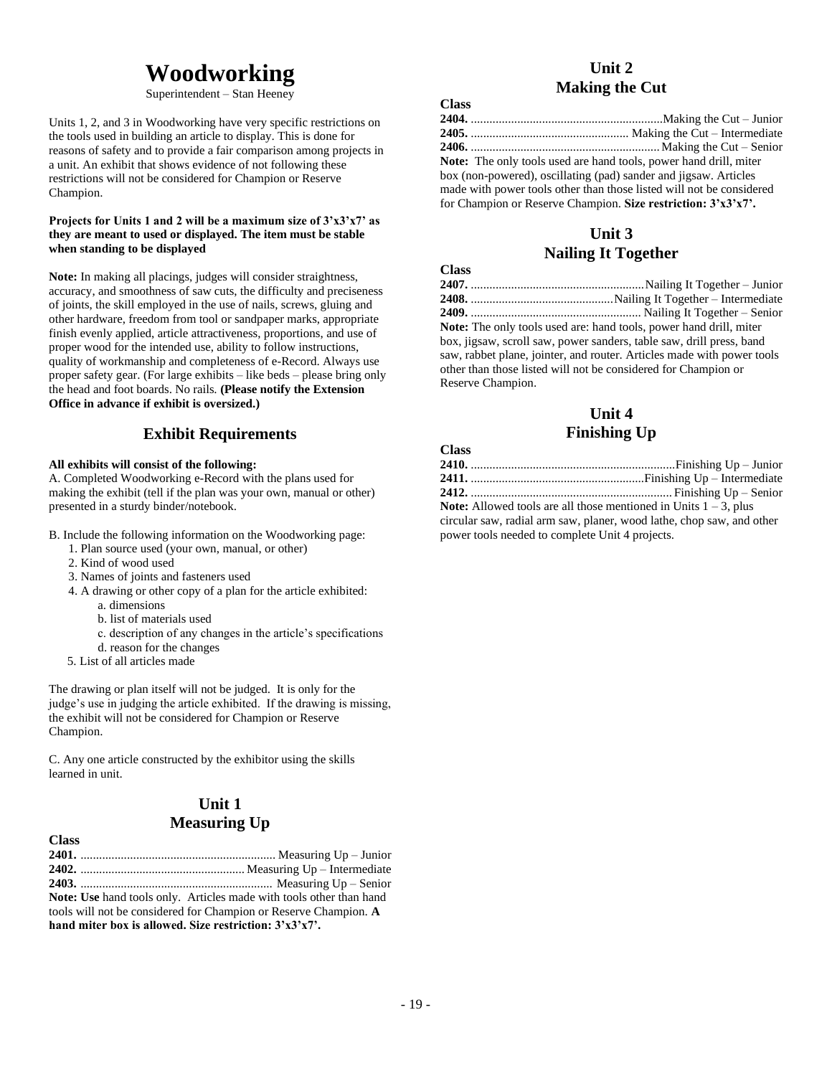# **Woodworking**

Superintendent – Stan Heeney

Units 1, 2, and 3 in Woodworking have very specific restrictions on the tools used in building an article to display. This is done for reasons of safety and to provide a fair comparison among projects in a unit. An exhibit that shows evidence of not following these restrictions will not be considered for Champion or Reserve Champion.

### **Projects for Units 1 and 2 will be a maximum size of 3'x3'x7' as they are meant to used or displayed. The item must be stable when standing to be displayed**

**Note:** In making all placings, judges will consider straightness, accuracy, and smoothness of saw cuts, the difficulty and preciseness of joints, the skill employed in the use of nails, screws, gluing and other hardware, freedom from tool or sandpaper marks, appropriate finish evenly applied, article attractiveness, proportions, and use of proper wood for the intended use, ability to follow instructions, quality of workmanship and completeness of e-Record. Always use proper safety gear. (For large exhibits – like beds – please bring only the head and foot boards. No rails. **(Please notify the Extension Office in advance if exhibit is oversized.)**

## **Exhibit Requirements**

### **All exhibits will consist of the following:**

A. Completed Woodworking e-Record with the plans used for making the exhibit (tell if the plan was your own, manual or other) presented in a sturdy binder/notebook.

B. Include the following information on the Woodworking page:

- 1. Plan source used (your own, manual, or other)
- 2. Kind of wood used
- 3. Names of joints and fasteners used
- 4. A drawing or other copy of a plan for the article exhibited:
	- a. dimensions
	- b. list of materials used
	- c. description of any changes in the article's specifications
	- d. reason for the changes
- 5. List of all articles made

The drawing or plan itself will not be judged. It is only for the judge's use in judging the article exhibited. If the drawing is missing, the exhibit will not be considered for Champion or Reserve Champion.

C. Any one article constructed by the exhibitor using the skills learned in unit.

## **Unit 1 Measuring Up**

| <b>Class</b> |                                                                            |
|--------------|----------------------------------------------------------------------------|
|              |                                                                            |
|              |                                                                            |
|              |                                                                            |
|              | <b>Note:</b> Use hand tools only. Articles made with tools other than hand |
|              | tools will not be considered for Champion or Reserve Champion. A           |
|              | hand miter box is allowed. Size restriction: $3'x3'x7'$ .                  |

## **Unit 2 Making the Cut**

| <b>Class</b>                                                             |  |
|--------------------------------------------------------------------------|--|
|                                                                          |  |
|                                                                          |  |
|                                                                          |  |
| <b>Note:</b> The only tools used are hand tools, power hand drill, miter |  |
| box (non-powered), oscillating (pad) sander and jigsaw. Articles         |  |
| made with power tools other than those listed will not be considered     |  |
| for Champion or Reserve Champion. Size restriction: $3'x3'x7'$ .         |  |

## **Unit 3 Nailing It Together**

| Стаээ             |                                                                           |
|-------------------|---------------------------------------------------------------------------|
|                   |                                                                           |
|                   |                                                                           |
|                   |                                                                           |
|                   | <b>Note:</b> The only tools used are: hand tools, power hand drill, miter |
|                   | box, jigsaw, scroll saw, power sanders, table saw, drill press, band      |
|                   | saw, rabbet plane, jointer, and router. Articles made with power tools    |
|                   | other than those listed will not be considered for Champion or            |
| Reserve Champion. |                                                                           |
|                   |                                                                           |

## **Unit 4 Finishing Up**

### **Class**

**Class**

**Note:** Allowed tools are all those mentioned in Units  $1 - 3$ , plus circular saw, radial arm saw, planer, wood lathe, chop saw, and other power tools needed to complete Unit 4 projects.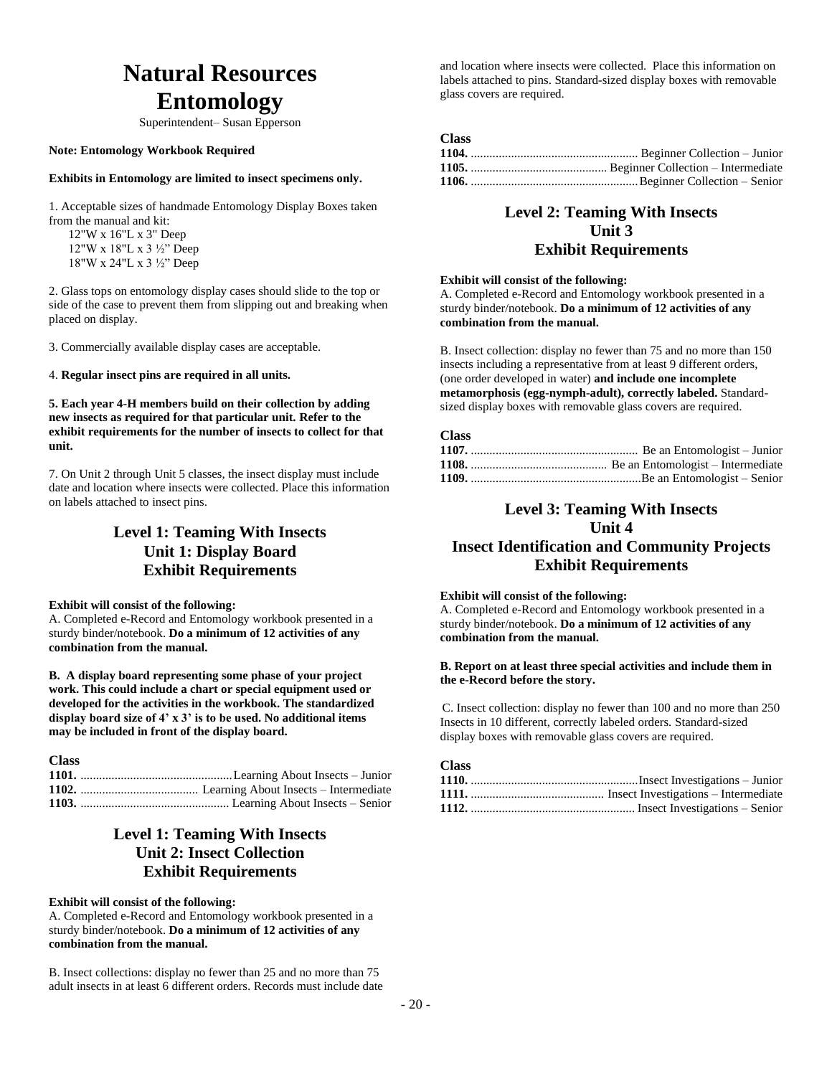# **Natural Resources Entomology**

Superintendent– Susan Epperson

### **Note: Entomology Workbook Required**

### **Exhibits in Entomology are limited to insect specimens only.**

1. Acceptable sizes of handmade Entomology Display Boxes taken from the manual and kit:

12"W x 16"L x 3" Deep 12"W x 18"L x 3 ½" Deep 18"W x 24"L x 3 ½" Deep

2. Glass tops on entomology display cases should slide to the top or side of the case to prevent them from slipping out and breaking when placed on display.

3. Commercially available display cases are acceptable.

4. **Regular insect pins are required in all units.**

**5. Each year 4-H members build on their collection by adding new insects as required for that particular unit. Refer to the exhibit requirements for the number of insects to collect for that unit.**

7. On Unit 2 through Unit 5 classes, the insect display must include date and location where insects were collected. Place this information on labels attached to insect pins.

## **Level 1: Teaming With Insects Unit 1: Display Board Exhibit Requirements**

#### **Exhibit will consist of the following:**

A. Completed e-Record and Entomology workbook presented in a sturdy binder/notebook. **Do a minimum of 12 activities of any combination from the manual.**

**B. A display board representing some phase of your project work. This could include a chart or special equipment used or developed for the activities in the workbook. The standardized display board size of 4' x 3' is to be used. No additional items may be included in front of the display board.**

| <b>Class</b> |  |
|--------------|--|
|              |  |
|              |  |
|              |  |
|              |  |

## **Level 1: Teaming With Insects Unit 2: Insect Collection Exhibit Requirements**

### **Exhibit will consist of the following:**

A. Completed e-Record and Entomology workbook presented in a sturdy binder/notebook. **Do a minimum of 12 activities of any combination from the manual.**

B. Insect collections: display no fewer than 25 and no more than 75 adult insects in at least 6 different orders. Records must include date and location where insects were collected. Place this information on labels attached to pins. Standard-sized display boxes with removable glass covers are required.

#### **Class**

## **Level 2: Teaming With Insects Unit 3 Exhibit Requirements**

### **Exhibit will consist of the following:**

A. Completed e-Record and Entomology workbook presented in a sturdy binder/notebook. **Do a minimum of 12 activities of any combination from the manual.**

B. Insect collection: display no fewer than 75 and no more than 150 insects including a representative from at least 9 different orders, (one order developed in water) **and include one incomplete metamorphosis (egg-nymph-adult), correctly labeled.** Standardsized display boxes with removable glass covers are required.

### **Class**

## **Level 3: Teaming With Insects Unit 4**

## **Insect Identification and Community Projects Exhibit Requirements**

### **Exhibit will consist of the following:**

A. Completed e-Record and Entomology workbook presented in a sturdy binder/notebook. **Do a minimum of 12 activities of any combination from the manual.**

### **B. Report on at least three special activities and include them in the e-Record before the story.**

C. Insect collection: display no fewer than 100 and no more than 250 Insects in 10 different, correctly labeled orders. Standard-sized display boxes with removable glass covers are required.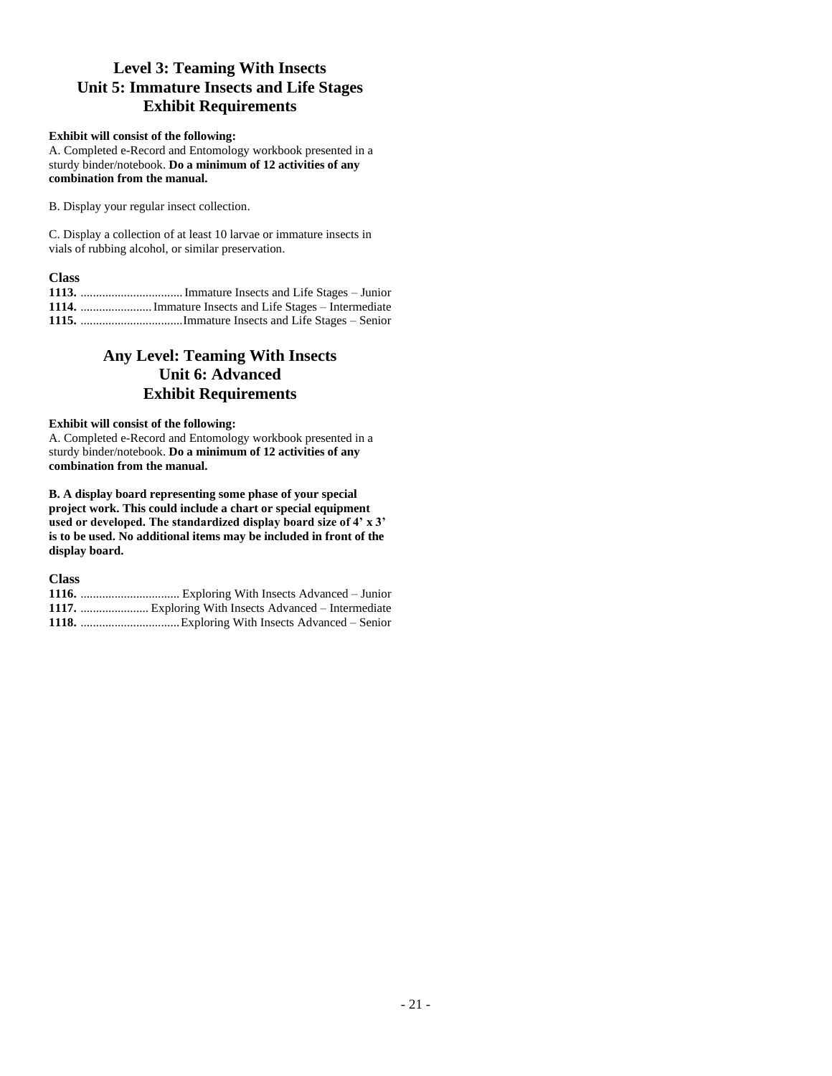## **Level 3: Teaming With Insects Unit 5: Immature Insects and Life Stages Exhibit Requirements**

### **Exhibit will consist of the following:**

A. Completed e-Record and Entomology workbook presented in a sturdy binder/notebook. **Do a minimum of 12 activities of any combination from the manual.**

B. Display your regular insect collection.

C. Display a collection of at least 10 larvae or immature insects in vials of rubbing alcohol, or similar preservation.

### **Class**

| 1114.  Immature Insects and Life Stages – Intermediate |
|--------------------------------------------------------|
|                                                        |

## **Any Level: Teaming With Insects Unit 6: Advanced Exhibit Requirements**

### **Exhibit will consist of the following:**

A. Completed e-Record and Entomology workbook presented in a sturdy binder/notebook. **Do a minimum of 12 activities of any combination from the manual.**

**B. A display board representing some phase of your special project work. This could include a chart or special equipment used or developed. The standardized display board size of 4' x 3' is to be used. No additional items may be included in front of the display board.**

**Class 1116.** ................................ Exploring With Insects Advanced – Junior **1117.** ...................... Exploring With Insects Advanced – Intermediate **1118.** ................................Exploring With Insects Advanced – Senior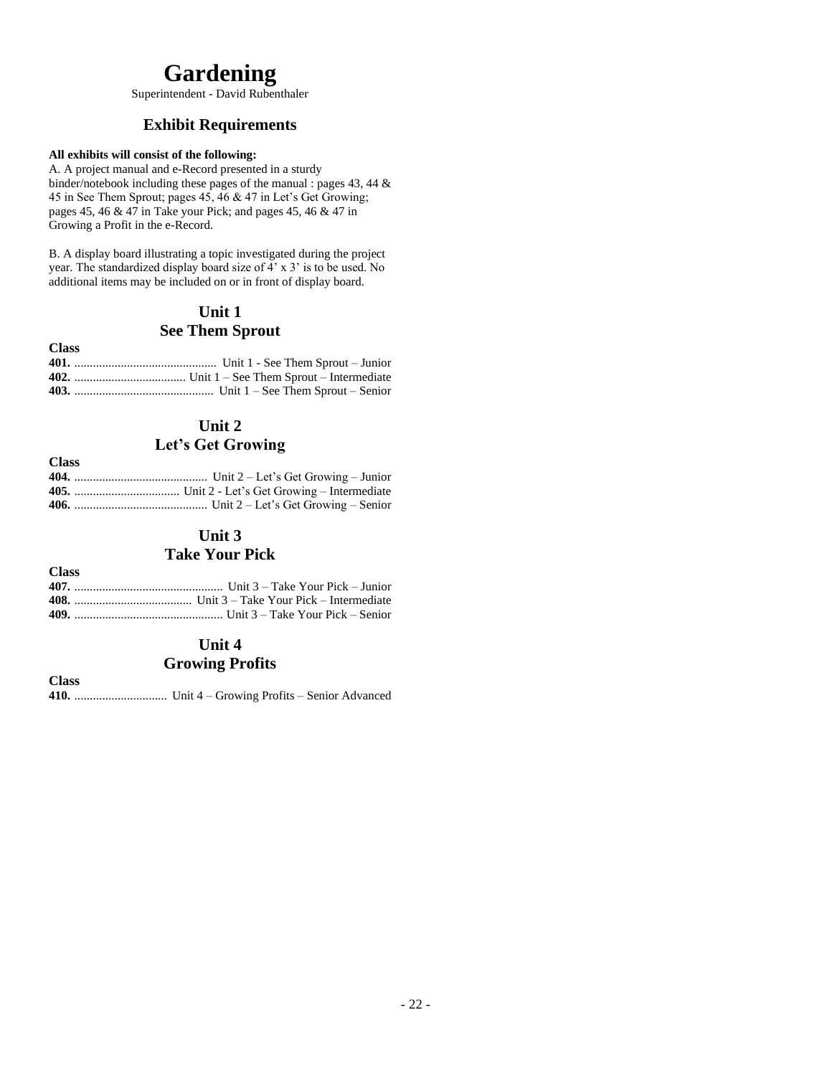# **Gardening**

Superintendent - David Rubenthaler

## **Exhibit Requirements**

### **All exhibits will consist of the following:**

**Class**

**Class**

**Class**

A. A project manual and e-Record presented in a sturdy binder/notebook including these pages of the manual : pages 43, 44 & 45 in See Them Sprout; pages 45, 46 & 47 in Let's Get Growing; pages 45, 46 & 47 in Take your Pick; and pages 45, 46 & 47 in Growing a Profit in the e-Record.

B. A display board illustrating a topic investigated during the project year. The standardized display board size of 4' x 3' is to be used. No additional items may be included on or in front of display board.

## **Unit 1 See Them Sprout**

| Смая |  |
|------|--|
|      |  |
|      |  |
|      |  |
|      |  |

## **Unit 2 Let's Get Growing**

| $\sim$ |  |
|--------|--|
|        |  |
|        |  |
|        |  |

## **Unit 3**

## **Take Your Pick**

### **Class 407.** ................................................ Unit 3 – Take Your Pick – Junior **408.** ...................................... Unit 3 – Take Your Pick – Intermediate **409.** ................................................ Unit 3 – Take Your Pick – Senior

# **Unit 4**

## **Growing Profits**

**410.** .............................. Unit 4 – Growing Profits – Senior Advanced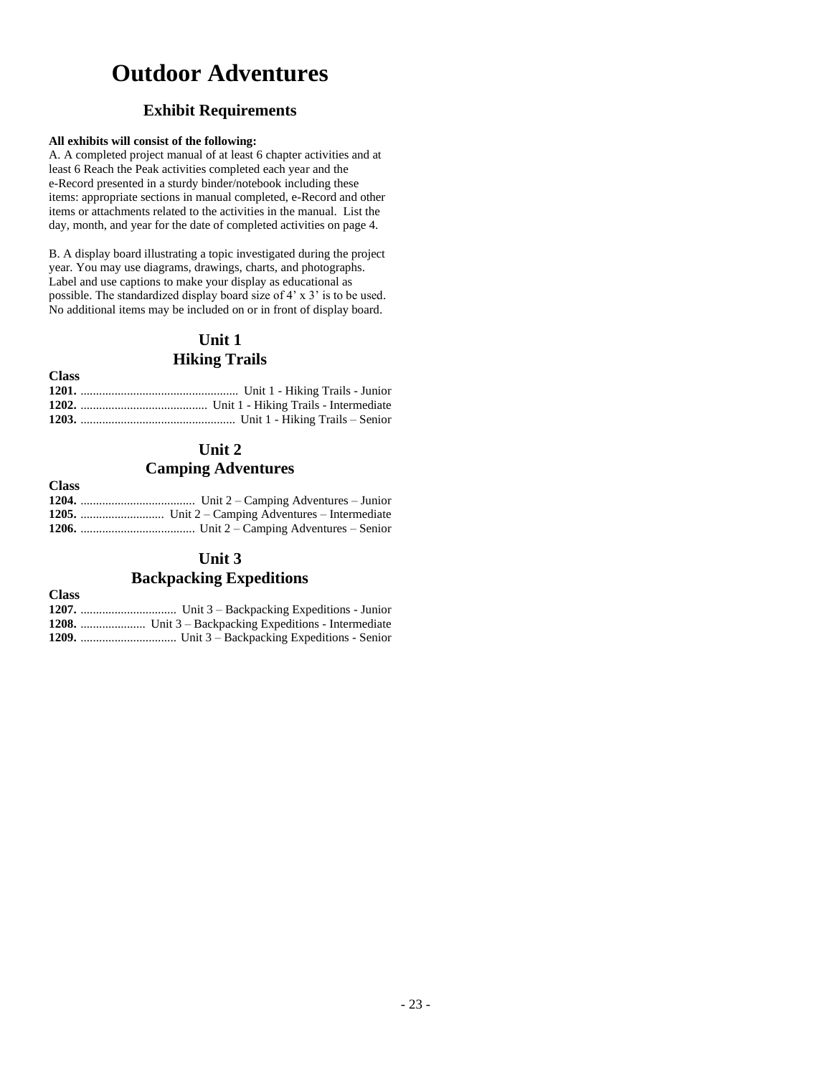# **Outdoor Adventures**

## **Exhibit Requirements**

### **All exhibits will consist of the following:**

A. A completed project manual of at least 6 chapter activities and at least 6 Reach the Peak activities completed each year and the e-Record presented in a sturdy binder/notebook including these items: appropriate sections in manual completed, e-Record and other items or attachments related to the activities in the manual. List the day, month, and year for the date of completed activities on page 4.

B. A display board illustrating a topic investigated during the project year. You may use diagrams, drawings, charts, and photographs. Label and use captions to make your display as educational as possible. The standardized display board size of 4' x 3' is to be used. No additional items may be included on or in front of display board.

## **Unit 1 Hiking Trails**

| <b>Class</b> |  |
|--------------|--|
|              |  |
|              |  |
|              |  |

## **Unit 2 Camping Adventures**

| <b>Class</b> |  |
|--------------|--|
|              |  |
|              |  |
|              |  |

## **Unit 3 Backpacking Expeditions**

| $\sim$ |                                                              |
|--------|--------------------------------------------------------------|
|        |                                                              |
|        | <b>1208.</b> Unit 3 – Backpacking Expeditions - Intermediate |
|        |                                                              |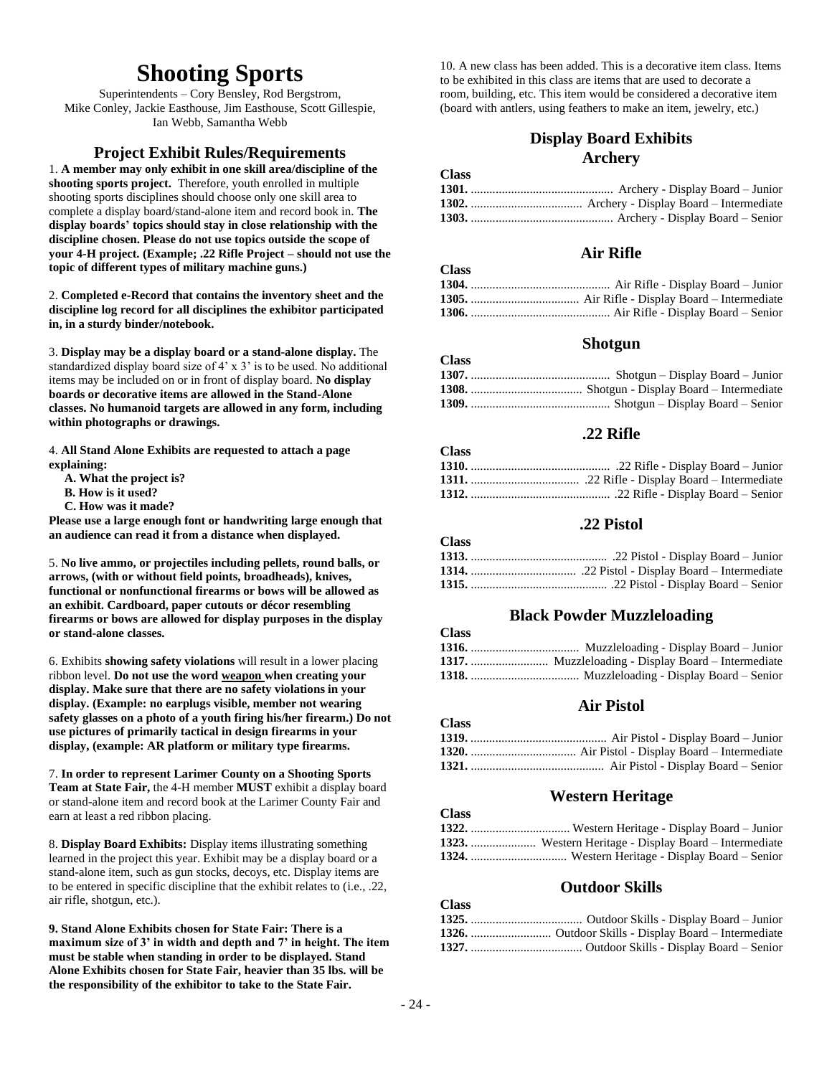## **Shooting Sports**

Superintendents – Cory Bensley, Rod Bergstrom, Mike Conley, Jackie Easthouse, Jim Easthouse, Scott Gillespie, Ian Webb, Samantha Webb

## **Project Exhibit Rules/Requirements**

1. **A member may only exhibit in one skill area/discipline of the shooting sports project.** Therefore, youth enrolled in multiple shooting sports disciplines should choose only one skill area to complete a display board/stand-alone item and record book in. **The display boards' topics should stay in close relationship with the discipline chosen. Please do not use topics outside the scope of your 4-H project. (Example; .22 Rifle Project – should not use the topic of different types of military machine guns.)**

2. **Completed e-Record that contains the inventory sheet and the discipline log record for all disciplines the exhibitor participated in, in a sturdy binder/notebook.**

3. **Display may be a display board or a stand-alone display.** The standardized display board size of 4' x 3' is to be used. No additional items may be included on or in front of display board. **No display boards or decorative items are allowed in the Stand-Alone classes. No humanoid targets are allowed in any form, including within photographs or drawings.**

4. **All Stand Alone Exhibits are requested to attach a page explaining:**

 **A. What the project is?**

- **B. How is it used?**
- **C. How was it made?**

**Please use a large enough font or handwriting large enough that an audience can read it from a distance when displayed.**

5. **No live ammo, or projectiles including pellets, round balls, or arrows, (with or without field points, broadheads), knives, functional or nonfunctional firearms or bows will be allowed as an exhibit. Cardboard, paper cutouts or décor resembling firearms or bows are allowed for display purposes in the display or stand-alone classes.**

6. Exhibits **showing safety violations** will result in a lower placing ribbon level. **Do not use the word weapon when creating your display. Make sure that there are no safety violations in your display. (Example: no earplugs visible, member not wearing safety glasses on a photo of a youth firing his/her firearm.) Do not use pictures of primarily tactical in design firearms in your display, (example: AR platform or military type firearms.**

7. **In order to represent Larimer County on a Shooting Sports Team at State Fair,** the 4-H member **MUST** exhibit a display board or stand-alone item and record book at the Larimer County Fair and earn at least a red ribbon placing.

8. **Display Board Exhibits:** Display items illustrating something learned in the project this year. Exhibit may be a display board or a stand-alone item, such as gun stocks, decoys, etc. Display items are to be entered in specific discipline that the exhibit relates to (i.e., .22, air rifle, shotgun, etc.).

**9. Stand Alone Exhibits chosen for State Fair: There is a maximum size of 3' in width and depth and 7' in height. The item must be stable when standing in order to be displayed. Stand Alone Exhibits chosen for State Fair, heavier than 35 lbs. will be the responsibility of the exhibitor to take to the State Fair.**

10. A new class has been added. This is a decorative item class. Items to be exhibited in this class are items that are used to decorate a room, building, etc. This item would be considered a decorative item (board with antlers, using feathers to make an item, jewelry, etc.)

## **Display Board Exhibits Archery**

**Class**

**Class**

**Class**

**Class**

**Class**

## **Air Rifle**

| <b>Class</b> |  |
|--------------|--|
|              |  |
|              |  |
|              |  |

## **Shotgun**

| <b>Class</b> |  |
|--------------|--|
|              |  |
|              |  |
|              |  |

## **.22 Rifle**

| Class |  |
|-------|--|
|       |  |
|       |  |
|       |  |

## **.22 Pistol**

| Стаээ |  |
|-------|--|
|       |  |
|       |  |
|       |  |

## **Black Powder Muzzleloading**

| URS U |  |
|-------|--|
|       |  |
|       |  |
|       |  |

## **Air Pistol**

| $\sim$ |  |
|--------|--|
|        |  |
|        |  |
|        |  |

### **Western Heritage**

| <b>Class</b> |                                                              |
|--------------|--------------------------------------------------------------|
|              |                                                              |
|              | <b>1323.</b> Western Heritage - Display Board – Intermediate |
|              |                                                              |
|              |                                                              |

## **Outdoor Skills**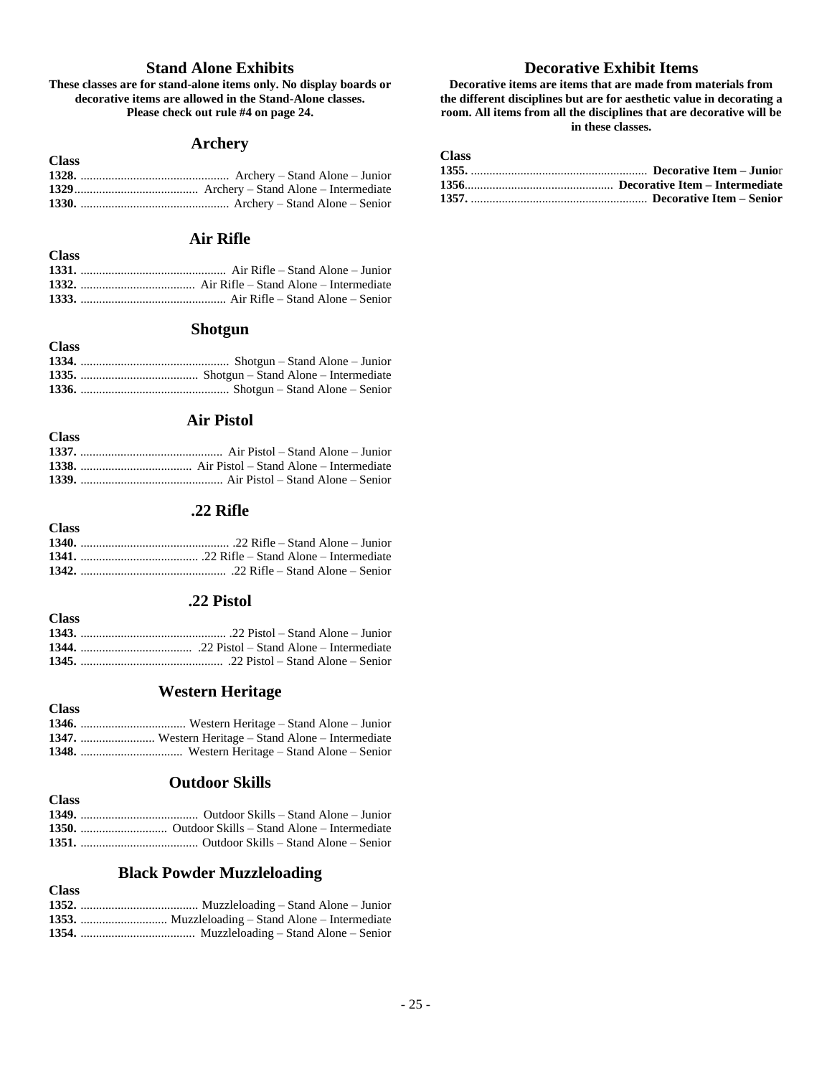## **Stand Alone Exhibits**

### **These classes are for stand-alone items only. No display boards or decorative items are allowed in the Stand-Alone classes. Please check out rule #4 on page 24.**

## **Archery**

| <b>Class</b> |  |
|--------------|--|
|              |  |
|              |  |
|              |  |
|              |  |

## **Air Rifle**

**Class**

**Class**

**Class**

### **Shotgun**

| <b>Class</b> |  |
|--------------|--|
|              |  |
|              |  |
|              |  |

## **Air Pistol**

### **.22 Rifle**

| <b>Class</b> |  |
|--------------|--|
|              |  |
|              |  |
|              |  |

## **.22 Pistol**

## **Western Heritage**

| <b>Class</b> |                                                            |
|--------------|------------------------------------------------------------|
|              |                                                            |
|              | <b>1347.</b> Western Heritage – Stand Alone – Intermediate |
|              |                                                            |

## **Outdoor Skills**

| <b>Class</b> |  |
|--------------|--|
|              |  |
|              |  |
|              |  |

## **Black Powder Muzzleloading**

| <b>Class</b> |  |
|--------------|--|
|              |  |
|              |  |
|              |  |

## **Decorative Exhibit Items**

**Decorative items are items that are made from materials from the different disciplines but are for aesthetic value in decorating a room. All items from all the disciplines that are decorative will be in these classes.**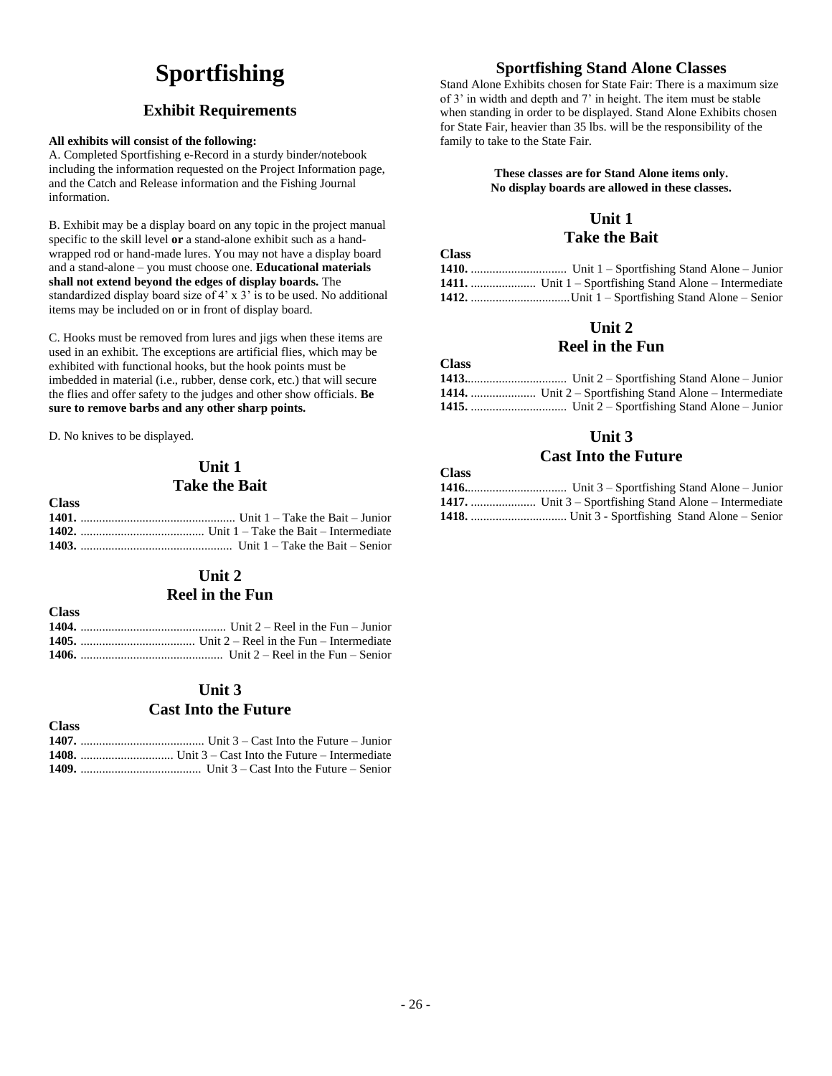# **Sportfishing**

## **Exhibit Requirements**

### **All exhibits will consist of the following:**

A. Completed Sportfishing e-Record in a sturdy binder/notebook including the information requested on the Project Information page, and the Catch and Release information and the Fishing Journal information.

B. Exhibit may be a display board on any topic in the project manual specific to the skill level **or** a stand-alone exhibit such as a handwrapped rod or hand-made lures. You may not have a display board and a stand-alone – you must choose one. **Educational materials shall not extend beyond the edges of display boards.** The standardized display board size of 4' x 3' is to be used. No additional items may be included on or in front of display board.

C. Hooks must be removed from lures and jigs when these items are used in an exhibit. The exceptions are artificial flies, which may be exhibited with functional hooks, but the hook points must be imbedded in material (i.e., rubber, dense cork, etc.) that will secure the flies and offer safety to the judges and other show officials. **Be sure to remove barbs and any other sharp points.**

D. No knives to be displayed.

**Class**

**Class**

## **Unit 1 Take the Bait**

| UTASS - |                                                |
|---------|------------------------------------------------|
|         | 1401. $\ldots$ Unit 1 – Take the Bait – Junior |
|         |                                                |
|         |                                                |

## **Unit 2**

## **Reel in the Fun**

**Class 1404.** ............................................... Unit 2 – Reel in the Fun – Junior **1405.** ..................................... Unit 2 – Reel in the Fun – Intermediate **1406.** .............................................. Unit 2 – Reel in the Fun – Senior

## **Unit 3 Cast Into the Future**

| A JASS. |  |
|---------|--|
|         |  |
|         |  |
|         |  |

## **Sportfishing Stand Alone Classes**

Stand Alone Exhibits chosen for State Fair: There is a maximum size of 3' in width and depth and 7' in height. The item must be stable when standing in order to be displayed. Stand Alone Exhibits chosen for State Fair, heavier than 35 lbs. will be the responsibility of the family to take to the State Fair.

### **These classes are for Stand Alone items only. No display boards are allowed in these classes.**

## **Unit 1**

## **Take the Bait**

| <b>Class</b> |  |
|--------------|--|
|              |  |
|              |  |
|              |  |
|              |  |

## **Unit 2**

## **Reel in the Fun**

| <b>Class</b> |  |
|--------------|--|
|              |  |
|              |  |
|              |  |

## **Unit 3**

## **Cast Into the Future**

| URSS - |  |
|--------|--|
|        |  |
|        |  |
|        |  |
|        |  |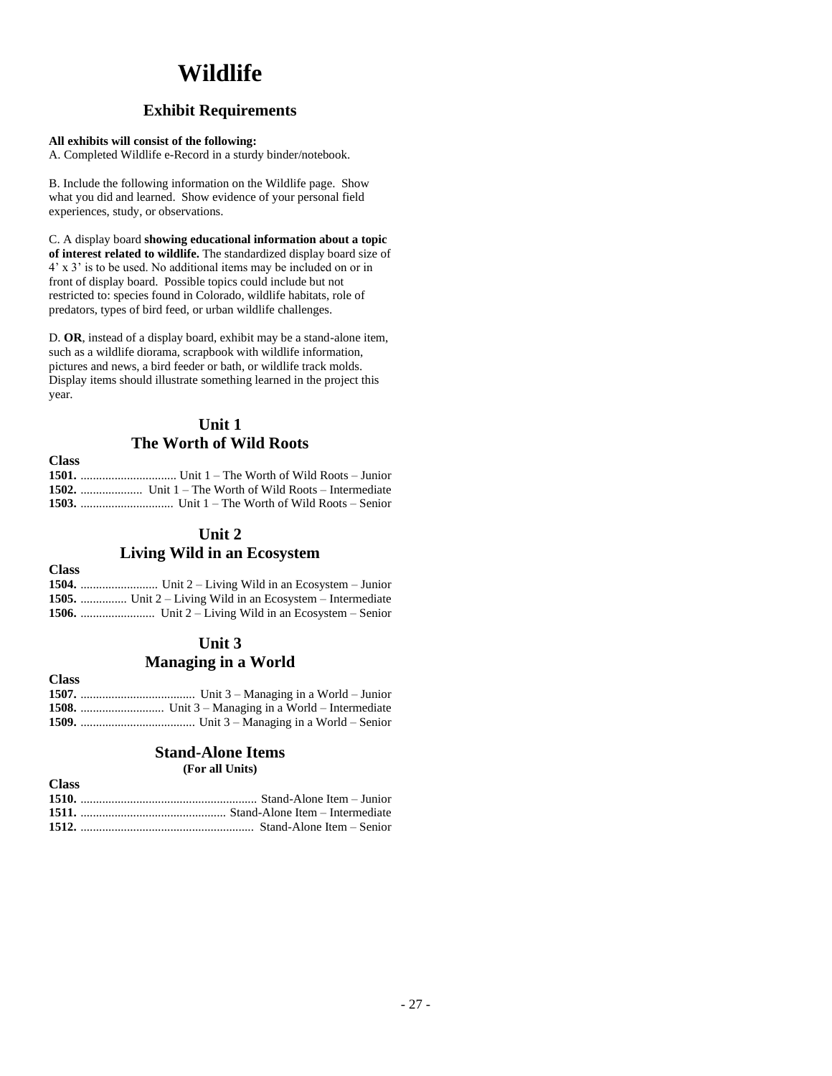# **Wildlife**

## **Exhibit Requirements**

### **All exhibits will consist of the following:**

A. Completed Wildlife e-Record in a sturdy binder/notebook.

B. Include the following information on the Wildlife page. Show what you did and learned. Show evidence of your personal field experiences, study, or observations.

C. A display board **showing educational information about a topic of interest related to wildlife.** The standardized display board size of 4' x 3' is to be used. No additional items may be included on or in front of display board. Possible topics could include but not restricted to: species found in Colorado, wildlife habitats, role of predators, types of bird feed, or urban wildlife challenges.

D. **OR**, instead of a display board, exhibit may be a stand-alone item, such as a wildlife diorama, scrapbook with wildlife information, pictures and news, a bird feeder or bath, or wildlife track molds. Display items should illustrate something learned in the project this year.

## **Unit 1 The Worth of Wild Roots**

| <b>Class</b> |  |
|--------------|--|
|              |  |
|              |  |
|              |  |

## **Unit 2**

## **Living Wild in an Ecosystem**

**Class**

| <b>1505.</b> Unit 2 – Living Wild in an Ecosystem – Intermediate |
|------------------------------------------------------------------|
|                                                                  |

## **Unit 3 Managing in a World**

| Стазэ |  |
|-------|--|
|       |  |
|       |  |
|       |  |

## **Stand-Alone Items**

**(For all Units)**

| <b>Class</b> |  |
|--------------|--|
|              |  |
|              |  |
|              |  |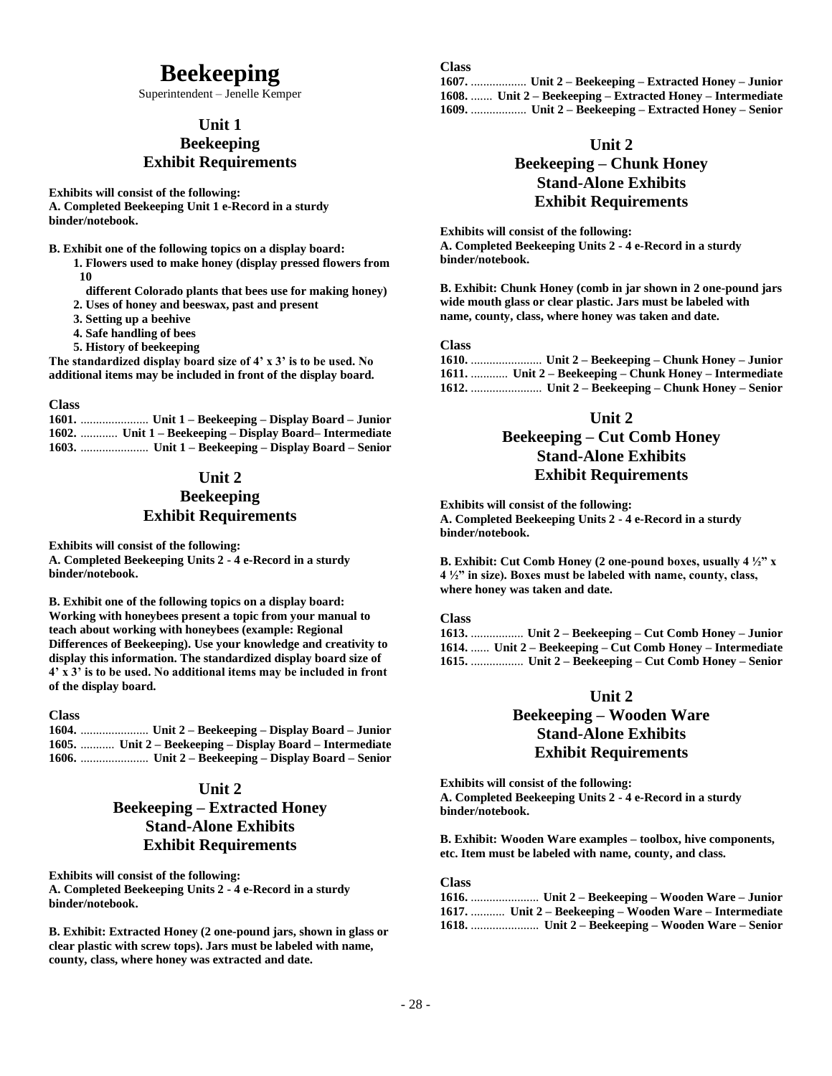## **Beekeeping**

Superintendent – Jenelle Kemper

## **Unit 1**

## **Beekeeping Exhibit Requirements**

**Exhibits will consist of the following: A. Completed Beekeeping Unit 1 e-Record in a sturdy binder/notebook.**

**B. Exhibit one of the following topics on a display board:**

- **1. Flowers used to make honey (display pressed flowers from 10** 
	- **different Colorado plants that bees use for making honey)**
- **2. Uses of honey and beeswax, past and present**
- **3. Setting up a beehive**
- **4. Safe handling of bees**
- **5. History of beekeeping**

**The standardized display board size of 4' x 3' is to be used. No additional items may be included in front of the display board.**

### **Class**

**1601.** ...................... **Unit 1 – Beekeeping – Display Board – Junior 1602.** ............ **Unit 1 – Beekeeping – Display Board– Intermediate 1603.** ...................... **Unit 1 – Beekeeping – Display Board – Senior**

## **Unit 2 Beekeeping Exhibit Requirements**

**Exhibits will consist of the following: A. Completed Beekeeping Units 2 - 4 e-Record in a sturdy binder/notebook.**

**B. Exhibit one of the following topics on a display board: Working with honeybees present a topic from your manual to teach about working with honeybees (example: Regional Differences of Beekeeping). Use your knowledge and creativity to display this information. The standardized display board size of 4' x 3' is to be used. No additional items may be included in front of the display board.**

### **Class**

**1604.** ...................... **Unit 2 – Beekeeping – Display Board – Junior 1605.** ........... **Unit 2 – Beekeeping – Display Board – Intermediate 1606.** ...................... **Unit 2 – Beekeeping – Display Board – Senior**

### **Unit 2**

## **Beekeeping – Extracted Honey Stand-Alone Exhibits Exhibit Requirements**

**Exhibits will consist of the following: A. Completed Beekeeping Units 2 - 4 e-Record in a sturdy binder/notebook.**

**B. Exhibit: Extracted Honey (2 one-pound jars, shown in glass or clear plastic with screw tops). Jars must be labeled with name, county, class, where honey was extracted and date.**

### **Class**

**1607.** .................. **Unit 2 – Beekeeping – Extracted Honey – Junior 1608.** ....... **Unit 2 – Beekeeping – Extracted Honey – Intermediate 1609.** .................. **Unit 2 – Beekeeping – Extracted Honey – Senior**

### **Unit 2**

## **Beekeeping – Chunk Honey Stand-Alone Exhibits Exhibit Requirements**

**Exhibits will consist of the following: A. Completed Beekeeping Units 2 - 4 e-Record in a sturdy binder/notebook.**

**B. Exhibit: Chunk Honey (comb in jar shown in 2 one-pound jars wide mouth glass or clear plastic. Jars must be labeled with name, county, class, where honey was taken and date.**

### **Class**

| 1611.  Unit 2 – Beekeeping – Chunk Honey – Intermediate |
|---------------------------------------------------------|
|                                                         |

### **Unit 2**

## **Beekeeping – Cut Comb Honey Stand-Alone Exhibits Exhibit Requirements**

**Exhibits will consist of the following: A. Completed Beekeeping Units 2 - 4 e-Record in a sturdy binder/notebook.**

**B. Exhibit: Cut Comb Honey (2 one-pound boxes, usually 4 ½" x 4 ½" in size). Boxes must be labeled with name, county, class, where honey was taken and date.**

### **Class**

**1613.** ................. **Unit 2 – Beekeeping – Cut Comb Honey – Junior 1614.** ...... **Unit 2 – Beekeeping – Cut Comb Honey – Intermediate 1615.** ................. **Unit 2 – Beekeeping – Cut Comb Honey – Senior**

### **Unit 2**

## **Beekeeping – Wooden Ware Stand-Alone Exhibits Exhibit Requirements**

**Exhibits will consist of the following: A. Completed Beekeeping Units 2 - 4 e-Record in a sturdy binder/notebook.**

**B. Exhibit: Wooden Ware examples – toolbox, hive components, etc. Item must be labeled with name, county, and class.**

| 1617.  Unit 2 – Beekeeping – Wooden Ware – Intermediate |
|---------------------------------------------------------|
|                                                         |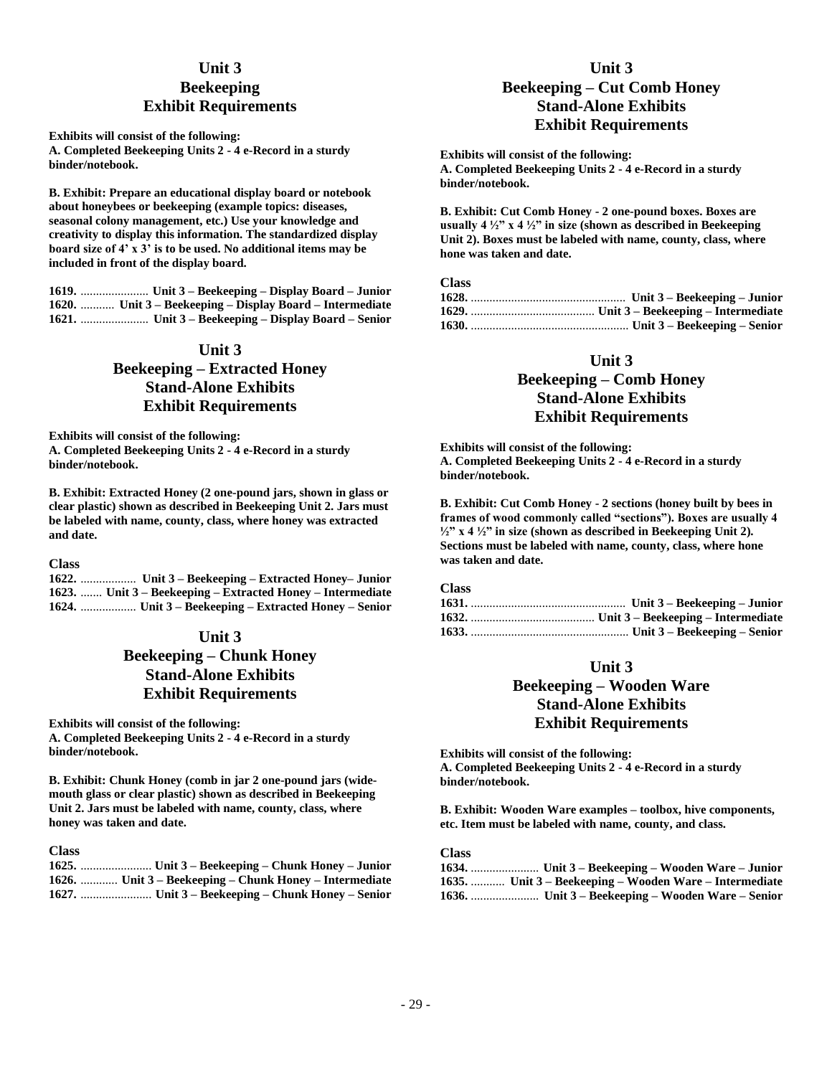### **Unit 3**

## **Beekeeping Exhibit Requirements**

**Exhibits will consist of the following: A. Completed Beekeeping Units 2 - 4 e-Record in a sturdy binder/notebook.**

**B. Exhibit: Prepare an educational display board or notebook about honeybees or beekeeping (example topics: diseases, seasonal colony management, etc.) Use your knowledge and creativity to display this information. The standardized display board size of 4' x 3' is to be used. No additional items may be included in front of the display board.**

**1619.** ...................... **Unit 3 – Beekeeping – Display Board – Junior 1620.** ........... **Unit 3 – Beekeeping – Display Board – Intermediate 1621.** ...................... **Unit 3 – Beekeeping – Display Board – Senior**

### **Unit 3**

## **Beekeeping – Extracted Honey Stand-Alone Exhibits Exhibit Requirements**

**Exhibits will consist of the following: A. Completed Beekeeping Units 2 - 4 e-Record in a sturdy binder/notebook.**

**B. Exhibit: Extracted Honey (2 one-pound jars, shown in glass or clear plastic) shown as described in Beekeeping Unit 2. Jars must be labeled with name, county, class, where honey was extracted and date.**

**Class**

**1622.** .................. **Unit 3 – Beekeeping – Extracted Honey– Junior 1623.** ....... **Unit 3 – Beekeeping – Extracted Honey – Intermediate 1624.** .................. **Unit 3 – Beekeeping – Extracted Honey – Senior**

## **Unit 3 Beekeeping – Chunk Honey Stand-Alone Exhibits Exhibit Requirements**

**Exhibits will consist of the following: A. Completed Beekeeping Units 2 - 4 e-Record in a sturdy binder/notebook.**

**B. Exhibit: Chunk Honey (comb in jar 2 one-pound jars (widemouth glass or clear plastic) shown as described in Beekeeping Unit 2. Jars must be labeled with name, county, class, where honey was taken and date.**

### **Class**

| 1626.  Unit 3 – Beekeeping – Chunk Honey – Intermediate |
|---------------------------------------------------------|
|                                                         |

## **Unit 3 Beekeeping – Cut Comb Honey Stand-Alone Exhibits Exhibit Requirements**

**Exhibits will consist of the following: A. Completed Beekeeping Units 2 - 4 e-Record in a sturdy binder/notebook.**

**B. Exhibit: Cut Comb Honey - 2 one-pound boxes. Boxes are usually 4 ½" x 4 ½" in size (shown as described in Beekeeping Unit 2). Boxes must be labeled with name, county, class, where hone was taken and date.**

#### **Class**

### **Unit 3**

## **Beekeeping – Comb Honey Stand-Alone Exhibits Exhibit Requirements**

**Exhibits will consist of the following: A. Completed Beekeeping Units 2 - 4 e-Record in a sturdy binder/notebook.**

**B. Exhibit: Cut Comb Honey - 2 sections (honey built by bees in frames of wood commonly called "sections"). Boxes are usually 4 ½" x 4 ½" in size (shown as described in Beekeeping Unit 2). Sections must be labeled with name, county, class, where hone was taken and date.**

### **Class**

### **Unit 3**

## **Beekeeping – Wooden Ware Stand-Alone Exhibits Exhibit Requirements**

**Exhibits will consist of the following: A. Completed Beekeeping Units 2 - 4 e-Record in a sturdy binder/notebook.**

**B. Exhibit: Wooden Ware examples – toolbox, hive components, etc. Item must be labeled with name, county, and class.**

| 1634.  Unit 3 – Beekeeping – Wooden Ware – Junior       |
|---------------------------------------------------------|
| 1635.  Unit 3 – Beekeeping – Wooden Ware – Intermediate |
|                                                         |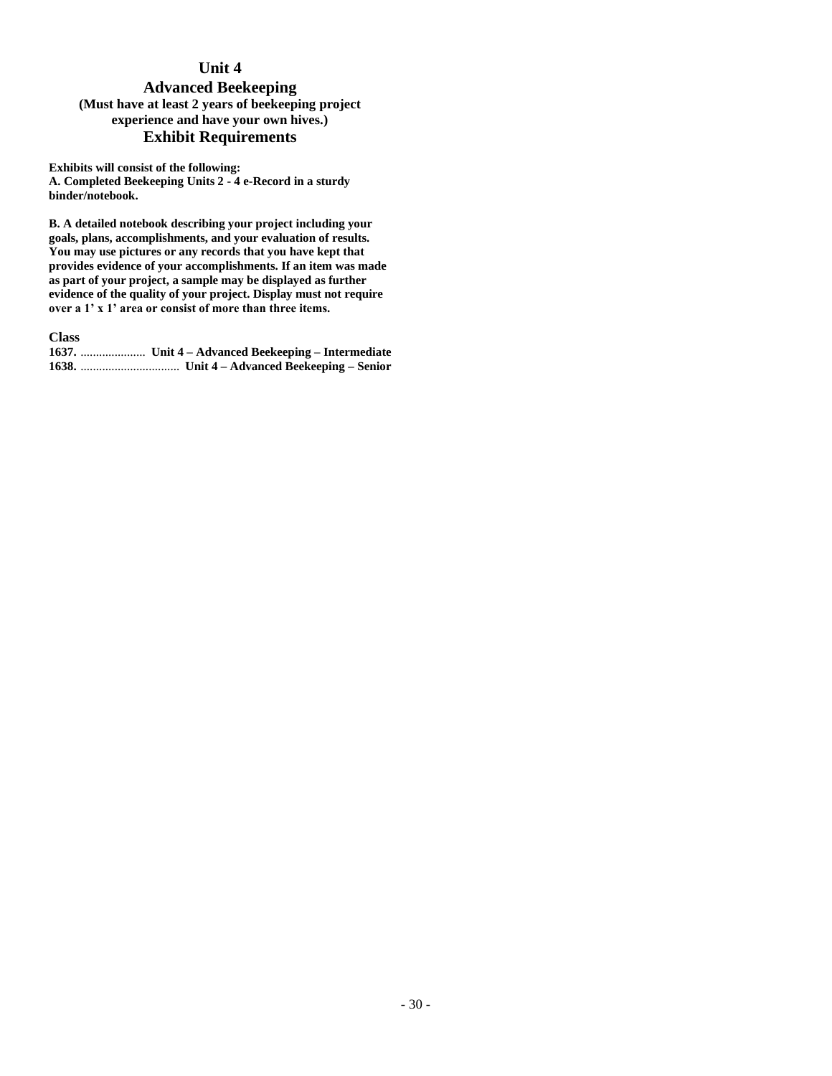## **Unit 4**

## **Advanced Beekeeping (Must have at least 2 years of beekeeping project experience and have your own hives.) Exhibit Requirements**

**Exhibits will consist of the following: A. Completed Beekeeping Units 2 - 4 e-Record in a sturdy binder/notebook.**

**B. A detailed notebook describing your project including your goals, plans, accomplishments, and your evaluation of results. You may use pictures or any records that you have kept that provides evidence of your accomplishments. If an item was made as part of your project, a sample may be displayed as further evidence of the quality of your project. Display must not require over a 1' x 1' area or consist of more than three items.**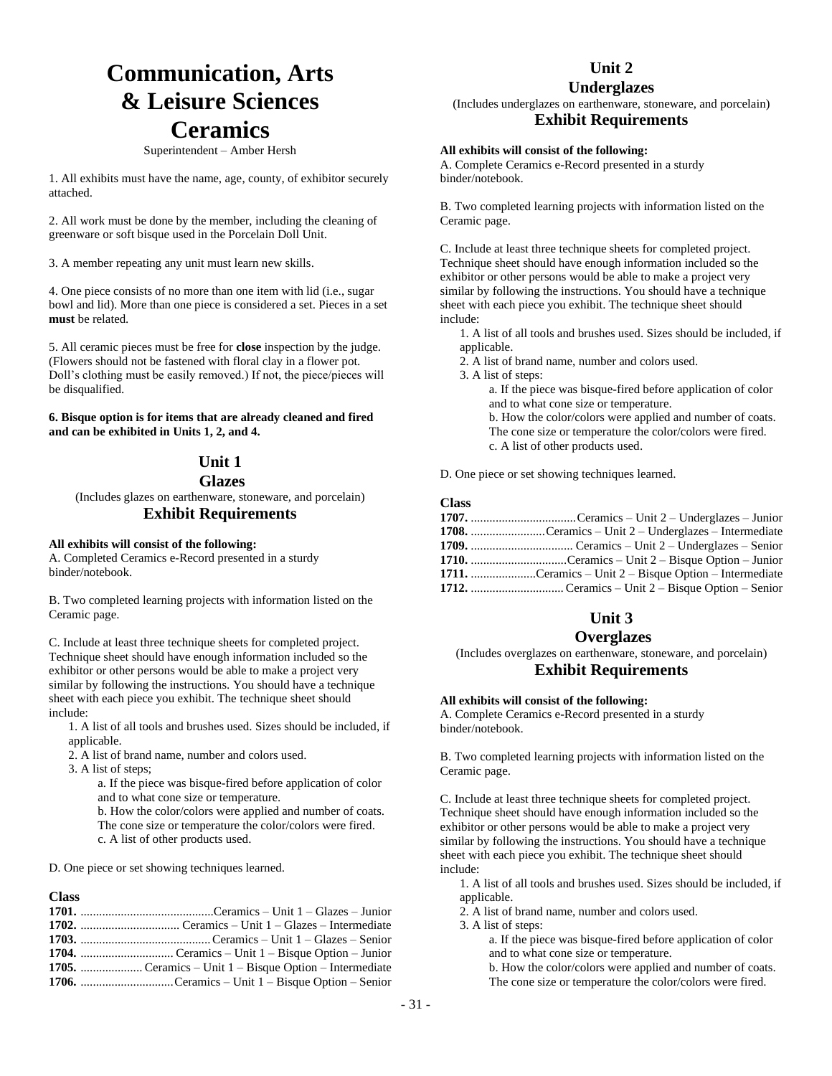# **Communication, Arts & Leisure Sciences Ceramics**

#### Superintendent – Amber Hersh

1. All exhibits must have the name, age, county, of exhibitor securely attached.

2. All work must be done by the member, including the cleaning of greenware or soft bisque used in the Porcelain Doll Unit.

3. A member repeating any unit must learn new skills.

4. One piece consists of no more than one item with lid (i.e., sugar bowl and lid). More than one piece is considered a set. Pieces in a set **must** be related.

5. All ceramic pieces must be free for **close** inspection by the judge. (Flowers should not be fastened with floral clay in a flower pot. Doll's clothing must be easily removed.) If not, the piece/pieces will be disqualified.

**6. Bisque option is for items that are already cleaned and fired and can be exhibited in Units 1, 2, and 4.**

## **Unit 1**

**Glazes**

(Includes glazes on earthenware, stoneware, and porcelain)

### **Exhibit Requirements**

### **All exhibits will consist of the following:**

A. Completed Ceramics e-Record presented in a sturdy binder/notebook.

B. Two completed learning projects with information listed on the Ceramic page.

C. Include at least three technique sheets for completed project. Technique sheet should have enough information included so the exhibitor or other persons would be able to make a project very similar by following the instructions. You should have a technique sheet with each piece you exhibit. The technique sheet should include:

1. A list of all tools and brushes used. Sizes should be included, if applicable.

2. A list of brand name, number and colors used.

3. A list of steps;

a. If the piece was bisque-fired before application of color and to what cone size or temperature.

b. How the color/colors were applied and number of coats. The cone size or temperature the color/colors were fired.

c. A list of other products used.

D. One piece or set showing techniques learned.

#### **Class**

## **Unit 2**

### **Underglazes**

(Includes underglazes on earthenware, stoneware, and porcelain) **Exhibit Requirements**

### **All exhibits will consist of the following:**

A. Complete Ceramics e-Record presented in a sturdy binder/notebook.

B. Two completed learning projects with information listed on the Ceramic page.

C. Include at least three technique sheets for completed project. Technique sheet should have enough information included so the exhibitor or other persons would be able to make a project very similar by following the instructions. You should have a technique sheet with each piece you exhibit. The technique sheet should include:

1. A list of all tools and brushes used. Sizes should be included, if applicable.

2. A list of brand name, number and colors used.

3. A list of steps:

a. If the piece was bisque-fired before application of color and to what cone size or temperature.

b. How the color/colors were applied and number of coats. The cone size or temperature the color/colors were fired. c. A list of other products used.

D. One piece or set showing techniques learned.

#### **Class**

| 1708. Ceramics – Unit 2 – Underglazes – Intermediate     |
|----------------------------------------------------------|
|                                                          |
|                                                          |
| 1711. Ceramics – Unit $2 - Bisque Option - Intermediate$ |
|                                                          |

## **Unit 3**

### **Overglazes**

(Includes overglazes on earthenware, stoneware, and porcelain) **Exhibit Requirements**

#### **All exhibits will consist of the following:**

A. Complete Ceramics e-Record presented in a sturdy binder/notebook.

B. Two completed learning projects with information listed on the Ceramic page.

C. Include at least three technique sheets for completed project. Technique sheet should have enough information included so the exhibitor or other persons would be able to make a project very similar by following the instructions. You should have a technique sheet with each piece you exhibit. The technique sheet should include:

1. A list of all tools and brushes used. Sizes should be included, if applicable.

2. A list of brand name, number and colors used.

3. A list of steps:

a. If the piece was bisque-fired before application of color and to what cone size or temperature.

b. How the color/colors were applied and number of coats. The cone size or temperature the color/colors were fired.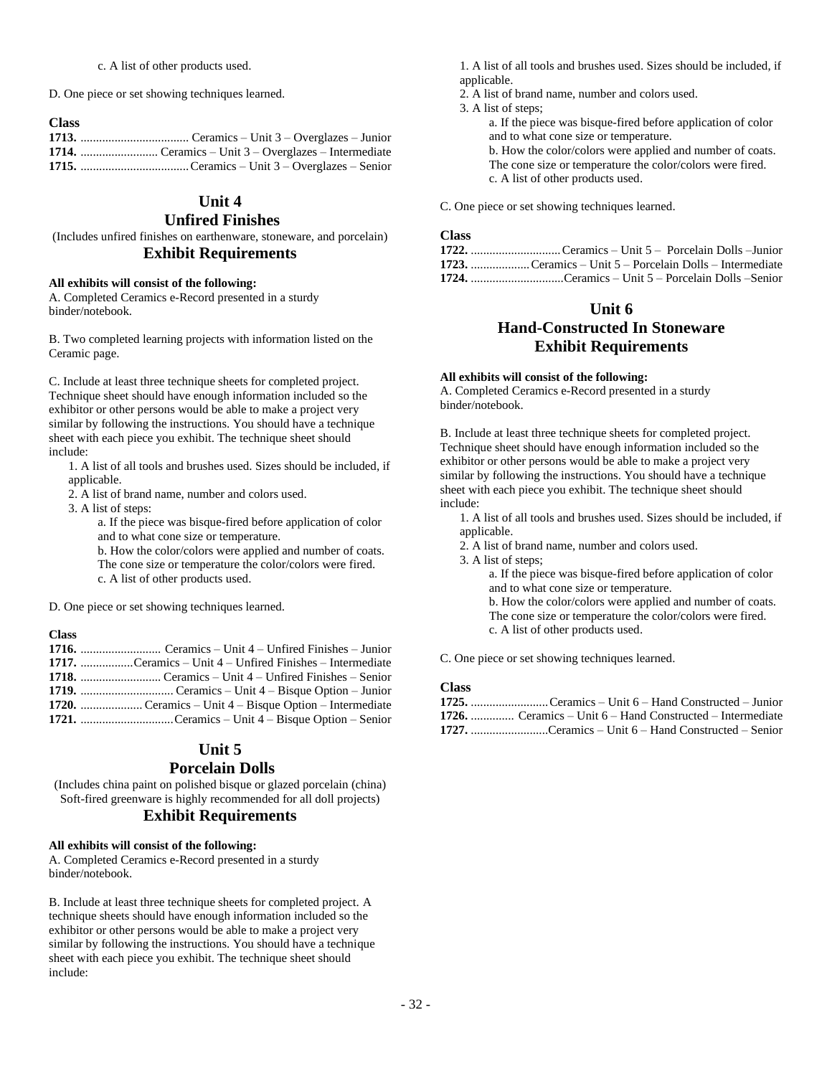D. One piece or set showing techniques learned.

### **Class**

## **Unit 4**

### **Unfired Finishes**

(Includes unfired finishes on earthenware, stoneware, and porcelain) **Exhibit Requirements**

### **All exhibits will consist of the following:**

A. Completed Ceramics e-Record presented in a sturdy binder/notebook.

B. Two completed learning projects with information listed on the Ceramic page.

C. Include at least three technique sheets for completed project. Technique sheet should have enough information included so the exhibitor or other persons would be able to make a project very similar by following the instructions. You should have a technique sheet with each piece you exhibit. The technique sheet should include:

1. A list of all tools and brushes used. Sizes should be included, if applicable.

2. A list of brand name, number and colors used.

3. A list of steps:

a. If the piece was bisque-fired before application of color and to what cone size or temperature.

b. How the color/colors were applied and number of coats. The cone size or temperature the color/colors were fired. c. A list of other products used.

D. One piece or set showing techniques learned.

### **Class**

| 1717. Ceramics – Unit $4$ – Unfired Finishes – Intermediate |
|-------------------------------------------------------------|
|                                                             |
|                                                             |
|                                                             |
|                                                             |

## **Unit 5**

### **Porcelain Dolls**

(Includes china paint on polished bisque or glazed porcelain (china) Soft-fired greenware is highly recommended for all doll projects) **Exhibit Requirements**

### **All exhibits will consist of the following:**

A. Completed Ceramics e-Record presented in a sturdy binder/notebook.

B. Include at least three technique sheets for completed project. A technique sheets should have enough information included so the exhibitor or other persons would be able to make a project very similar by following the instructions. You should have a technique sheet with each piece you exhibit. The technique sheet should include:

1. A list of all tools and brushes used. Sizes should be included, if applicable.

- 2. A list of brand name, number and colors used.
- 3. A list of steps;

a. If the piece was bisque-fired before application of color and to what cone size or temperature.

b. How the color/colors were applied and number of coats. The cone size or temperature the color/colors were fired. c. A list of other products used.

C. One piece or set showing techniques learned.

#### **Class**

| $1723$ , Ceramics – Unit $5$ – Porcelain Dolls – Intermediate |
|---------------------------------------------------------------|
| 1724. Ceramics – Unit 5 – Porcelain Dolls –Senior             |

## **Unit 6**

## **Hand-Constructed In Stoneware Exhibit Requirements**

#### **All exhibits will consist of the following:**

A. Completed Ceramics e-Record presented in a sturdy binder/notebook.

B. Include at least three technique sheets for completed project. Technique sheet should have enough information included so the exhibitor or other persons would be able to make a project very similar by following the instructions. You should have a technique sheet with each piece you exhibit. The technique sheet should include:

1. A list of all tools and brushes used. Sizes should be included, if applicable.

2. A list of brand name, number and colors used.

3. A list of steps;

a. If the piece was bisque-fired before application of color and to what cone size or temperature.

b. How the color/colors were applied and number of coats. The cone size or temperature the color/colors were fired.

c. A list of other products used.

C. One piece or set showing techniques learned.

| 1725. Ceramics – Unit 6 – Hand Constructed – Junior          |
|--------------------------------------------------------------|
| 1726.  Ceramics – Unit $6$ – Hand Constructed – Intermediate |
| 1727. Ceramics – Unit 6 – Hand Constructed – Senior          |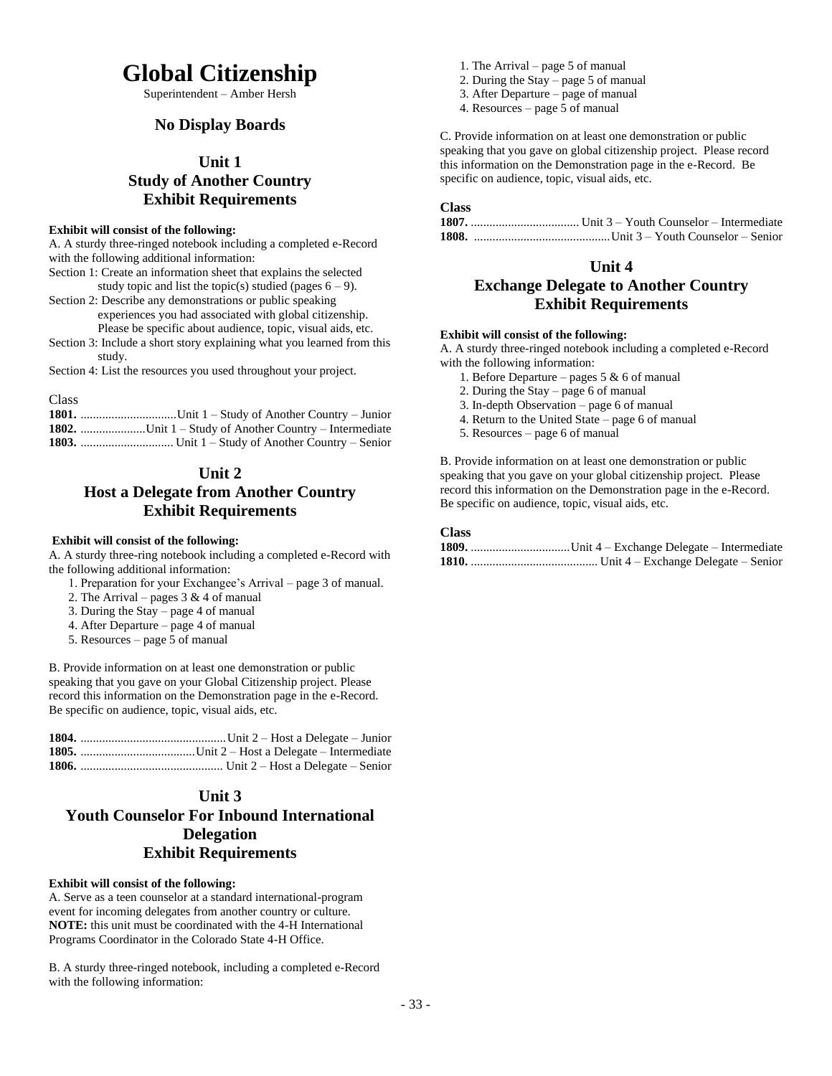# **Global Citizenship**

Superintendent – Amber Hersh

## **No Display Boards**

### **Unit 1**

## **Study of Another Country Exhibit Requirements**

### **Exhibit will consist of the following:**

A. A sturdy three-ringed notebook including a completed e-Record with the following additional information:

Section 1: Create an information sheet that explains the selected study topic and list the topic(s) studied (pages  $6 - 9$ ).

Section 2: Describe any demonstrations or public speaking

- experiences you had associated with global citizenship. Please be specific about audience, topic, visual aids, etc.
- Section 3: Include a short story explaining what you learned from this study.

Section 4: List the resources you used throughout your project.

Class **1801.** ...............................Unit 1 – Study of Another Country – Junior **1802.** .....................Unit 1 – Study of Another Country – Intermediate **1803.** .............................. Unit 1 – Study of Another Country – Senior

## **Unit 2 Host a Delegate from Another Country Exhibit Requirements**

### **Exhibit will consist of the following:**

A. A sturdy three-ring notebook including a completed e-Record with the following additional information:

- 1. Preparation for your Exchangee's Arrival page 3 of manual.
- 2. The Arrival pages  $3 \& 4$  of manual
- 3. During the Stay page 4 of manual
- 4. After Departure page 4 of manual
- 5. Resources page 5 of manual

B. Provide information on at least one demonstration or public speaking that you gave on your Global Citizenship project. Please record this information on the Demonstration page in the e-Record. Be specific on audience, topic, visual aids, etc.

## **Unit 3 Youth Counselor For Inbound International Delegation Exhibit Requirements**

### **Exhibit will consist of the following:**

A. Serve as a teen counselor at a standard international-program event for incoming delegates from another country or culture. **NOTE:** this unit must be coordinated with the 4-H International Programs Coordinator in the Colorado State 4-H Office.

B. A sturdy three-ringed notebook, including a completed e-Record with the following information:

- 1. The Arrival page 5 of manual
- 2. During the Stay page 5 of manual
- 3. After Departure page of manual
- 4. Resources page 5 of manual

C. Provide information on at least one demonstration or public speaking that you gave on global citizenship project. Please record this information on the Demonstration page in the e-Record. Be specific on audience, topic, visual aids, etc.

### **Class**

**1807.** ................................... Unit 3 – Youth Counselor – Intermediate **1808.** ............................................Unit 3 – Youth Counselor – Senior

## **Unit 4**

## **Exchange Delegate to Another Country Exhibit Requirements**

### **Exhibit will consist of the following:**

A. A sturdy three-ringed notebook including a completed e-Record with the following information:

- 1. Before Departure pages  $5 & 6$  of manual
- 2. During the Stay page 6 of manual
- 3. In-depth Observation page 6 of manual
- 4. Return to the United State page 6 of manual
- 5. Resources page 6 of manual

B. Provide information on at least one demonstration or public speaking that you gave on your global citizenship project. Please record this information on the Demonstration page in the e-Record. Be specific on audience, topic, visual aids, etc.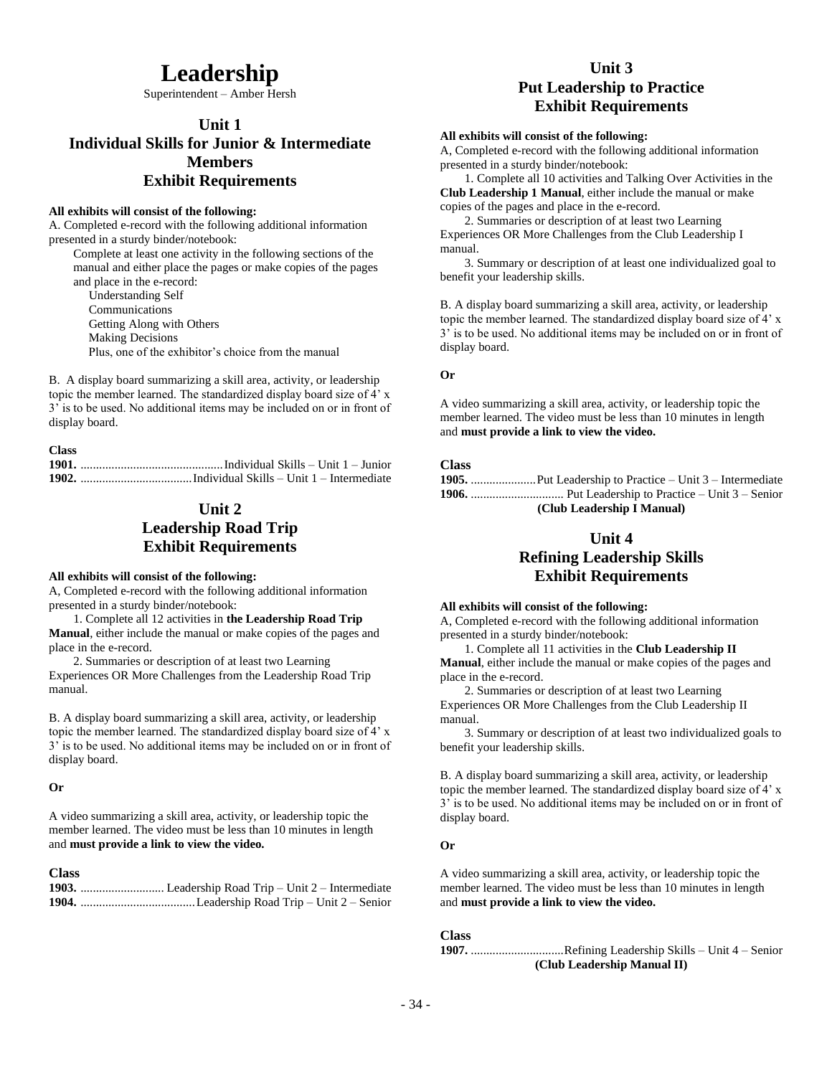# **Leadership**

Superintendent – Amber Hersh

## **Unit 1 Individual Skills for Junior & Intermediate Members Exhibit Requirements**

### **All exhibits will consist of the following:**

A. Completed e-record with the following additional information presented in a sturdy binder/notebook:

Complete at least one activity in the following sections of the manual and either place the pages or make copies of the pages and place in the e-record:

 Understanding Self Communications Getting Along with Others Making Decisions Plus, one of the exhibitor's choice from the manual

B. A display board summarizing a skill area, activity, or leadership topic the member learned. The standardized display board size of 4' x 3' is to be used. No additional items may be included on or in front of display board.

| <b>Class</b> |  |
|--------------|--|
|              |  |
|              |  |

## **Unit 2 Leadership Road Trip Exhibit Requirements**

### **All exhibits will consist of the following:**

A, Completed e-record with the following additional information presented in a sturdy binder/notebook:

1. Complete all 12 activities in **the Leadership Road Trip Manual**, either include the manual or make copies of the pages and place in the e-record.

2. Summaries or description of at least two Learning Experiences OR More Challenges from the Leadership Road Trip manual.

B. A display board summarizing a skill area, activity, or leadership topic the member learned. The standardized display board size of 4' x 3' is to be used. No additional items may be included on or in front of display board.

### **Or**

A video summarizing a skill area, activity, or leadership topic the member learned. The video must be less than 10 minutes in length and **must provide a link to view the video.**

### **Class**

## **Unit 3 Put Leadership to Practice Exhibit Requirements**

### **All exhibits will consist of the following:**

A, Completed e-record with the following additional information presented in a sturdy binder/notebook:

1. Complete all 10 activities and Talking Over Activities in the **Club Leadership 1 Manual**, either include the manual or make copies of the pages and place in the e-record.

2. Summaries or description of at least two Learning Experiences OR More Challenges from the Club Leadership I manual.

3. Summary or description of at least one individualized goal to benefit your leadership skills.

B. A display board summarizing a skill area, activity, or leadership topic the member learned. The standardized display board size of 4' x 3' is to be used. No additional items may be included on or in front of display board.

### **Or**

A video summarizing a skill area, activity, or leadership topic the member learned. The video must be less than 10 minutes in length and **must provide a link to view the video.**

### **Class**

| (Club Leadership I Manual) |
|----------------------------|

## **Unit 4**

## **Refining Leadership Skills Exhibit Requirements**

### **All exhibits will consist of the following:**

A, Completed e-record with the following additional information presented in a sturdy binder/notebook:

1. Complete all 11 activities in the **Club Leadership II Manual**, either include the manual or make copies of the pages and place in the e-record.

2. Summaries or description of at least two Learning Experiences OR More Challenges from the Club Leadership II manual.

3. Summary or description of at least two individualized goals to benefit your leadership skills.

B. A display board summarizing a skill area, activity, or leadership topic the member learned. The standardized display board size of 4' x 3' is to be used. No additional items may be included on or in front of display board.

### **Or**

A video summarizing a skill area, activity, or leadership topic the member learned. The video must be less than 10 minutes in length and **must provide a link to view the video.**

### **Class**

**1907.** ..............................Refining Leadership Skills – Unit 4 – Senior **(Club Leadership Manual II)**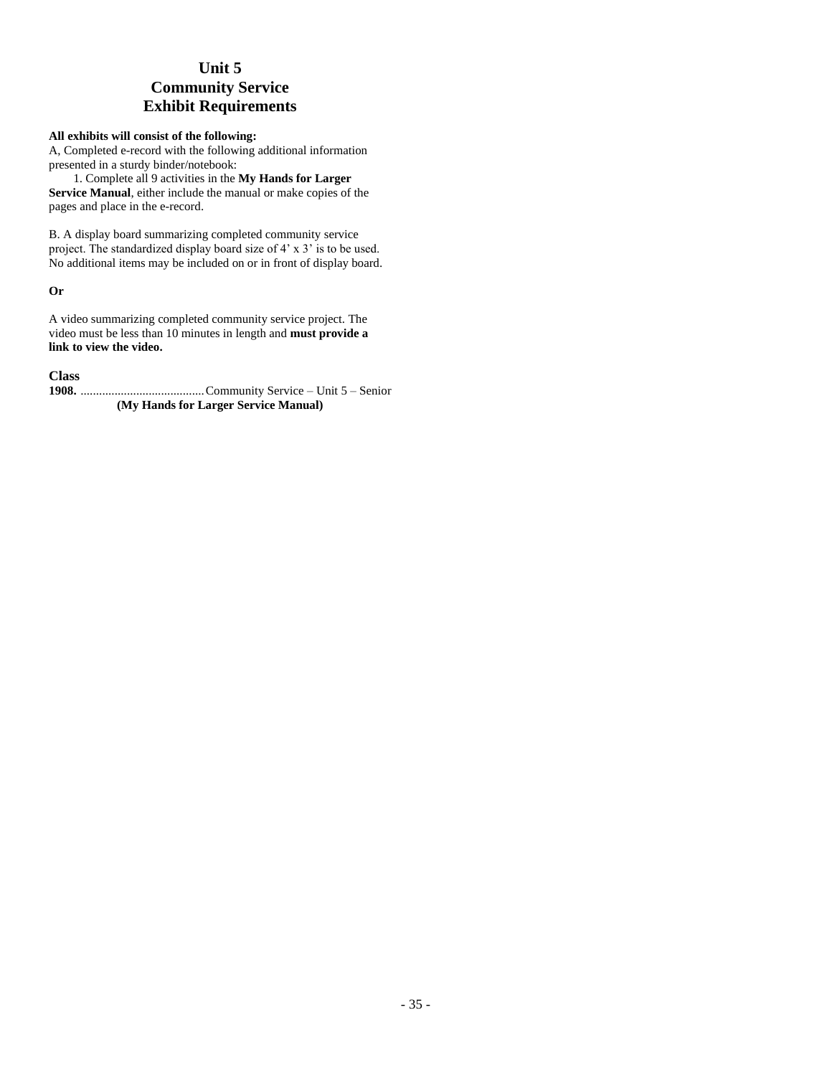## **Unit 5 Community Service Exhibit Requirements**

### **All exhibits will consist of the following:**

A, Completed e-record with the following additional information presented in a sturdy binder/notebook:

1. Complete all 9 activities in the **My Hands for Larger Service Manual**, either include the manual or make copies of the pages and place in the e-record.

B. A display board summarizing completed community service project. The standardized display board size of 4' x 3' is to be used. No additional items may be included on or in front of display board.

### **Or**

A video summarizing completed community service project. The video must be less than 10 minutes in length and **must provide a link to view the video.**

### **Class**

**1908.** ........................................Community Service – Unit 5 – Senior **(My Hands for Larger Service Manual)**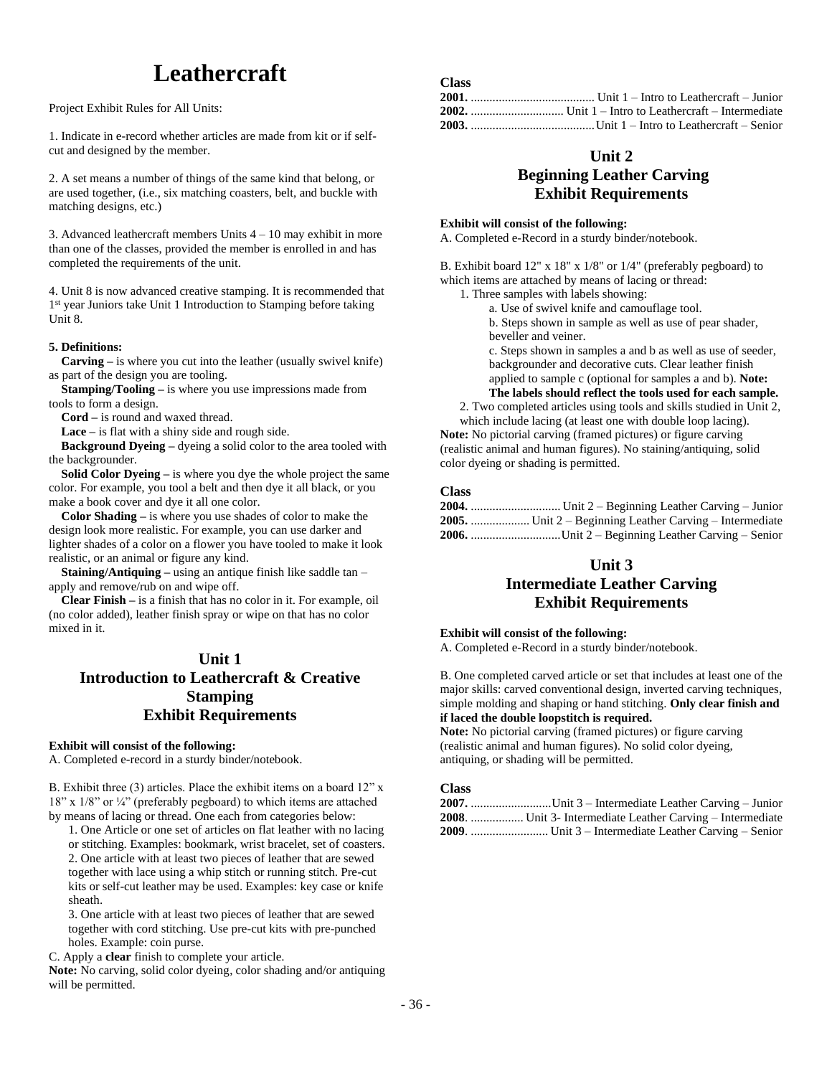# **Leathercraft**

Project Exhibit Rules for All Units:

1. Indicate in e-record whether articles are made from kit or if selfcut and designed by the member.

2. A set means a number of things of the same kind that belong, or are used together, (i.e., six matching coasters, belt, and buckle with matching designs, etc.)

3. Advanced leathercraft members Units 4 – 10 may exhibit in more than one of the classes, provided the member is enrolled in and has completed the requirements of the unit.

4. Unit 8 is now advanced creative stamping. It is recommended that 1<sup>st</sup> year Juniors take Unit 1 Introduction to Stamping before taking Unit 8.

### **5. Definitions:**

 **Carving –** is where you cut into the leather (usually swivel knife) as part of the design you are tooling.

 **Stamping/Tooling –** is where you use impressions made from tools to form a design.

**Cord –** is round and waxed thread.

**Lace –** is flat with a shiny side and rough side.

 **Background Dyeing –** dyeing a solid color to the area tooled with the backgrounder.

**Solid Color Dyeing –** is where you dye the whole project the same color. For example, you tool a belt and then dye it all black, or you make a book cover and dye it all one color.

 **Color Shading –** is where you use shades of color to make the design look more realistic. For example, you can use darker and lighter shades of a color on a flower you have tooled to make it look realistic, or an animal or figure any kind.

 **Staining/Antiquing –** using an antique finish like saddle tan – apply and remove/rub on and wipe off.

 **Clear Finish –** is a finish that has no color in it. For example, oil (no color added), leather finish spray or wipe on that has no color mixed in it.

## **Unit 1 Introduction to Leathercraft & Creative Stamping Exhibit Requirements**

### **Exhibit will consist of the following:**

A. Completed e-record in a sturdy binder/notebook.

B. Exhibit three (3) articles. Place the exhibit items on a board 12" x 18" x 1/8" or ¼" (preferably pegboard) to which items are attached by means of lacing or thread. One each from categories below:

1. One Article or one set of articles on flat leather with no lacing or stitching. Examples: bookmark, wrist bracelet, set of coasters. 2. One article with at least two pieces of leather that are sewed together with lace using a whip stitch or running stitch. Pre-cut kits or self-cut leather may be used. Examples: key case or knife sheath.

3. One article with at least two pieces of leather that are sewed together with cord stitching. Use pre-cut kits with pre-punched holes. Example: coin purse.

C. Apply a **clear** finish to complete your article.

**Note:** No carving, solid color dyeing, color shading and/or antiquing will be permitted.

## **Unit 2 Beginning Leather Carving Exhibit Requirements**

### **Exhibit will consist of the following:**

A. Completed e-Record in a sturdy binder/notebook.

B. Exhibit board 12" x 18" x 1/8" or 1/4" (preferably pegboard) to which items are attached by means of lacing or thread:

1. Three samples with labels showing:

a. Use of swivel knife and camouflage tool.

b. Steps shown in sample as well as use of pear shader, beveller and veiner.

c. Steps shown in samples a and b as well as use of seeder, backgrounder and decorative cuts. Clear leather finish applied to sample c (optional for samples a and b). **Note:** 

**The labels should reflect the tools used for each sample.** 2. Two completed articles using tools and skills studied in Unit 2,

which include lacing (at least one with double loop lacing). **Note:** No pictorial carving (framed pictures) or figure carving (realistic animal and human figures). No staining/antiquing, solid color dyeing or shading is permitted.

### **Class**

**Class**

| 2005.  Unit 2 – Beginning Leather Carving – Intermediate |
|----------------------------------------------------------|
| $2006$ . Unit $2 -$ Beginning Leather Carving – Senior   |

## **Unit 3**

## **Intermediate Leather Carving Exhibit Requirements**

### **Exhibit will consist of the following:**

A. Completed e-Record in a sturdy binder/notebook.

B. One completed carved article or set that includes at least one of the major skills: carved conventional design, inverted carving techniques, simple molding and shaping or hand stitching. **Only clear finish and if laced the double loopstitch is required.**

**Note:** No pictorial carving (framed pictures) or figure carving (realistic animal and human figures). No solid color dyeing, antiquing, or shading will be permitted.

| 2007. Unit 3 – Intermediate Leather Carving – Junior       |
|------------------------------------------------------------|
| 2008.  Unit 3- Intermediate Leather Carving – Intermediate |
|                                                            |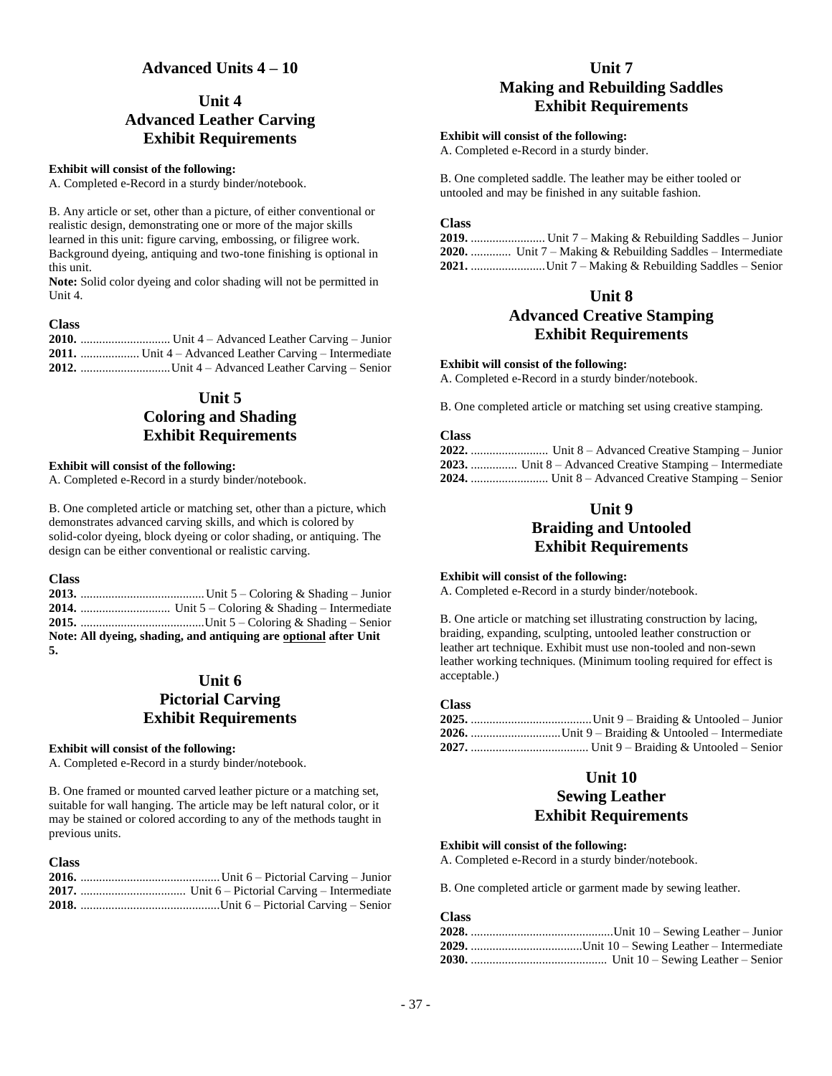### **Advanced Units 4 – 10**

# **Unit 4 Advanced Leather Carving Exhibit Requirements**

#### **Exhibit will consist of the following:**

A. Completed e-Record in a sturdy binder/notebook.

B. Any article or set, other than a picture, of either conventional or realistic design, demonstrating one or more of the major skills learned in this unit: figure carving, embossing, or filigree work. Background dyeing, antiquing and two-tone finishing is optional in this unit.

**Note:** Solid color dyeing and color shading will not be permitted in Unit 4.

#### **Class**

**2010.** ............................. Unit 4 – Advanced Leather Carving – Junior **2011.** ................... Unit 4 – Advanced Leather Carving – Intermediate **2012.** .............................Unit 4 – Advanced Leather Carving – Senior

# **Unit 5 Coloring and Shading Exhibit Requirements**

#### **Exhibit will consist of the following:**

A. Completed e-Record in a sturdy binder/notebook.

B. One completed article or matching set, other than a picture, which demonstrates advanced carving skills, and which is colored by solid-color dyeing, block dyeing or color shading, or antiquing. The design can be either conventional or realistic carving.

#### **Class**

**2013.** ........................................Unit 5 – Coloring & Shading – Junior **2014.** ............................. Unit 5 – Coloring & Shading – Intermediate **2015.** ........................................Unit 5 – Coloring & Shading – Senior **Note: All dyeing, shading, and antiquing are optional after Unit 5.**

### **Unit 6 Pictorial Carving Exhibit Requirements**

#### **Exhibit will consist of the following:**

A. Completed e-Record in a sturdy binder/notebook.

B. One framed or mounted carved leather picture or a matching set, suitable for wall hanging. The article may be left natural color, or it may be stained or colored according to any of the methods taught in previous units.

| <b>Class</b> |  |
|--------------|--|
|              |  |
|              |  |
|              |  |

# **Unit 7 Making and Rebuilding Saddles Exhibit Requirements**

#### **Exhibit will consist of the following:**

A. Completed e-Record in a sturdy binder.

B. One completed saddle. The leather may be either tooled or untooled and may be finished in any suitable fashion.

#### **Class**

**2019.** ........................ Unit 7 – Making & Rebuilding Saddles – Junior **2020.** ............. Unit 7 – Making & Rebuilding Saddles – Intermediate **2021.** ........................Unit 7 – Making & Rebuilding Saddles – Senior

# **Unit 8**

# **Advanced Creative Stamping Exhibit Requirements**

#### **Exhibit will consist of the following:**

A. Completed e-Record in a sturdy binder/notebook.

B. One completed article or matching set using creative stamping.

#### **Class**

| 2023.  Unit 8 – Advanced Creative Stamping – Intermediate |
|-----------------------------------------------------------|
|                                                           |

# **Unit 9 Braiding and Untooled Exhibit Requirements**

#### **Exhibit will consist of the following:**

A. Completed e-Record in a sturdy binder/notebook.

B. One article or matching set illustrating construction by lacing, braiding, expanding, sculpting, untooled leather construction or leather art technique. Exhibit must use non-tooled and non-sewn leather working techniques. (Minimum tooling required for effect is acceptable.)

### **Class**

### **Unit 10**

# **Sewing Leather Exhibit Requirements**

#### **Exhibit will consist of the following:**

A. Completed e-Record in a sturdy binder/notebook.

B. One completed article or garment made by sewing leather.

| --------- |  |
|-----------|--|
|           |  |
|           |  |
|           |  |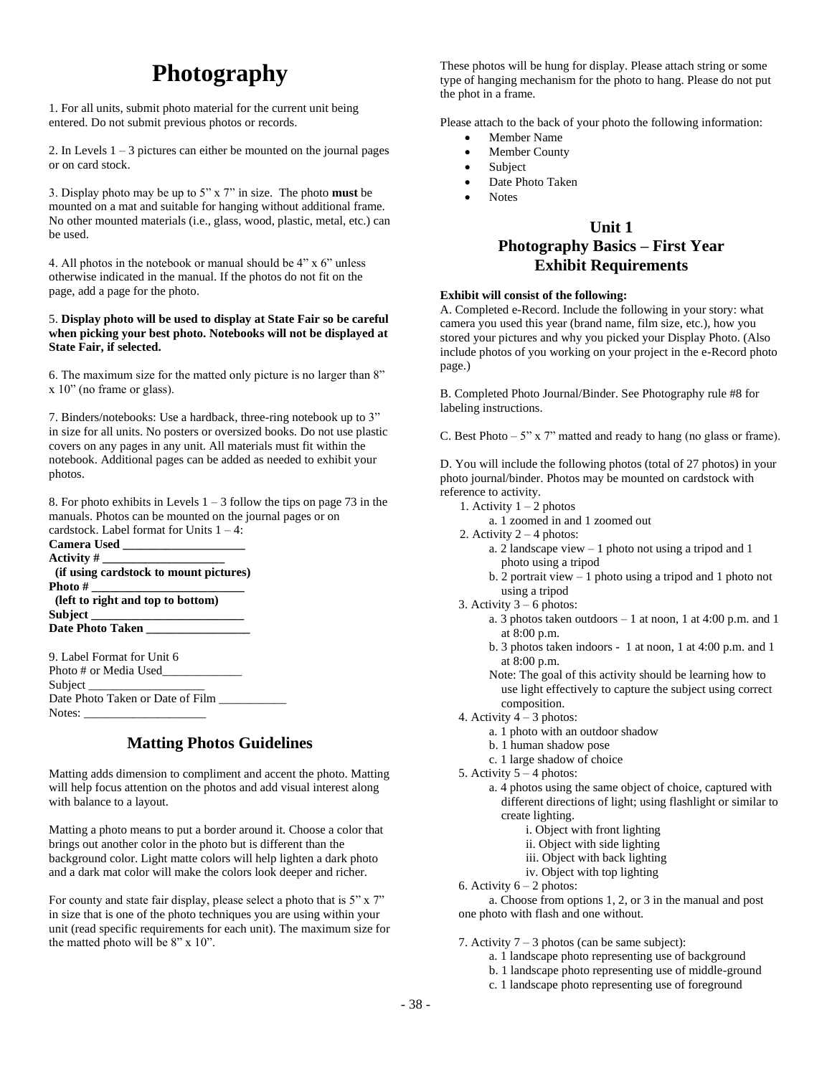# **Photography**

1. For all units, submit photo material for the current unit being entered. Do not submit previous photos or records.

2. In Levels  $1 - 3$  pictures can either be mounted on the journal pages or on card stock.

3. Display photo may be up to 5" x 7" in size. The photo **must** be mounted on a mat and suitable for hanging without additional frame. No other mounted materials (i.e., glass, wood, plastic, metal, etc.) can be used.

4. All photos in the notebook or manual should be 4" x 6" unless otherwise indicated in the manual. If the photos do not fit on the page, add a page for the photo.

#### 5. **Display photo will be used to display at State Fair so be careful when picking your best photo. Notebooks will not be displayed at State Fair, if selected.**

6. The maximum size for the matted only picture is no larger than 8" x 10" (no frame or glass).

7. Binders/notebooks: Use a hardback, three-ring notebook up to 3" in size for all units. No posters or oversized books. Do not use plastic covers on any pages in any unit. All materials must fit within the notebook. Additional pages can be added as needed to exhibit your photos.

8. For photo exhibits in Levels  $1 - 3$  follow the tips on page 73 in the manuals. Photos can be mounted on the journal pages or on cardstock. Label format for Units 1 – 4:

| <b>Camera Used</b> |                                        |
|--------------------|----------------------------------------|
| Activity #         |                                        |
|                    | (if using cardstock to mount pictures) |
| Photo #            |                                        |
|                    | (left to right and top to bottom)      |
| Subject            |                                        |
|                    | <b>Date Photo Taken</b>                |

9. Label Format for Unit 6 Photo # or Media Used Subject Date Photo Taken or Date of Film Notes:

# **Matting Photos Guidelines**

Matting adds dimension to compliment and accent the photo. Matting will help focus attention on the photos and add visual interest along with balance to a layout.

Matting a photo means to put a border around it. Choose a color that brings out another color in the photo but is different than the background color. Light matte colors will help lighten a dark photo and a dark mat color will make the colors look deeper and richer.

For county and state fair display, please select a photo that is 5" x 7" in size that is one of the photo techniques you are using within your unit (read specific requirements for each unit). The maximum size for the matted photo will be 8" x 10".

These photos will be hung for display. Please attach string or some type of hanging mechanism for the photo to hang. Please do not put the phot in a frame.

Please attach to the back of your photo the following information:

- Member Name
- Member County
- Subject
- Date Photo Taken
- Notes

# **Unit 1 Photography Basics – First Year Exhibit Requirements**

### **Exhibit will consist of the following:**

A. Completed e-Record. Include the following in your story: what camera you used this year (brand name, film size, etc.), how you stored your pictures and why you picked your Display Photo. (Also include photos of you working on your project in the e-Record photo page.)

B. Completed Photo Journal/Binder. See Photography rule #8 for labeling instructions.

C. Best Photo  $-5$ " x 7" matted and ready to hang (no glass or frame).

D. You will include the following photos (total of 27 photos) in your photo journal/binder. Photos may be mounted on cardstock with reference to activity.

- 1. Activity  $1 2$  photos
	- a. 1 zoomed in and 1 zoomed out
- 2. Activity  $2 4$  photos:
	- a. 2 landscape view 1 photo not using a tripod and 1 photo using a tripod
	- b. 2 portrait view 1 photo using a tripod and 1 photo not using a tripod
- 3. Activity  $3 6$  photos:
	- a. 3 photos taken outdoors 1 at noon, 1 at 4:00 p.m. and 1 at 8:00 p.m.
	- b. 3 photos taken indoors 1 at noon, 1 at 4:00 p.m. and 1 at 8:00 p.m.

Note: The goal of this activity should be learning how to use light effectively to capture the subject using correct composition.

- 4. Activity 4 3 photos:
	- a. 1 photo with an outdoor shadow
	- b. 1 human shadow pose
	- c. 1 large shadow of choice
- 5. Activity  $5 4$  photos:
	- a. 4 photos using the same object of choice, captured with different directions of light; using flashlight or similar to create lighting.
		- i. Object with front lighting
		- ii. Object with side lighting
		- iii. Object with back lighting
		- iv. Object with top lighting
- 6. Activity  $6 2$  photos:

a. Choose from options 1, 2, or 3 in the manual and post one photo with flash and one without.

#### 7. Activity  $7 - 3$  photos (can be same subject):

- a. 1 landscape photo representing use of background
- b. 1 landscape photo representing use of middle-ground
- c. 1 landscape photo representing use of foreground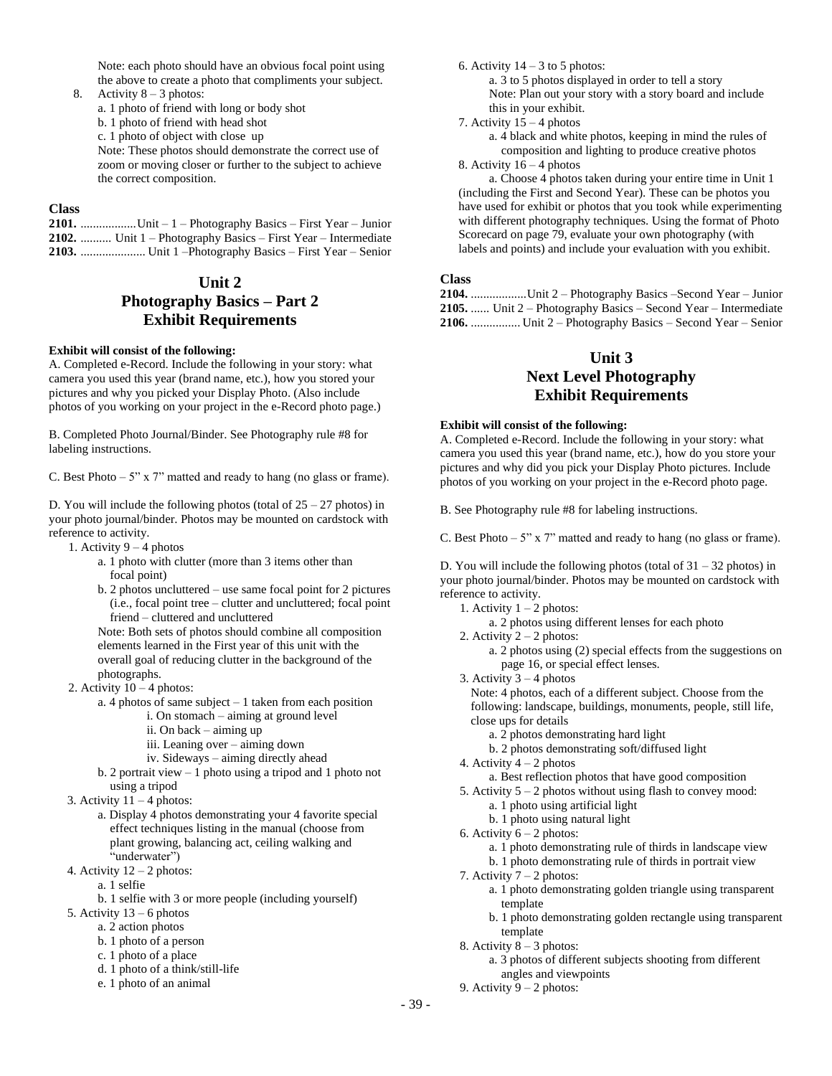Note: each photo should have an obvious focal point using the above to create a photo that compliments your subject.

8. Activity  $8 - 3$  photos:

a. 1 photo of friend with long or body shot

b. 1 photo of friend with head shot

c. 1 photo of object with close up

Note: These photos should demonstrate the correct use of zoom or moving closer or further to the subject to achieve the correct composition.

### **Class**

| 2101. Unit $-1$ – Photography Basics – First Year – Junior     |
|----------------------------------------------------------------|
| 2102.  Unit 1 – Photography Basics – First Year – Intermediate |
| 2103.  Unit 1 - Photography Basics - First Year - Senior       |

# **Unit 2 Photography Basics – Part 2 Exhibit Requirements**

#### **Exhibit will consist of the following:**

A. Completed e-Record. Include the following in your story: what camera you used this year (brand name, etc.), how you stored your pictures and why you picked your Display Photo. (Also include photos of you working on your project in the e-Record photo page.)

B. Completed Photo Journal/Binder. See Photography rule #8 for labeling instructions.

C. Best Photo  $-5$ " x 7" matted and ready to hang (no glass or frame).

D. You will include the following photos (total of  $25 - 27$  photos) in your photo journal/binder. Photos may be mounted on cardstock with reference to activity.

- 1. Activity  $9 4$  photos
	- a. 1 photo with clutter (more than 3 items other than focal point)
	- b. 2 photos uncluttered use same focal point for 2 pictures (i.e., focal point tree – clutter and uncluttered; focal point friend – cluttered and uncluttered

Note: Both sets of photos should combine all composition elements learned in the First year of this unit with the overall goal of reducing clutter in the background of the photographs.

- 2. Activity  $10 4$  photos:
	- a. 4 photos of same subject 1 taken from each position
		- i. On stomach aiming at ground level
			- ii. On back aiming up
		- iii. Leaning over aiming down
		- iv. Sideways aiming directly ahead
	- b. 2 portrait view 1 photo using a tripod and 1 photo not using a tripod
- 3. Activity 11 4 photos:
	- a. Display 4 photos demonstrating your 4 favorite special effect techniques listing in the manual (choose from plant growing, balancing act, ceiling walking and "underwater")
- 4. Activity  $12 2$  photos:
	- a. 1 selfie

b. 1 selfie with 3 or more people (including yourself)

- 5. Activity 13 6 photos
	- a. 2 action photos
	- b. 1 photo of a person
	- c. 1 photo of a place
	- d. 1 photo of a think/still-life
	- e. 1 photo of an animal

6. Activity  $14 - 3$  to 5 photos:

- a. 3 to 5 photos displayed in order to tell a story Note: Plan out your story with a story board and include this in your exhibit.
- 7. Activity 15 4 photos

a. 4 black and white photos, keeping in mind the rules of composition and lighting to produce creative photos

8. Activity 16 – 4 photos

a. Choose 4 photos taken during your entire time in Unit 1 (including the First and Second Year). These can be photos you have used for exhibit or photos that you took while experimenting with different photography techniques. Using the format of Photo Scorecard on page 79, evaluate your own photography (with labels and points) and include your evaluation with you exhibit.

#### **Class**

| 2104. Unit 2 – Photography Basics –Second Year – Junior                 |
|-------------------------------------------------------------------------|
| <b>2105.</b> Unit $2$ – Photography Basics – Second Year – Intermediate |
| 2106.  Unit 2 – Photography Basics – Second Year – Senior               |

### **Unit 3**

# **Next Level Photography Exhibit Requirements**

### **Exhibit will consist of the following:**

A. Completed e-Record. Include the following in your story: what camera you used this year (brand name, etc.), how do you store your pictures and why did you pick your Display Photo pictures. Include photos of you working on your project in the e-Record photo page.

B. See Photography rule #8 for labeling instructions.

C. Best Photo  $-5$ " x 7" matted and ready to hang (no glass or frame).

D. You will include the following photos (total of  $31 - 32$  photos) in your photo journal/binder. Photos may be mounted on cardstock with reference to activity.

- 1. Activity 1 2 photos:
	- a. 2 photos using different lenses for each photo
- 2. Activity  $2 2$  photos:
	- a. 2 photos using (2) special effects from the suggestions on page 16, or special effect lenses.
- 3. Activity  $3 4$  photos

Note: 4 photos, each of a different subject. Choose from the following: landscape, buildings, monuments, people, still life, close ups for details

- a. 2 photos demonstrating hard light
- b. 2 photos demonstrating soft/diffused light
- 4. Activity  $4 2$  photos
- a. Best reflection photos that have good composition
- 5. Activity 5 2 photos without using flash to convey mood:
	- a. 1 photo using artificial light
	- b. 1 photo using natural light
- 6. Activity  $6 2$  photos:
	- a. 1 photo demonstrating rule of thirds in landscape view
	- b. 1 photo demonstrating rule of thirds in portrait view
- 7. Activity 7 2 photos:
	- a. 1 photo demonstrating golden triangle using transparent template
	- b. 1 photo demonstrating golden rectangle using transparent template
- 8. Activity  $8 3$  photos:
	- a. 3 photos of different subjects shooting from different angles and viewpoints
- 9. Activity  $9 2$  photos: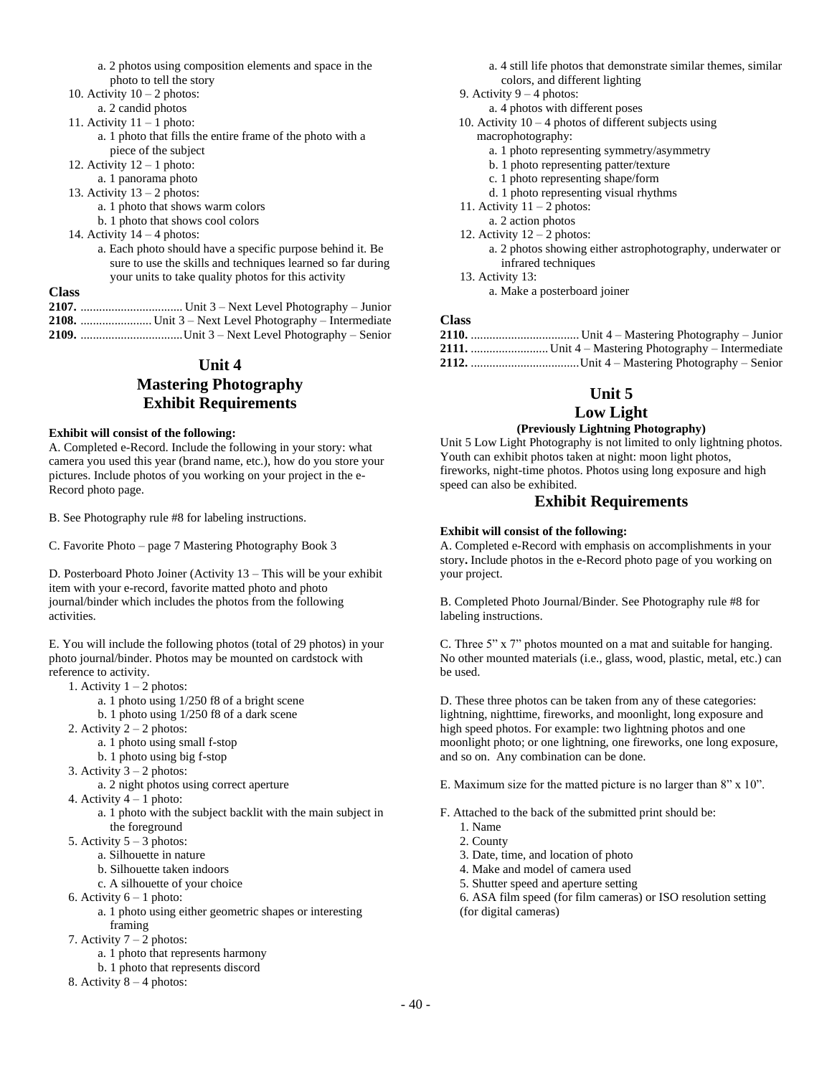|                         | a. 2 photos using composition elements and space in the |  |  |
|-------------------------|---------------------------------------------------------|--|--|
| photo to tell the story |                                                         |  |  |

- 10. Activity  $10 2$  photos:
- a. 2 candid photos
- 11. Activity  $11 1$  photo:
	- a. 1 photo that fills the entire frame of the photo with a piece of the subject
- 12. Activity  $12 1$  photo:
- a. 1 panorama photo
- 13. Activity  $13 2$  photos:
	- a. 1 photo that shows warm colors
	- b. 1 photo that shows cool colors
- 14. Activity  $14 4$  photos:
	- a. Each photo should have a specific purpose behind it. Be sure to use the skills and techniques learned so far during your units to take quality photos for this activity
- **Class**
- **2107.** ................................. Unit 3 Next Level Photography Junior **2108.** ....................... Unit 3 – Next Level Photography – Intermediate **2109.** .................................Unit 3 – Next Level Photography – Senior

# **Unit 4 Mastering Photography Exhibit Requirements**

#### **Exhibit will consist of the following:**

A. Completed e-Record. Include the following in your story: what camera you used this year (brand name, etc.), how do you store your pictures. Include photos of you working on your project in the e-Record photo page.

B. See Photography rule #8 for labeling instructions.

C. Favorite Photo – page 7 Mastering Photography Book 3

D. Posterboard Photo Joiner (Activity 13 – This will be your exhibit item with your e-record, favorite matted photo and photo journal/binder which includes the photos from the following activities.

E. You will include the following photos (total of 29 photos) in your photo journal/binder. Photos may be mounted on cardstock with reference to activity.

- 1. Activity  $1 2$  photos:
	- a. 1 photo using 1/250 f8 of a bright scene
	- b. 1 photo using 1/250 f8 of a dark scene
- 2. Activity  $2 2$  photos:
	- a. 1 photo using small f-stop
	- b. 1 photo using big f-stop
- 3. Activity  $3 2$  photos:
	- a. 2 night photos using correct aperture
- 4. Activity  $4 1$  photo:

a. 1 photo with the subject backlit with the main subject in the foreground

- 5. Activity  $5 3$  photos:
	- a. Silhouette in nature
	- b. Silhouette taken indoors
	- c. A silhouette of your choice
- 6. Activity  $6 1$  photo:
	- a. 1 photo using either geometric shapes or interesting framing
- 7. Activity  $7 2$  photos:
	- a. 1 photo that represents harmony
- b. 1 photo that represents discord

8. Activity  $8 - 4$  photos:

a. 4 still life photos that demonstrate similar themes, similar colors, and different lighting

- 9. Activity  $9 4$  photos:
	- a. 4 photos with different poses
- 10. Activity  $10 4$  photos of different subjects using
	- macrophotography:
		- a. 1 photo representing symmetry/asymmetry
		- b. 1 photo representing patter/texture
		- c. 1 photo representing shape/form
		- d. 1 photo representing visual rhythms
- 11. Activity  $11 2$  photos:
- a. 2 action photos 12. Activity 12 – 2 photos:
	- a. 2 photos showing either astrophotography, underwater or infrared techniques
- 13. Activity 13: a. Make a posterboard joiner

### **Class**

# **Unit 5**

## **Low Light**

### **(Previously Lightning Photography)**

Unit 5 Low Light Photography is not limited to only lightning photos. Youth can exhibit photos taken at night: moon light photos, fireworks, night-time photos. Photos using long exposure and high speed can also be exhibited.

### **Exhibit Requirements**

### **Exhibit will consist of the following:**

A. Completed e-Record with emphasis on accomplishments in your story**.** Include photos in the e-Record photo page of you working on your project.

B. Completed Photo Journal/Binder. See Photography rule #8 for labeling instructions.

C. Three 5" x 7" photos mounted on a mat and suitable for hanging. No other mounted materials (i.e., glass, wood, plastic, metal, etc.) can be used.

D. These three photos can be taken from any of these categories: lightning, nighttime, fireworks, and moonlight, long exposure and high speed photos. For example: two lightning photos and one moonlight photo; or one lightning, one fireworks, one long exposure, and so on. Any combination can be done.

E. Maximum size for the matted picture is no larger than 8" x 10".

F. Attached to the back of the submitted print should be:

- 1. Name
- 2. County
- 3. Date, time, and location of photo
- 4. Make and model of camera used
- 5. Shutter speed and aperture setting
- 6. ASA film speed (for film cameras) or ISO resolution setting (for digital cameras)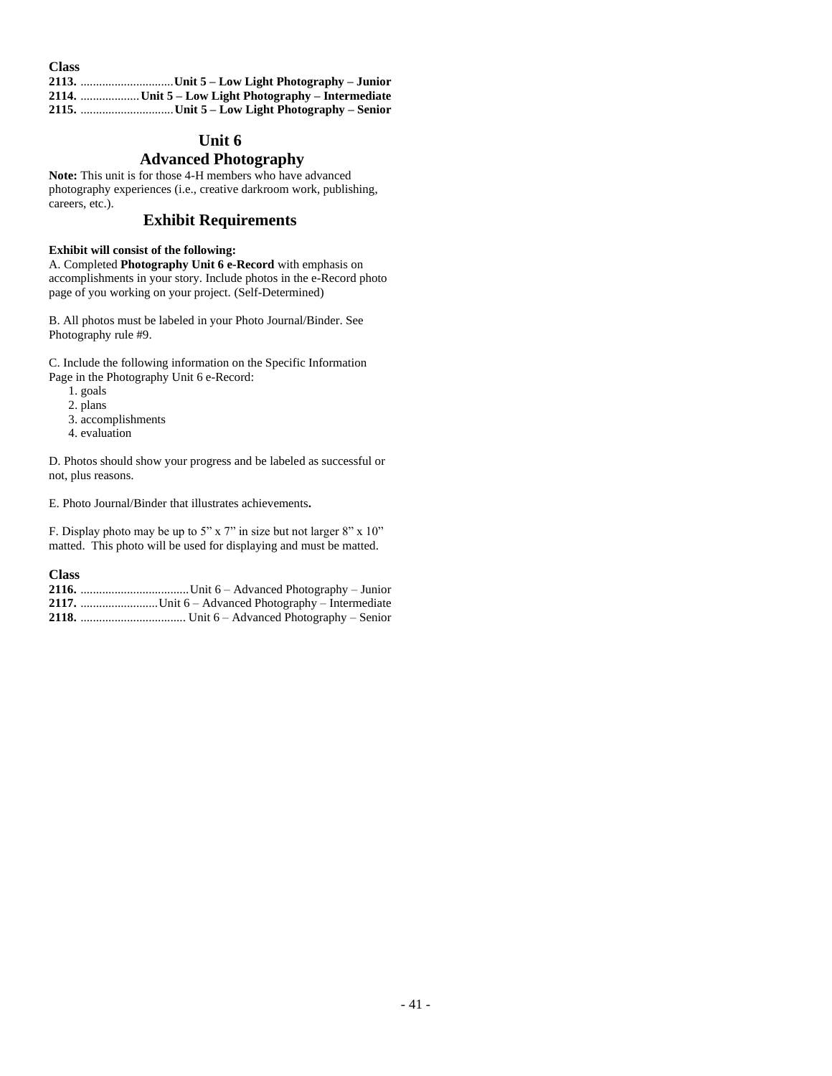| <b>Class</b> |  |
|--------------|--|
|              |  |
|              |  |
|              |  |

# **Unit 6**

# **Advanced Photography**

**Note:** This unit is for those 4-H members who have advanced photography experiences (i.e., creative darkroom work, publishing, careers, etc.).

### **Exhibit Requirements**

### **Exhibit will consist of the following:**

A. Completed **Photography Unit 6 e-Record** with emphasis on accomplishments in your story. Include photos in the e-Record photo page of you working on your project. (Self-Determined)

B. All photos must be labeled in your Photo Journal/Binder. See Photography rule #9.

C. Include the following information on the Specific Information Page in the Photography Unit 6 e-Record:

- 1. goals
- 2. plans
- 3. accomplishments
- 4. evaluation

D. Photos should show your progress and be labeled as successful or not, plus reasons.

E. Photo Journal/Binder that illustrates achievements**.**

F. Display photo may be up to 5" x 7" in size but not larger 8" x 10" matted. This photo will be used for displaying and must be matted.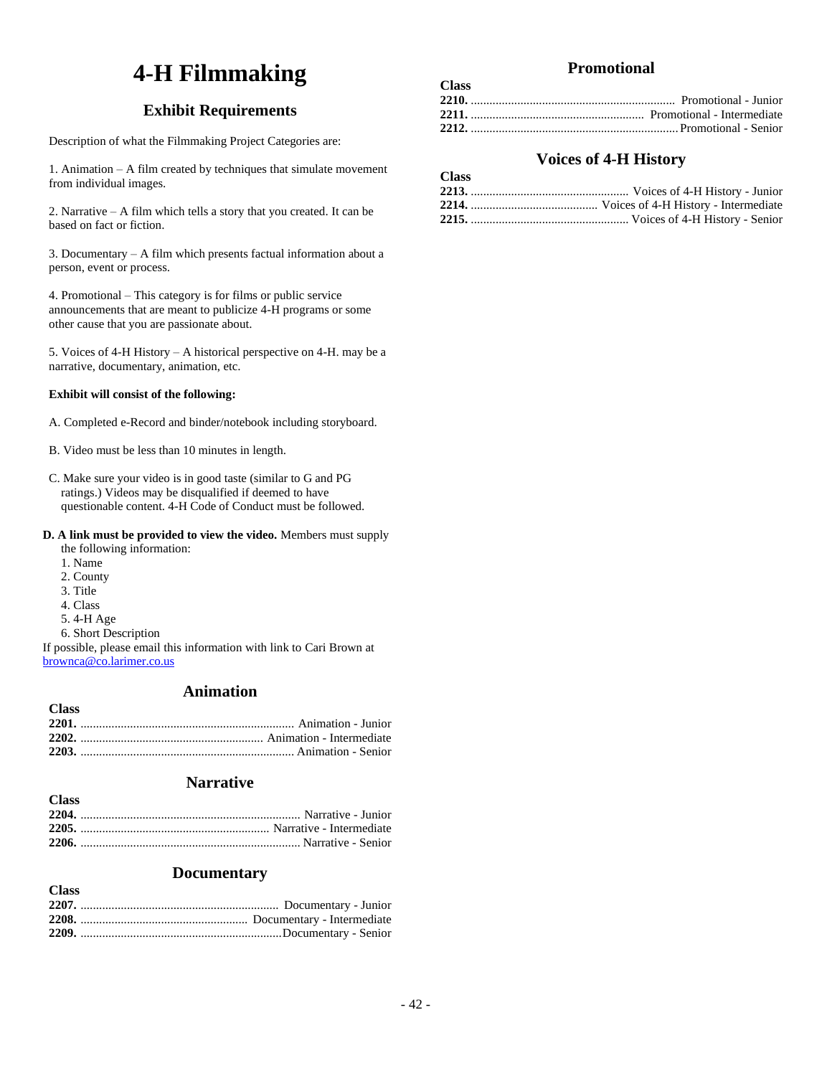# **4-H Filmmaking**

# **Exhibit Requirements**

Description of what the Filmmaking Project Categories are:

1. Animation – A film created by techniques that simulate movement from individual images.

2. Narrative – A film which tells a story that you created. It can be based on fact or fiction.

3. Documentary – A film which presents factual information about a person, event or process.

4. Promotional – This category is for films or public service announcements that are meant to publicize 4-H programs or some other cause that you are passionate about.

5. Voices of 4-H History – A historical perspective on 4-H. may be a narrative, documentary, animation, etc.

### **Exhibit will consist of the following:**

- A. Completed e-Record and binder/notebook including storyboard.
- B. Video must be less than 10 minutes in length.
- C. Make sure your video is in good taste (similar to G and PG ratings.) Videos may be disqualified if deemed to have questionable content. 4-H Code of Conduct must be followed.

#### **D. A link must be provided to view the video.** Members must supply the following information:

- 1. Name
- 2. County
- 3. Title
- 4. Class

**Class**

- 5. 4-H Age
- 6. Short Description

If possible, please email this information with link to Cari Brown at [brownca@co.larimer.co.us](mailto:brownca@co.larimer.co.us)

# **Animation**

| <b>Class</b> |  |
|--------------|--|
|              |  |
|              |  |
|              |  |

## **Narrative**

### **Documentary**

| <b>Class</b> |  |
|--------------|--|
|              |  |
|              |  |
|              |  |

# **Promotional**

| <b>Class</b> |  |
|--------------|--|
|              |  |
|              |  |
|              |  |

# **Voices of 4-H History**

| Смаз |  |
|------|--|
|      |  |
|      |  |
|      |  |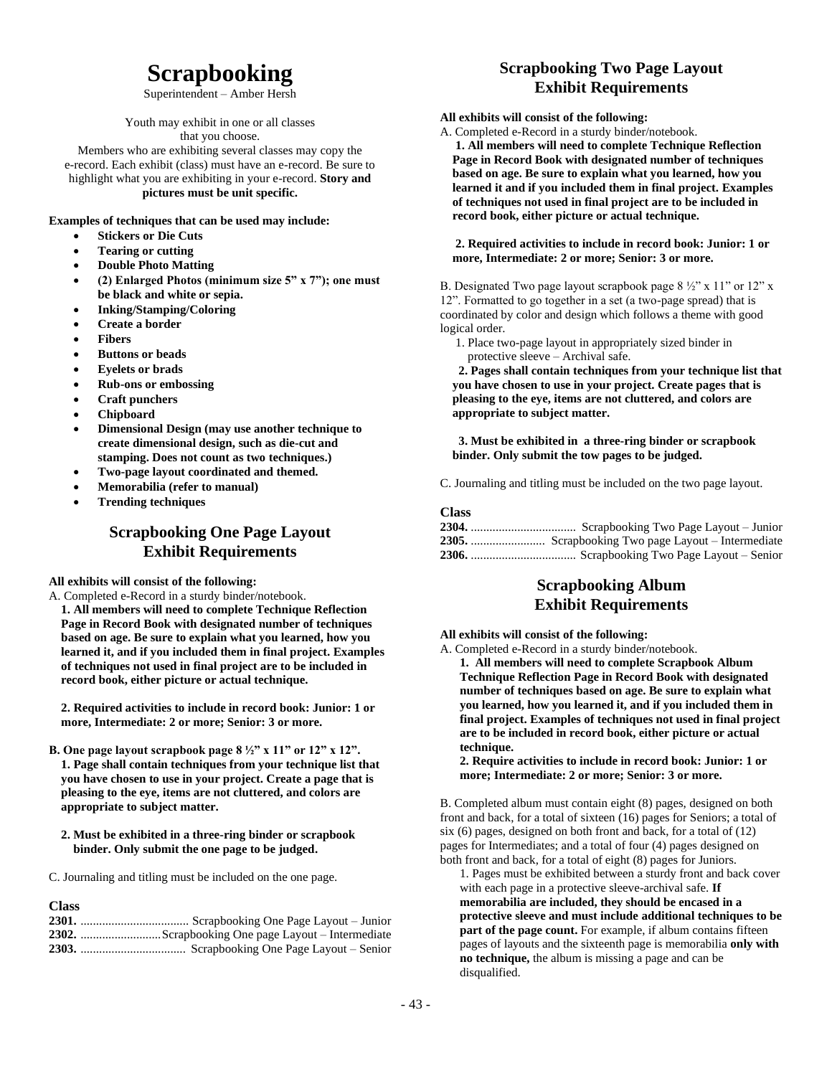# **Scrapbooking**

Superintendent – Amber Hersh

Youth may exhibit in one or all classes that you choose.

Members who are exhibiting several classes may copy the e-record. Each exhibit (class) must have an e-record. Be sure to highlight what you are exhibiting in your e-record. **Story and pictures must be unit specific.**

**Examples of techniques that can be used may include:**

- **Stickers or Die Cuts**
- **Tearing or cutting**
- **Double Photo Matting**
- **(2) Enlarged Photos (minimum size 5" x 7"); one must be black and white or sepia.**
- **Inking/Stamping/Coloring**
- **Create a border**
- **Fibers**
- **Buttons or beads**
- **Eyelets or brads**
- **Rub-ons or embossing**
- **Craft punchers**
- **Chipboard**
- **Dimensional Design (may use another technique to create dimensional design, such as die-cut and stamping. Does not count as two techniques.)**
- **Two-page layout coordinated and themed.**
- **Memorabilia (refer to manual)**
- **Trending techniques**

# **Scrapbooking One Page Layout Exhibit Requirements**

### **All exhibits will consist of the following:**

A. Completed e-Record in a sturdy binder/notebook. **1. All members will need to complete Technique Reflection Page in Record Book with designated number of techniques based on age. Be sure to explain what you learned, how you learned it, and if you included them in final project. Examples of techniques not used in final project are to be included in record book, either picture or actual technique.**

**2. Required activities to include in record book: Junior: 1 or more, Intermediate: 2 or more; Senior: 3 or more.**

- **B. One page layout scrapbook page 8 ½" x 11" or 12" x 12". 1. Page shall contain techniques from your technique list that you have chosen to use in your project. Create a page that is pleasing to the eye, items are not cluttered, and colors are appropriate to subject matter.**
	- **2. Must be exhibited in a three-ring binder or scrapbook binder. Only submit the one page to be judged.**
- C. Journaling and titling must be included on the one page.

### **Class**

# **Scrapbooking Two Page Layout Exhibit Requirements**

### **All exhibits will consist of the following:**

A. Completed e-Record in a sturdy binder/notebook.

**1. All members will need to complete Technique Reflection Page in Record Book with designated number of techniques based on age. Be sure to explain what you learned, how you learned it and if you included them in final project. Examples of techniques not used in final project are to be included in record book, either picture or actual technique.**

#### **2. Required activities to include in record book: Junior: 1 or more, Intermediate: 2 or more; Senior: 3 or more.**

B. Designated Two page layout scrapbook page  $8\frac{1}{2}$ " x 11" or 12" x 12". Formatted to go together in a set (a two-page spread) that is coordinated by color and design which follows a theme with good logical order.

 1. Place two-page layout in appropriately sized binder in protective sleeve – Archival safe.

 **2. Pages shall contain techniques from your technique list that you have chosen to use in your project. Create pages that is pleasing to the eye, items are not cluttered, and colors are appropriate to subject matter.**

 **3. Must be exhibited in a three-ring binder or scrapbook binder. Only submit the tow pages to be judged.**

C. Journaling and titling must be included on the two page layout.

### **Class**

## **Scrapbooking Album Exhibit Requirements**

**All exhibits will consist of the following:**

A. Completed e-Record in a sturdy binder/notebook.

**1. All members will need to complete Scrapbook Album Technique Reflection Page in Record Book with designated number of techniques based on age. Be sure to explain what you learned, how you learned it, and if you included them in final project. Examples of techniques not used in final project are to be included in record book, either picture or actual technique.** 

**2. Require activities to include in record book: Junior: 1 or more; Intermediate: 2 or more; Senior: 3 or more.**

B. Completed album must contain eight (8) pages, designed on both front and back, for a total of sixteen (16) pages for Seniors; a total of six (6) pages, designed on both front and back, for a total of (12) pages for Intermediates; and a total of four (4) pages designed on both front and back, for a total of eight (8) pages for Juniors.

1. Pages must be exhibited between a sturdy front and back cover with each page in a protective sleeve-archival safe. **If memorabilia are included, they should be encased in a protective sleeve and must include additional techniques to be part of the page count.** For example, if album contains fifteen pages of layouts and the sixteenth page is memorabilia **only with no technique,** the album is missing a page and can be disqualified.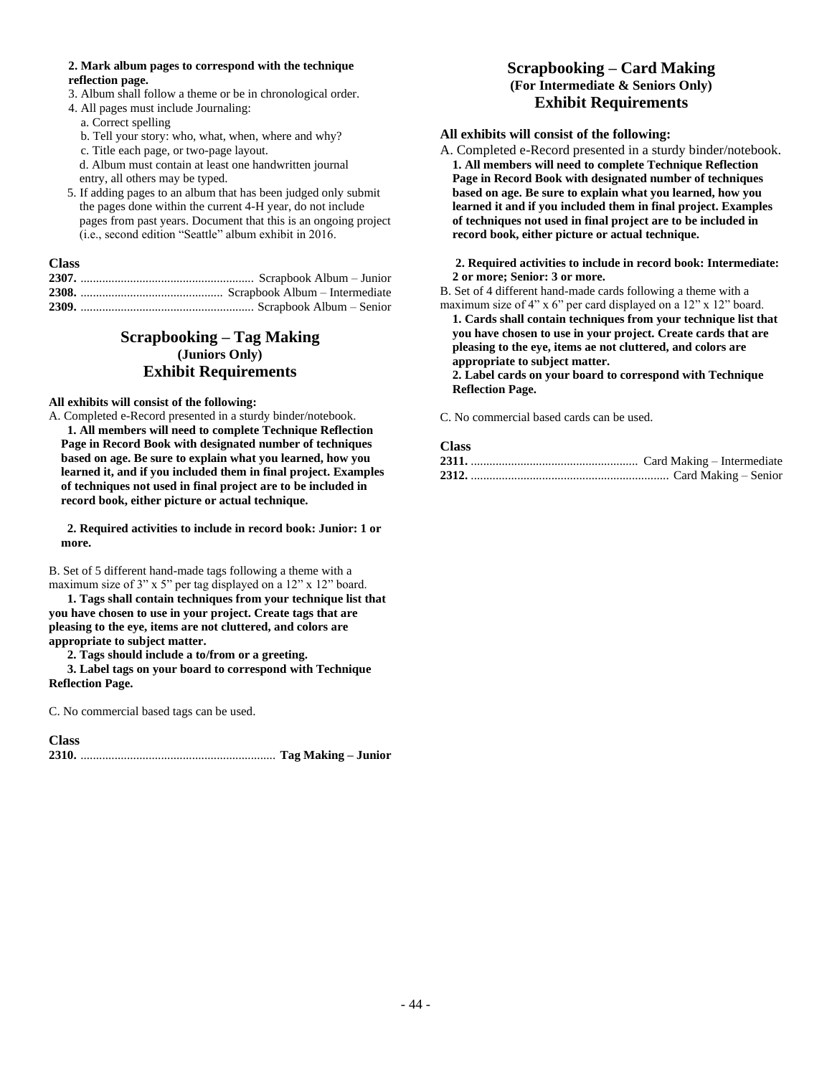#### **2. Mark album pages to correspond with the technique reflection page.**

- 3. Album shall follow a theme or be in chronological order.
- 4. All pages must include Journaling: a. Correct spelling
	- b. Tell your story: who, what, when, where and why?
	- c. Title each page, or two-page layout.
	- d. Album must contain at least one handwritten journal
	- entry, all others may be typed.
- 5. If adding pages to an album that has been judged only submit the pages done within the current 4-H year, do not include pages from past years. Document that this is an ongoing project (i.e., second edition "Seattle" album exhibit in 2016.

### **Class**

# **Scrapbooking – Tag Making (Juniors Only) Exhibit Requirements**

### **All exhibits will consist of the following:**

A. Completed e-Record presented in a sturdy binder/notebook.

**1. All members will need to complete Technique Reflection Page in Record Book with designated number of techniques based on age. Be sure to explain what you learned, how you learned it, and if you included them in final project. Examples of techniques not used in final project are to be included in record book, either picture or actual technique.**

**2. Required activities to include in record book: Junior: 1 or more.**

B. Set of 5 different hand-made tags following a theme with a maximum size of 3" x 5" per tag displayed on a 12" x 12" board.

**1. Tags shall contain techniques from your technique list that you have chosen to use in your project. Create tags that are pleasing to the eye, items are not cluttered, and colors are appropriate to subject matter.**

**2. Tags should include a to/from or a greeting.**

**3. Label tags on your board to correspond with Technique Reflection Page.**

C. No commercial based tags can be used.

**Class**

**2310.** ............................................................... **Tag Making – Junior** 

# **Scrapbooking – Card Making (For Intermediate & Seniors Only) Exhibit Requirements**

### **All exhibits will consist of the following:**

A. Completed e-Record presented in a sturdy binder/notebook. **1. All members will need to complete Technique Reflection Page in Record Book with designated number of techniques based on age. Be sure to explain what you learned, how you learned it and if you included them in final project. Examples of techniques not used in final project are to be included in record book, either picture or actual technique.**

#### **2. Required activities to include in record book: Intermediate: 2 or more; Senior: 3 or more.**

B. Set of 4 different hand-made cards following a theme with a maximum size of 4" x 6" per card displayed on a 12" x 12" board.

**1. Cards shall contain techniques from your technique list that you have chosen to use in your project. Create cards that are pleasing to the eye, items ae not cluttered, and colors are appropriate to subject matter.**

**2. Label cards on your board to correspond with Technique Reflection Page.**

C. No commercial based cards can be used.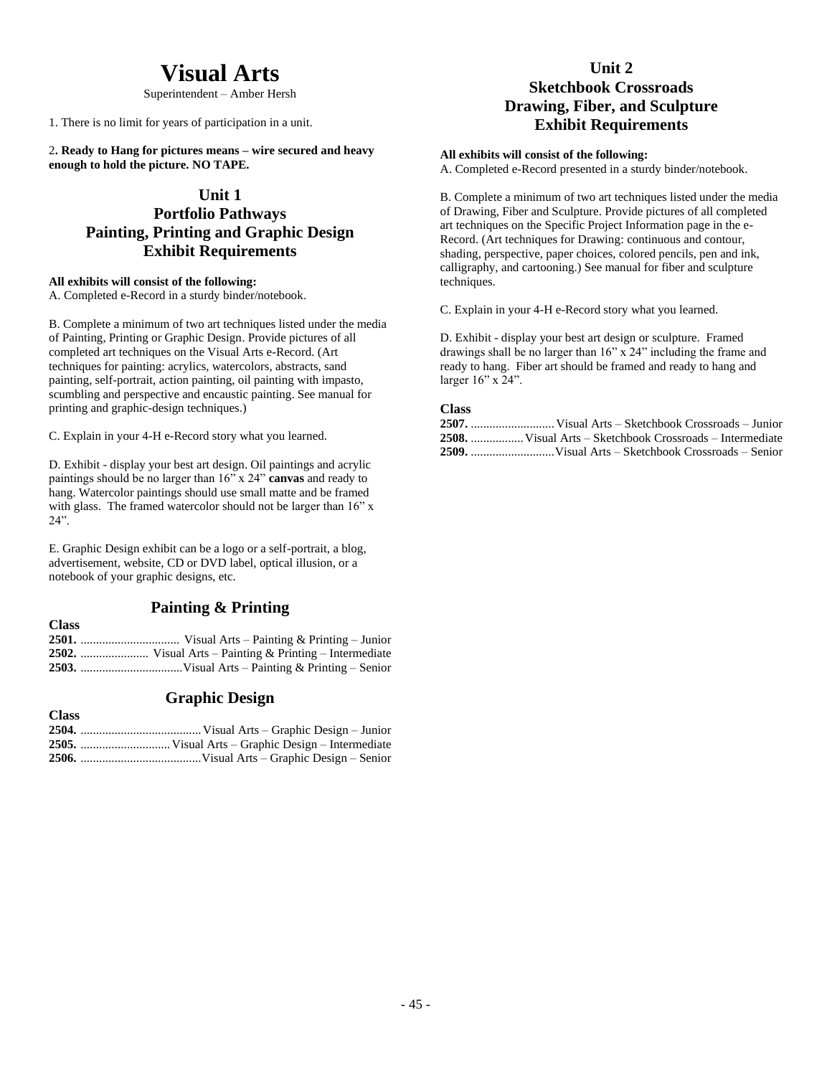# **Visual Arts**

Superintendent – Amber Hersh

1. There is no limit for years of participation in a unit.

2**. Ready to Hang for pictures means – wire secured and heavy enough to hold the picture. NO TAPE.**

## **Unit 1**

# **Portfolio Pathways Painting, Printing and Graphic Design Exhibit Requirements**

### **All exhibits will consist of the following:**

A. Completed e-Record in a sturdy binder/notebook.

B. Complete a minimum of two art techniques listed under the media of Painting, Printing or Graphic Design. Provide pictures of all completed art techniques on the Visual Arts e-Record. (Art techniques for painting: acrylics, watercolors, abstracts, sand painting, self-portrait, action painting, oil painting with impasto, scumbling and perspective and encaustic painting. See manual for printing and graphic-design techniques.)

C. Explain in your 4-H e-Record story what you learned.

D. Exhibit - display your best art design. Oil paintings and acrylic paintings should be no larger than 16" x 24" **canvas** and ready to hang. Watercolor paintings should use small matte and be framed with glass. The framed watercolor should not be larger than  $16"$  x 24".

E. Graphic Design exhibit can be a logo or a self-portrait, a blog, advertisement, website, CD or DVD label, optical illusion, or a notebook of your graphic designs, etc.

# **Painting & Printing**

**Class 2501.** ................................ Visual Arts – Painting & Printing – Junior **2502.** ...................... Visual Arts – Painting & Printing – Intermediate **2503.** .................................Visual Arts – Painting & Printing – Senior

# **Graphic Design**

**Class**

| Сказэ |  |
|-------|--|
|       |  |
|       |  |
|       |  |

# **Unit 2**

# **Sketchbook Crossroads Drawing, Fiber, and Sculpture Exhibit Requirements**

### **All exhibits will consist of the following:**

A. Completed e-Record presented in a sturdy binder/notebook.

B. Complete a minimum of two art techniques listed under the media of Drawing, Fiber and Sculpture. Provide pictures of all completed art techniques on the Specific Project Information page in the e-Record. (Art techniques for Drawing: continuous and contour, shading, perspective, paper choices, colored pencils, pen and ink, calligraphy, and cartooning.) See manual for fiber and sculpture techniques.

C. Explain in your 4-H e-Record story what you learned.

D. Exhibit - display your best art design or sculpture. Framed drawings shall be no larger than 16" x 24" including the frame and ready to hang. Fiber art should be framed and ready to hang and larger 16" x 24".

### **Class**

**2507.** ...........................Visual Arts – Sketchbook Crossroads – Junior **2508.** .................Visual Arts – Sketchbook Crossroads – Intermediate **2509.** ...........................Visual Arts – Sketchbook Crossroads – Senior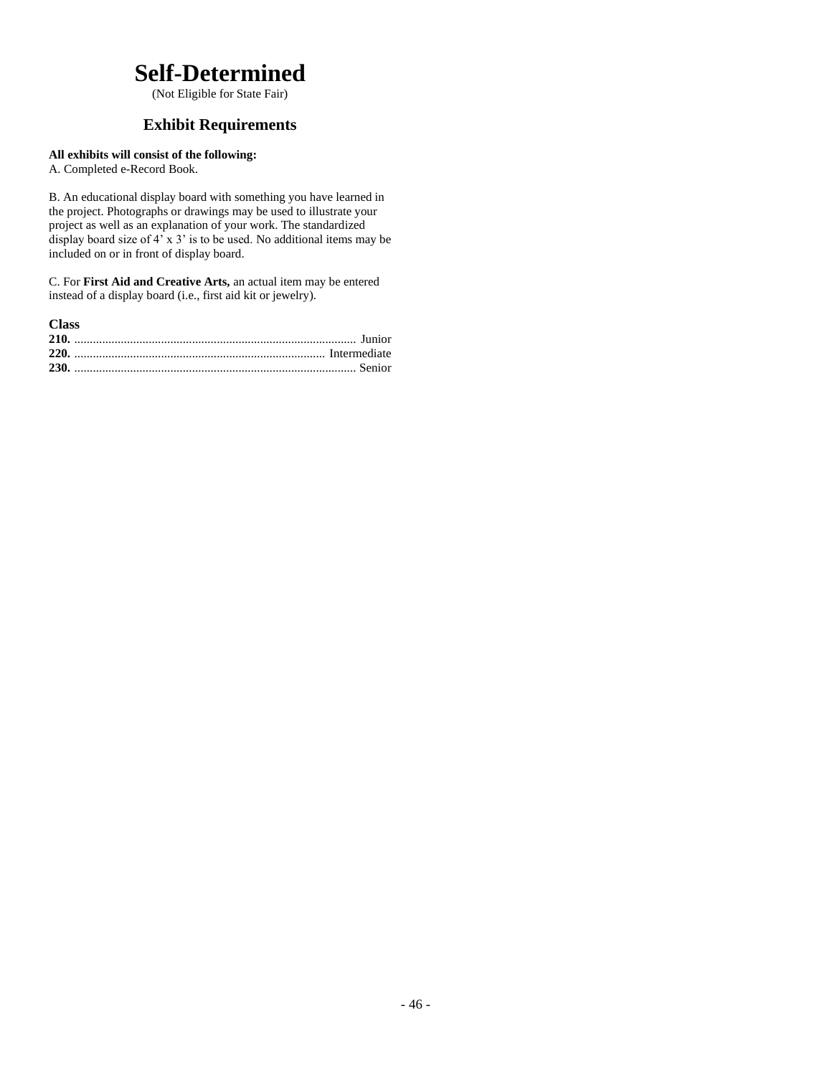# **Self-Determined**

(Not Eligible for State Fair)

# **Exhibit Requirements**

## **All exhibits will consist of the following:**

A. Completed e-Record Book.

B. An educational display board with something you have learned in the project. Photographs or drawings may be used to illustrate your project as well as an explanation of your work. The standardized display board size of  $4' \times 3'$  is to be used. No additional items may be included on or in front of display board.

C. For **First Aid and Creative Arts,** an actual item may be entered instead of a display board (i.e., first aid kit or jewelry).

| <b>Class</b> |  |
|--------------|--|
|              |  |
|              |  |
|              |  |
|              |  |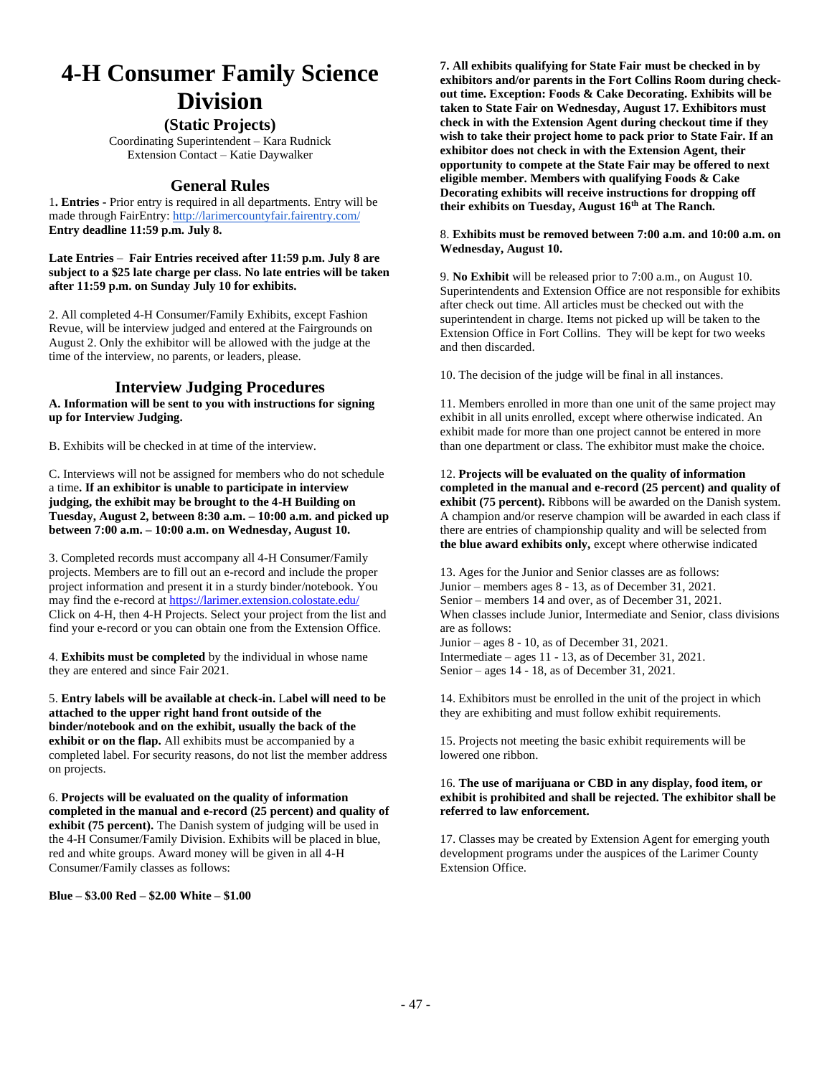# **4-H Consumer Family Science Division**

### **(Static Projects)**

Coordinating Superintendent – Kara Rudnick Extension Contact – Katie Daywalker

## **General Rules**

1**. Entries -** Prior entry is required in all departments. Entry will be made through FairEntry[: http://larimercountyfair.fairentry.com/](http://larimercountyfair.fairentry.com/) **Entry deadline 11:59 p.m. July 8.**

**Late Entries** – **Fair Entries received after 11:59 p.m. July 8 are subject to a \$25 late charge per class. No late entries will be taken after 11:59 p.m. on Sunday July 10 for exhibits.**

2. All completed 4-H Consumer/Family Exhibits, except Fashion Revue, will be interview judged and entered at the Fairgrounds on August 2. Only the exhibitor will be allowed with the judge at the time of the interview, no parents, or leaders, please.

### **Interview Judging Procedures**

**A. Information will be sent to you with instructions for signing up for Interview Judging.**

B. Exhibits will be checked in at time of the interview.

C. Interviews will not be assigned for members who do not schedule a time**. If an exhibitor is unable to participate in interview judging, the exhibit may be brought to the 4-H Building on Tuesday, August 2, between 8:30 a.m. – 10:00 a.m. and picked up between 7:00 a.m. – 10:00 a.m. on Wednesday, August 10.**

3. Completed records must accompany all 4-H Consumer/Family projects. Members are to fill out an e-record and include the proper project information and present it in a sturdy binder/notebook. You may find the e-record at <https://larimer.extension.colostate.edu/> Click on 4-H, then 4-H Projects. Select your project from the list and find your e-record or you can obtain one from the Extension Office.

4. **Exhibits must be completed** by the individual in whose name they are entered and since Fair 2021.

5. **Entry labels will be available at check-in.** L**abel will need to be attached to the upper right hand front outside of the binder/notebook and on the exhibit, usually the back of the exhibit or on the flap.** All exhibits must be accompanied by a completed label. For security reasons, do not list the member address on projects.

6. **Projects will be evaluated on the quality of information completed in the manual and e-record (25 percent) and quality of exhibit (75 percent).** The Danish system of judging will be used in the 4-H Consumer/Family Division. Exhibits will be placed in blue, red and white groups. Award money will be given in all 4-H Consumer/Family classes as follows:

### **Blue – \$3.00 Red – \$2.00 White – \$1.00**

**7. All exhibits qualifying for State Fair must be checked in by exhibitors and/or parents in the Fort Collins Room during checkout time. Exception: Foods & Cake Decorating. Exhibits will be taken to State Fair on Wednesday, August 17. Exhibitors must check in with the Extension Agent during checkout time if they wish to take their project home to pack prior to State Fair. If an exhibitor does not check in with the Extension Agent, their opportunity to compete at the State Fair may be offered to next eligible member. Members with qualifying Foods & Cake Decorating exhibits will receive instructions for dropping off their exhibits on Tuesday, August 16th at The Ranch.**

#### 8. **Exhibits must be removed between 7:00 a.m. and 10:00 a.m. on Wednesday, August 10.**

9. **No Exhibit** will be released prior to 7:00 a.m., on August 10. Superintendents and Extension Office are not responsible for exhibits after check out time. All articles must be checked out with the superintendent in charge. Items not picked up will be taken to the Extension Office in Fort Collins. They will be kept for two weeks and then discarded.

10. The decision of the judge will be final in all instances.

11. Members enrolled in more than one unit of the same project may exhibit in all units enrolled, except where otherwise indicated. An exhibit made for more than one project cannot be entered in more than one department or class. The exhibitor must make the choice.

12. **Projects will be evaluated on the quality of information completed in the manual and e-record (25 percent) and quality of exhibit (75 percent).** Ribbons will be awarded on the Danish system. A champion and/or reserve champion will be awarded in each class if there are entries of championship quality and will be selected from **the blue award exhibits only,** except where otherwise indicated

13. Ages for the Junior and Senior classes are as follows: Junior – members ages 8 - 13, as of December 31, 2021. Senior – members 14 and over, as of December 31, 2021. When classes include Junior, Intermediate and Senior, class divisions are as follows: Junior – ages 8 - 10, as of December 31, 2021. Intermediate – ages 11 - 13, as of December 31, 2021.

Senior – ages 14 - 18, as of December 31, 2021.

14. Exhibitors must be enrolled in the unit of the project in which they are exhibiting and must follow exhibit requirements.

15. Projects not meeting the basic exhibit requirements will be lowered one ribbon.

#### 16. **The use of marijuana or CBD in any display, food item, or exhibit is prohibited and shall be rejected. The exhibitor shall be referred to law enforcement.**

17. Classes may be created by Extension Agent for emerging youth development programs under the auspices of the Larimer County Extension Office.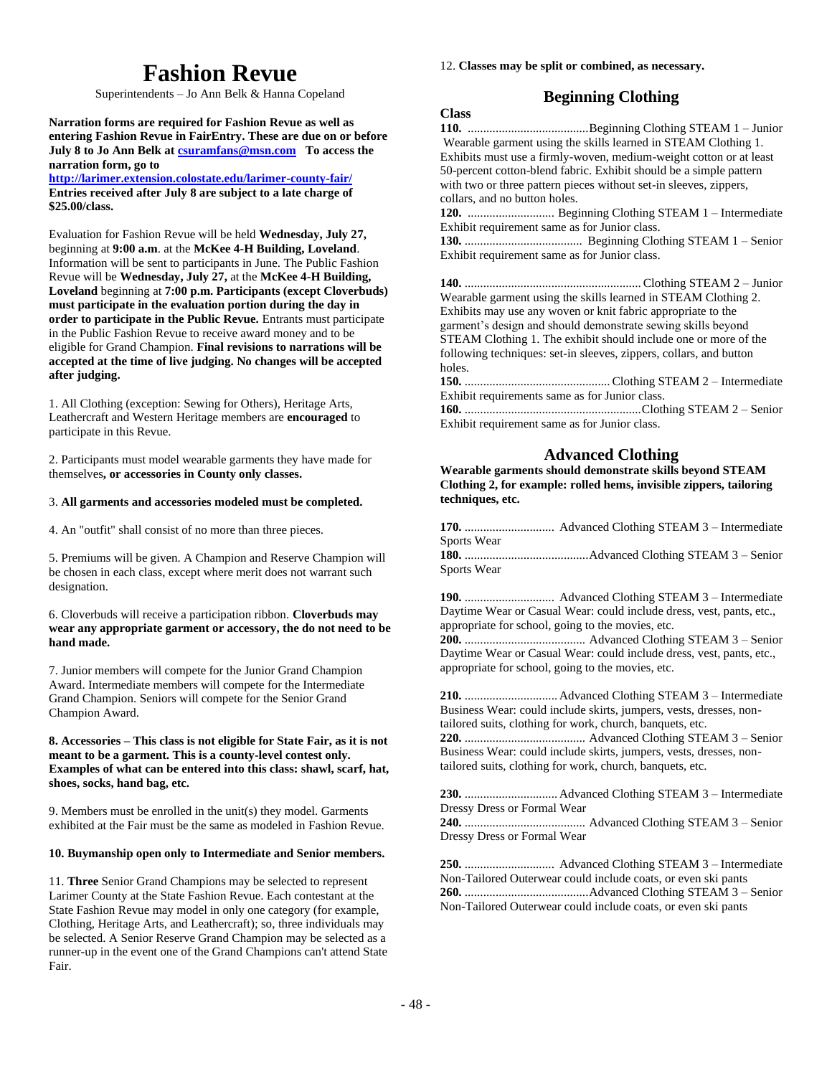# **Fashion Revue**

Superintendents – Jo Ann Belk & Hanna Copeland

**Narration forms are required for Fashion Revue as well as entering Fashion Revue in FairEntry. These are due on or before July 8 to Jo Ann Belk at [csuramfans@msn.com](mailto:csuramfans@msn.com) To access the narration form, go to** 

**<http://larimer.extension.colostate.edu/larimer-county-fair/> Entries received after July 8 are subject to a late charge of \$25.00/class.**

Evaluation for Fashion Revue will be held **Wednesday, July 27,**  beginning at **9:00 a.m**. at the **McKee 4-H Building, Loveland**. Information will be sent to participants in June. The Public Fashion Revue will be **Wednesday, July 27,** at the **McKee 4-H Building, Loveland** beginning at **7:00 p.m. Participants (except Cloverbuds) must participate in the evaluation portion during the day in order to participate in the Public Revue.** Entrants must participate in the Public Fashion Revue to receive award money and to be eligible for Grand Champion. **Final revisions to narrations will be accepted at the time of live judging. No changes will be accepted after judging.**

1. All Clothing (exception: Sewing for Others), Heritage Arts, Leathercraft and Western Heritage members are **encouraged** to participate in this Revue.

2. Participants must model wearable garments they have made for themselves**, or accessories in County only classes.**

#### 3. **All garments and accessories modeled must be completed.**

4. An "outfit" shall consist of no more than three pieces.

5. Premiums will be given. A Champion and Reserve Champion will be chosen in each class, except where merit does not warrant such designation.

#### 6. Cloverbuds will receive a participation ribbon. **Cloverbuds may wear any appropriate garment or accessory, the do not need to be hand made.**

7. Junior members will compete for the Junior Grand Champion Award. Intermediate members will compete for the Intermediate Grand Champion. Seniors will compete for the Senior Grand Champion Award.

#### **8. Accessories – This class is not eligible for State Fair, as it is not meant to be a garment. This is a county-level contest only. Examples of what can be entered into this class: shawl, scarf, hat, shoes, socks, hand bag, etc.**

9. Members must be enrolled in the unit(s) they model. Garments exhibited at the Fair must be the same as modeled in Fashion Revue.

#### **10. Buymanship open only to Intermediate and Senior members.**

11. **Three** Senior Grand Champions may be selected to represent Larimer County at the State Fashion Revue. Each contestant at the State Fashion Revue may model in only one category (for example, Clothing, Heritage Arts, and Leathercraft); so, three individuals may be selected. A Senior Reserve Grand Champion may be selected as a runner-up in the event one of the Grand Champions can't attend State Fair.

#### 12. **Classes may be split or combined, as necessary.**

# **Beginning Clothing**

### **Class**

**110.** .......................................Beginning Clothing STEAM 1 – Junior Wearable garment using the skills learned in STEAM Clothing 1. Exhibits must use a firmly-woven, medium-weight cotton or at least 50-percent cotton-blend fabric. Exhibit should be a simple pattern with two or three pattern pieces without set-in sleeves, zippers, collars, and no button holes.

**120.** ............................ Beginning Clothing STEAM 1 – Intermediate Exhibit requirement same as for Junior class.

**130.** ...................................... Beginning Clothing STEAM 1 – Senior Exhibit requirement same as for Junior class.

| Wearable garment using the skills learned in STEAM Clothing 2.     |
|--------------------------------------------------------------------|
| Exhibits may use any woven or knit fabric appropriate to the       |
| garment's design and should demonstrate sewing skills beyond       |
| STEAM Clothing 1. The exhibit should include one or more of the    |
| following techniques: set-in sleeves, zippers, collars, and button |
| holes.                                                             |
|                                                                    |
| Exhibit requirements same as for Junior class.                     |
|                                                                    |
| Exhibit requirement same as for Junior class.                      |

### **Advanced Clothing**

**Wearable garments should demonstrate skills beyond STEAM Clothing 2, for example: rolled hems, invisible zippers, tailoring techniques, etc.** 

| Sports Wear |  |
|-------------|--|
|             |  |
| Sports Wear |  |

**190.** ............................. Advanced Clothing STEAM 3 – Intermediate Daytime Wear or Casual Wear: could include dress, vest, pants, etc., appropriate for school, going to the movies, etc.

**200.** ....................................... Advanced Clothing STEAM 3 – Senior Daytime Wear or Casual Wear: could include dress, vest, pants, etc., appropriate for school, going to the movies, etc.

**210.** .............................. Advanced Clothing STEAM 3 – Intermediate Business Wear: could include skirts, jumpers, vests, dresses, nontailored suits, clothing for work, church, banquets, etc.

**220.** ....................................... Advanced Clothing STEAM 3 – Senior Business Wear: could include skirts, jumpers, vests, dresses, nontailored suits, clothing for work, church, banquets, etc.

**230.** .............................. Advanced Clothing STEAM 3 – Intermediate Dressy Dress or Formal Wear

**240.** ....................................... Advanced Clothing STEAM 3 – Senior Dressy Dress or Formal Wear

**250.** ............................. Advanced Clothing STEAM 3 – Intermediate Non-Tailored Outerwear could include coats, or even ski pants **260.** ........................................Advanced Clothing STEAM 3 – Senior Non-Tailored Outerwear could include coats, or even ski pants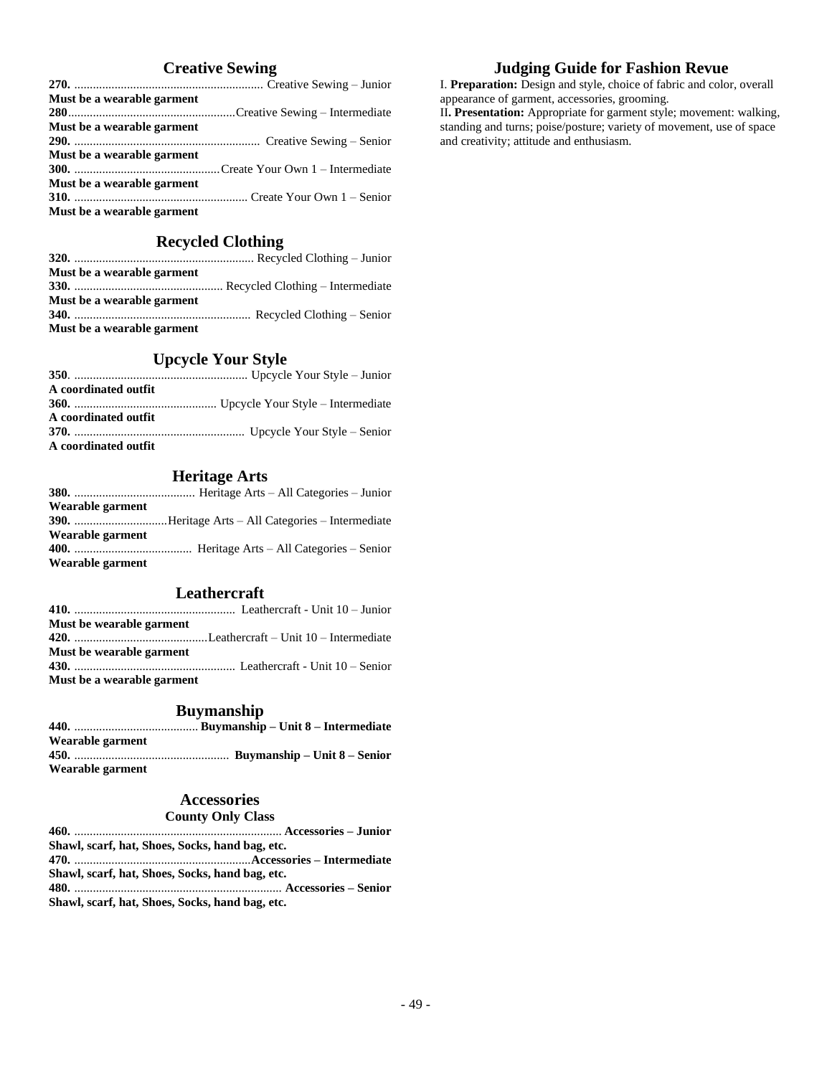# **Creative Sewing**

| Must be a wearable garment |  |
|----------------------------|--|
|                            |  |
| Must be a wearable garment |  |
|                            |  |
| Must be a wearable garment |  |
|                            |  |
| Must be a wearable garment |  |
|                            |  |
| Must be a wearable garment |  |

# **Recycled Clothing**

| Must be a wearable garment |  |
|----------------------------|--|
|                            |  |
| Must be a wearable garment |  |
|                            |  |
| Must be a wearable garment |  |

# **Upcycle Your Style**

| A coordinated outfit |  |
|----------------------|--|
|                      |  |
| A coordinated outfit |  |
|                      |  |
| A coordinated outfit |  |

# **Heritage Arts**

| Wearable garment |  |
|------------------|--|
|                  |  |
| Wearable garment |  |
|                  |  |
| Wearable garment |  |

### **Leathercraft**

| Must be wearable garment        |  |
|---------------------------------|--|
|                                 |  |
| <b>Must be wearable garment</b> |  |
|                                 |  |
| Must be a wearable garment      |  |

## **Buymanship**

| Wearable garment |  |
|------------------|--|
|                  |  |
| Wearable garment |  |

### **Accessories**

### **County Only Class**

| Shawl, scarf, hat, Shoes, Socks, hand bag, etc. |  |
|-------------------------------------------------|--|
|                                                 |  |
| Shawl, scarf, hat, Shoes, Socks, hand bag, etc. |  |
|                                                 |  |
| Shawl, scarf, hat, Shoes, Socks, hand bag, etc. |  |

# **Judging Guide for Fashion Revue** I. **Preparation:** Design and style, choice of fabric and color, overall

appearance of garment, accessories, grooming. II**. Presentation:** Appropriate for garment style; movement: walking, standing and turns; poise/posture; variety of movement, use of space

and creativity; attitude and enthusiasm.

- 49 -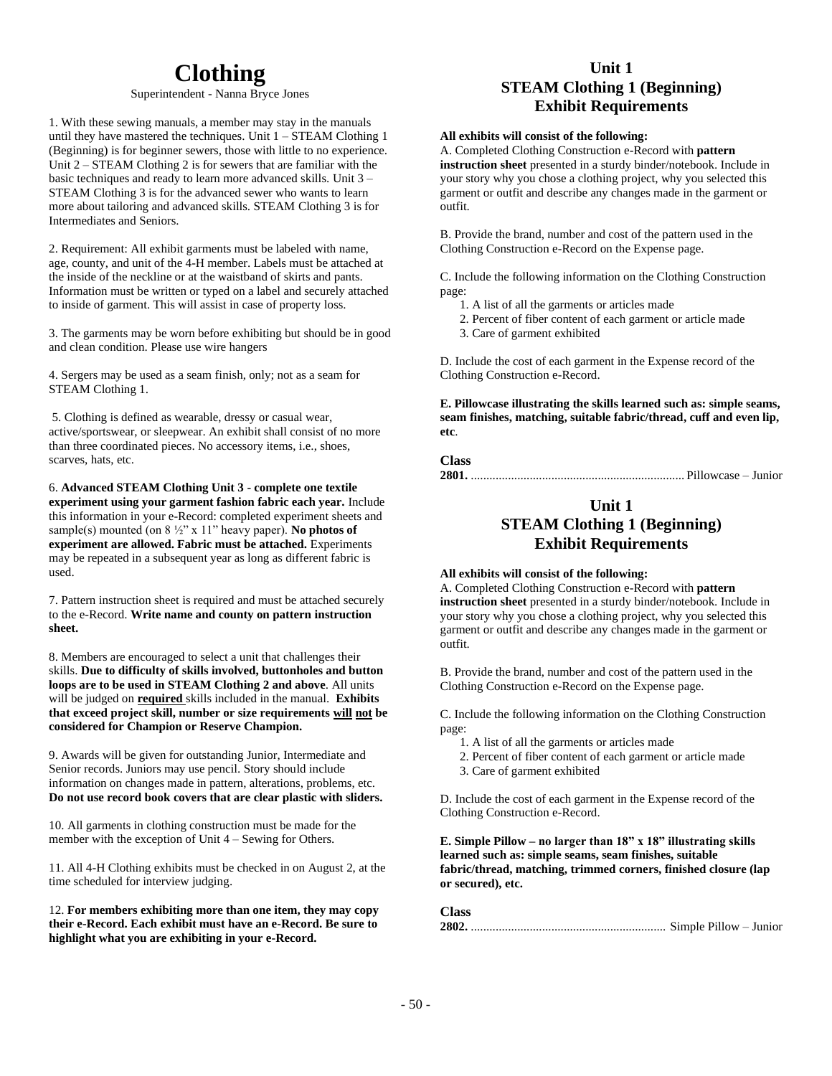# **Clothing**

#### Superintendent - Nanna Bryce Jones

1. With these sewing manuals, a member may stay in the manuals until they have mastered the techniques. Unit  $1 -$  STEAM Clothing 1 (Beginning) is for beginner sewers, those with little to no experience. Unit 2 – STEAM Clothing 2 is for sewers that are familiar with the basic techniques and ready to learn more advanced skills. Unit 3 – STEAM Clothing 3 is for the advanced sewer who wants to learn more about tailoring and advanced skills. STEAM Clothing 3 is for Intermediates and Seniors.

2. Requirement: All exhibit garments must be labeled with name, age, county, and unit of the 4-H member. Labels must be attached at the inside of the neckline or at the waistband of skirts and pants. Information must be written or typed on a label and securely attached to inside of garment. This will assist in case of property loss.

3. The garments may be worn before exhibiting but should be in good and clean condition. Please use wire hangers

4. Sergers may be used as a seam finish, only; not as a seam for STEAM Clothing 1.

5. Clothing is defined as wearable, dressy or casual wear, active/sportswear, or sleepwear. An exhibit shall consist of no more than three coordinated pieces. No accessory items, i.e., shoes, scarves, hats, etc.

6. **Advanced STEAM Clothing Unit 3 - complete one textile experiment using your garment fashion fabric each year.** Include this information in your e-Record: completed experiment sheets and sample(s) mounted (on 8 ½" x 11" heavy paper). **No photos of experiment are allowed. Fabric must be attached.** Experiments may be repeated in a subsequent year as long as different fabric is used.

7. Pattern instruction sheet is required and must be attached securely to the e-Record. **Write name and county on pattern instruction sheet.**

8. Members are encouraged to select a unit that challenges their skills. **Due to difficulty of skills involved, buttonholes and button loops are to be used in STEAM Clothing 2 and above**. All units will be judged on **required** skills included in the manual. **Exhibits that exceed project skill, number or size requirements will not be considered for Champion or Reserve Champion.**

9. Awards will be given for outstanding Junior, Intermediate and Senior records. Juniors may use pencil. Story should include information on changes made in pattern, alterations, problems, etc. **Do not use record book covers that are clear plastic with sliders.**

10. All garments in clothing construction must be made for the member with the exception of Unit 4 – Sewing for Others.

11. All 4-H Clothing exhibits must be checked in on August 2, at the time scheduled for interview judging.

12. **For members exhibiting more than one item, they may copy their e-Record. Each exhibit must have an e-Record. Be sure to highlight what you are exhibiting in your e-Record.**

# **Unit 1 STEAM Clothing 1 (Beginning) Exhibit Requirements**

#### **All exhibits will consist of the following:**

A. Completed Clothing Construction e-Record with **pattern instruction sheet** presented in a sturdy binder/notebook. Include in your story why you chose a clothing project, why you selected this garment or outfit and describe any changes made in the garment or outfit.

B. Provide the brand, number and cost of the pattern used in the Clothing Construction e-Record on the Expense page.

C. Include the following information on the Clothing Construction page:

- 1. A list of all the garments or articles made
- 2. Percent of fiber content of each garment or article made
- 3. Care of garment exhibited

D. Include the cost of each garment in the Expense record of the Clothing Construction e-Record.

**E. Pillowcase illustrating the skills learned such as: simple seams, seam finishes, matching, suitable fabric/thread, cuff and even lip, etc**.

### **Class**

**2801.** ..................................................................... Pillowcase – Junior

# **Unit 1 STEAM Clothing 1 (Beginning) Exhibit Requirements**

#### **All exhibits will consist of the following:**

A. Completed Clothing Construction e-Record with **pattern instruction sheet** presented in a sturdy binder/notebook. Include in your story why you chose a clothing project, why you selected this garment or outfit and describe any changes made in the garment or outfit.

B. Provide the brand, number and cost of the pattern used in the Clothing Construction e-Record on the Expense page.

C. Include the following information on the Clothing Construction page:

- 1. A list of all the garments or articles made
- 2. Percent of fiber content of each garment or article made
- 3. Care of garment exhibited

D. Include the cost of each garment in the Expense record of the Clothing Construction e-Record.

**E. Simple Pillow – no larger than 18" x 18" illustrating skills learned such as: simple seams, seam finishes, suitable fabric/thread, matching, trimmed corners, finished closure (lap or secured), etc.**

**Class**

**2802.** ............................................................... Simple Pillow – Junior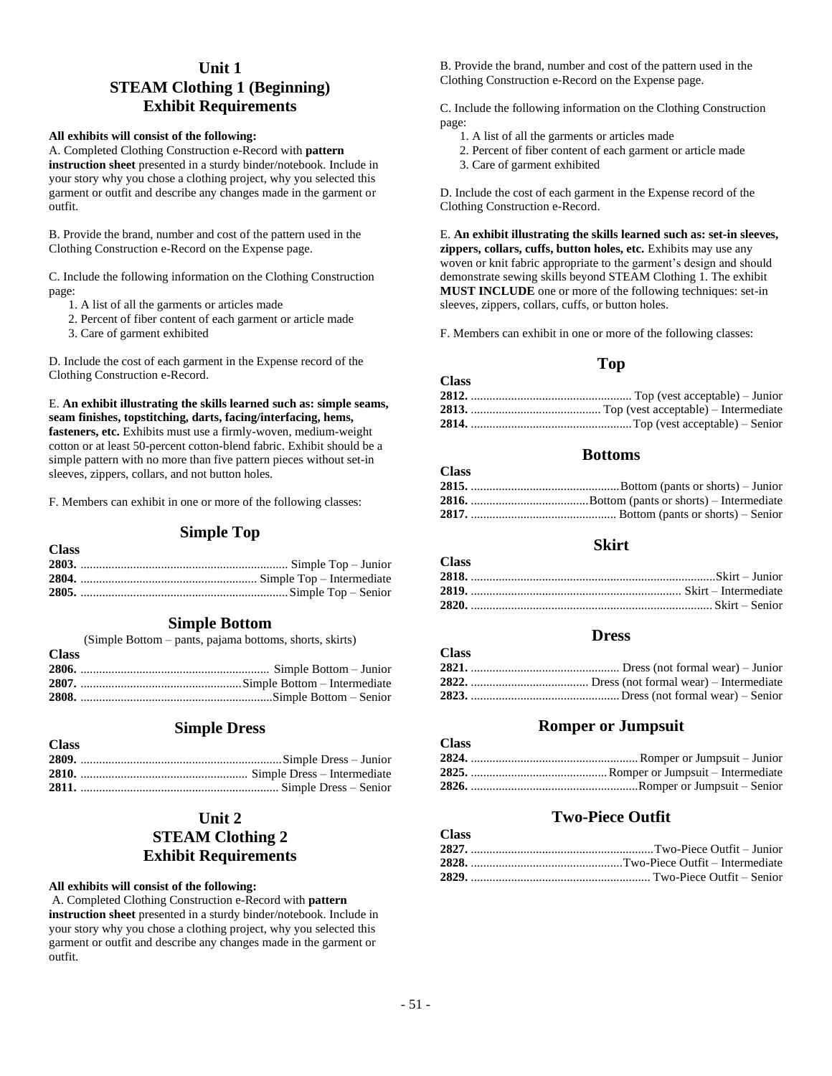# **Unit 1 STEAM Clothing 1 (Beginning) Exhibit Requirements**

#### **All exhibits will consist of the following:**

A. Completed Clothing Construction e-Record with **pattern instruction sheet** presented in a sturdy binder/notebook. Include in your story why you chose a clothing project, why you selected this garment or outfit and describe any changes made in the garment or outfit.

B. Provide the brand, number and cost of the pattern used in the Clothing Construction e-Record on the Expense page.

C. Include the following information on the Clothing Construction page:

1. A list of all the garments or articles made

2. Percent of fiber content of each garment or article made

3. Care of garment exhibited

**Class**

**Class**

D. Include the cost of each garment in the Expense record of the Clothing Construction e-Record.

E. **An exhibit illustrating the skills learned such as: simple seams, seam finishes, topstitching, darts, facing/interfacing, hems, fasteners, etc.** Exhibits must use a firmly-woven, medium-weight cotton or at least 50-percent cotton-blend fabric. Exhibit should be a simple pattern with no more than five pattern pieces without set-in sleeves, zippers, collars, and not button holes.

F. Members can exhibit in one or more of the following classes:

### **Simple Top**

| ັບມະນ |  |
|-------|--|
|       |  |
|       |  |
|       |  |
|       |  |

### **Simple Bottom**

|              | (Simple Bottom – pants, pajama bottoms, shorts, skirts) |
|--------------|---------------------------------------------------------|
| <b>Class</b> |                                                         |
|              |                                                         |
|              |                                                         |
|              |                                                         |

### **Simple Dress**

| <b>Class</b> |  |
|--------------|--|
|              |  |
|              |  |
|              |  |
|              |  |

# **Unit 2 STEAM Clothing 2 Exhibit Requirements**

#### **All exhibits will consist of the following:**

A. Completed Clothing Construction e-Record with **pattern instruction sheet** presented in a sturdy binder/notebook. Include in your story why you chose a clothing project, why you selected this garment or outfit and describe any changes made in the garment or outfit.

B. Provide the brand, number and cost of the pattern used in the Clothing Construction e-Record on the Expense page.

C. Include the following information on the Clothing Construction page:

- 1. A list of all the garments or articles made
- 2. Percent of fiber content of each garment or article made
- 3. Care of garment exhibited

**Class**

**Class**

**Class**

**Class**

D. Include the cost of each garment in the Expense record of the Clothing Construction e-Record.

E. **An exhibit illustrating the skills learned such as: set-in sleeves, zippers, collars, cuffs, button holes, etc.** Exhibits may use any woven or knit fabric appropriate to the garment's design and should demonstrate sewing skills beyond STEAM Clothing 1. The exhibit **MUST INCLUDE** one or more of the following techniques: set-in sleeves, zippers, collars, cuffs, or button holes.

F. Members can exhibit in one or more of the following classes:

## **Top**

| Class |  |
|-------|--|
|       |  |
|       |  |
|       |  |

### **Bottoms**

| URISS - |  |
|---------|--|
|         |  |
|         |  |
|         |  |

### **Skirt**

| <b>Class</b> |  |
|--------------|--|
|              |  |
|              |  |
|              |  |

### **Dress**

### **Romper or Jumpsuit**

| Ciass |  |
|-------|--|
|       |  |
|       |  |
|       |  |

# **Two-Piece Outfit**

| 1.11.177 |  |
|----------|--|
|          |  |
|          |  |
|          |  |
|          |  |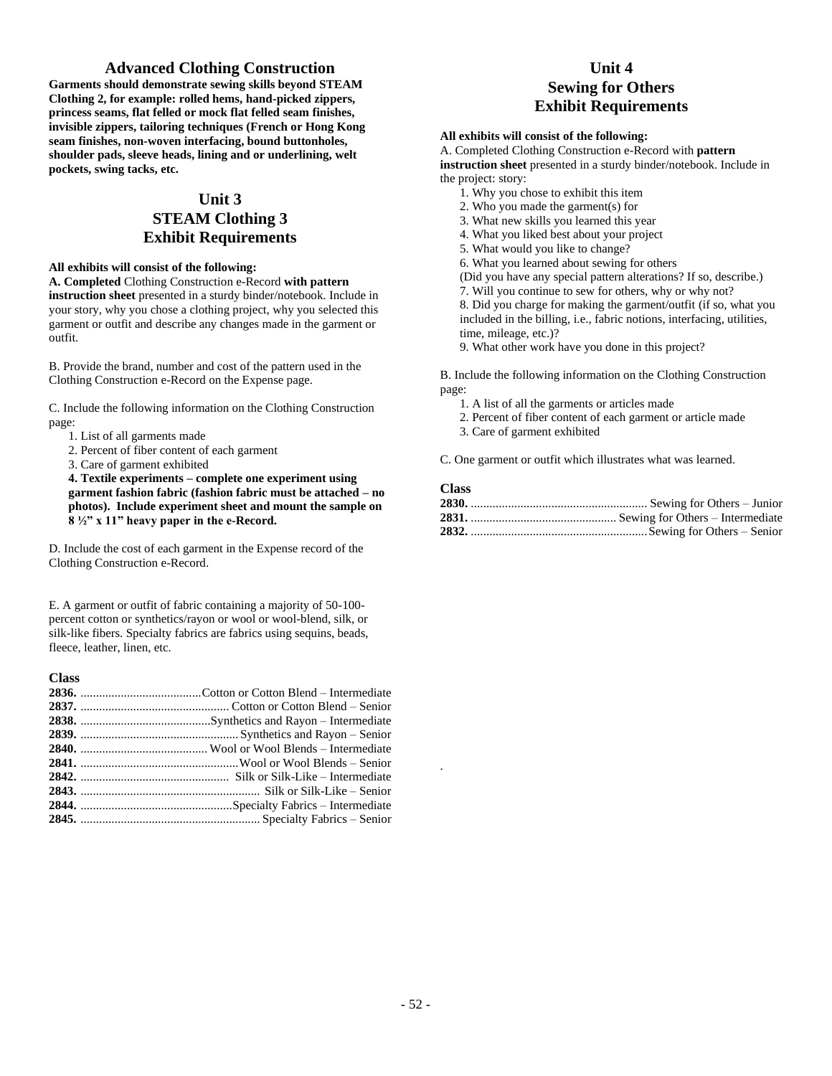### **Advanced Clothing Construction**

**Garments should demonstrate sewing skills beyond STEAM Clothing 2, for example: rolled hems, hand-picked zippers, princess seams, flat felled or mock flat felled seam finishes, invisible zippers, tailoring techniques (French or Hong Kong seam finishes, non-woven interfacing, bound buttonholes, shoulder pads, sleeve heads, lining and or underlining, welt pockets, swing tacks, etc.**

# **Unit 3**

# **STEAM Clothing 3 Exhibit Requirements**

### **All exhibits will consist of the following:**

**A. Completed** Clothing Construction e-Record **with pattern instruction sheet** presented in a sturdy binder/notebook. Include in your story, why you chose a clothing project, why you selected this garment or outfit and describe any changes made in the garment or outfit.

B. Provide the brand, number and cost of the pattern used in the Clothing Construction e-Record on the Expense page.

C. Include the following information on the Clothing Construction page:

1. List of all garments made

- 2. Percent of fiber content of each garment
- 3. Care of garment exhibited

**4. Textile experiments – complete one experiment using garment fashion fabric (fashion fabric must be attached – no photos). Include experiment sheet and mount the sample on 8 ½" x 11" heavy paper in the e-Record.**

D. Include the cost of each garment in the Expense record of the Clothing Construction e-Record.

E. A garment or outfit of fabric containing a majority of 50-100 percent cotton or synthetics/rayon or wool or wool-blend, silk, or silk-like fibers. Specialty fabrics are fabrics using sequins, beads, fleece, leather, linen, etc.

| <b>Class</b> |  |
|--------------|--|
|              |  |
|              |  |
|              |  |
|              |  |
|              |  |
|              |  |
|              |  |
|              |  |
|              |  |
|              |  |
|              |  |

# **Unit 4 Sewing for Others Exhibit Requirements**

#### **All exhibits will consist of the following:**

A. Completed Clothing Construction e-Record with **pattern instruction sheet** presented in a sturdy binder/notebook. Include in the project: story:

- 1. Why you chose to exhibit this item
- 2. Who you made the garment(s) for
- 3. What new skills you learned this year
- 4. What you liked best about your project
- 5. What would you like to change?
- 6. What you learned about sewing for others

(Did you have any special pattern alterations? If so, describe.)

7. Will you continue to sew for others, why or why not?

8. Did you charge for making the garment/outfit (if so, what you included in the billing, i.e., fabric notions, interfacing, utilities, time, mileage, etc.)?

9. What other work have you done in this project?

B. Include the following information on the Clothing Construction page:

- 1. A list of all the garments or articles made
- 2. Percent of fiber content of each garment or article made
- 3. Care of garment exhibited

C. One garment or outfit which illustrates what was learned.

### **Class**

.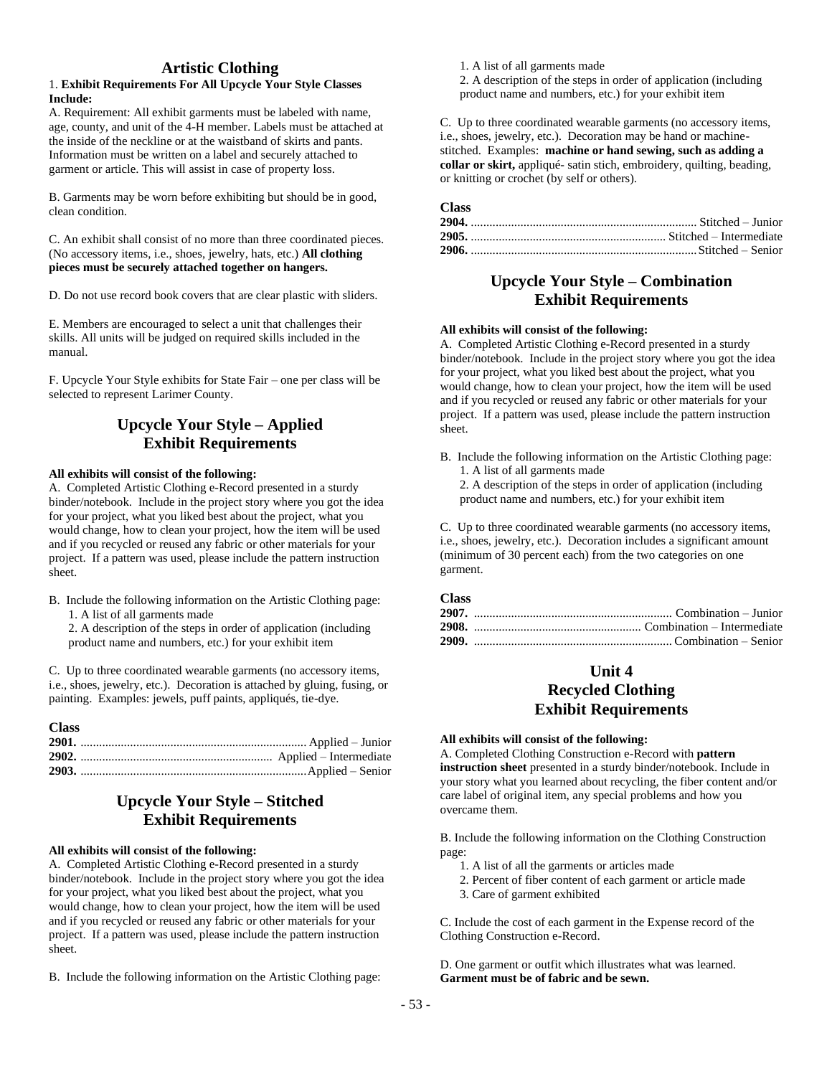### **Artistic Clothing**

#### 1. **Exhibit Requirements For All Upcycle Your Style Classes Include:**

A. Requirement: All exhibit garments must be labeled with name, age, county, and unit of the 4-H member. Labels must be attached at the inside of the neckline or at the waistband of skirts and pants. Information must be written on a label and securely attached to garment or article. This will assist in case of property loss.

B. Garments may be worn before exhibiting but should be in good, clean condition.

C. An exhibit shall consist of no more than three coordinated pieces. (No accessory items, i.e., shoes, jewelry, hats, etc.) **All clothing pieces must be securely attached together on hangers.**

D. Do not use record book covers that are clear plastic with sliders.

E. Members are encouraged to select a unit that challenges their skills. All units will be judged on required skills included in the manual.

F. Upcycle Your Style exhibits for State Fair – one per class will be selected to represent Larimer County.

# **Upcycle Your Style – Applied Exhibit Requirements**

### **All exhibits will consist of the following:**

A. Completed Artistic Clothing e-Record presented in a sturdy binder/notebook. Include in the project story where you got the idea for your project, what you liked best about the project, what you would change, how to clean your project, how the item will be used and if you recycled or reused any fabric or other materials for your project. If a pattern was used, please include the pattern instruction sheet.

B. Include the following information on the Artistic Clothing page: 1. A list of all garments made

2. A description of the steps in order of application (including product name and numbers, etc.) for your exhibit item

C. Up to three coordinated wearable garments (no accessory items, i.e., shoes, jewelry, etc.). Decoration is attached by gluing, fusing, or painting. Examples: jewels, puff paints, appliqués, tie-dye.

#### **Class**

# **Upcycle Your Style – Stitched Exhibit Requirements**

#### **All exhibits will consist of the following:**

A. Completed Artistic Clothing e-Record presented in a sturdy binder/notebook. Include in the project story where you got the idea for your project, what you liked best about the project, what you would change, how to clean your project, how the item will be used and if you recycled or reused any fabric or other materials for your project. If a pattern was used, please include the pattern instruction sheet.

B. Include the following information on the Artistic Clothing page:

1. A list of all garments made

2. A description of the steps in order of application (including product name and numbers, etc.) for your exhibit item

C. Up to three coordinated wearable garments (no accessory items, i.e., shoes, jewelry, etc.). Decoration may be hand or machinestitched. Examples: **machine or hand sewing, such as adding a collar or skirt,** appliqué- satin stich, embroidery, quilting, beading, or knitting or crochet (by self or others).

### **Class**

### **Upcycle Your Style – Combination Exhibit Requirements**

#### **All exhibits will consist of the following:**

A. Completed Artistic Clothing e-Record presented in a sturdy binder/notebook. Include in the project story where you got the idea for your project, what you liked best about the project, what you would change, how to clean your project, how the item will be used and if you recycled or reused any fabric or other materials for your project. If a pattern was used, please include the pattern instruction sheet.

B. Include the following information on the Artistic Clothing page: 1. A list of all garments made

2. A description of the steps in order of application (including product name and numbers, etc.) for your exhibit item

C. Up to three coordinated wearable garments (no accessory items, i.e., shoes, jewelry, etc.). Decoration includes a significant amount (minimum of 30 percent each) from the two categories on one garment.

### **Class**

# **Unit 4 Recycled Clothing Exhibit Requirements**

#### **All exhibits will consist of the following:**

A. Completed Clothing Construction e-Record with **pattern instruction sheet** presented in a sturdy binder/notebook. Include in your story what you learned about recycling, the fiber content and/or care label of original item, any special problems and how you overcame them.

B. Include the following information on the Clothing Construction page:

- 1. A list of all the garments or articles made
- 2. Percent of fiber content of each garment or article made
- 3. Care of garment exhibited

C. Include the cost of each garment in the Expense record of the Clothing Construction e-Record.

D. One garment or outfit which illustrates what was learned. **Garment must be of fabric and be sewn.**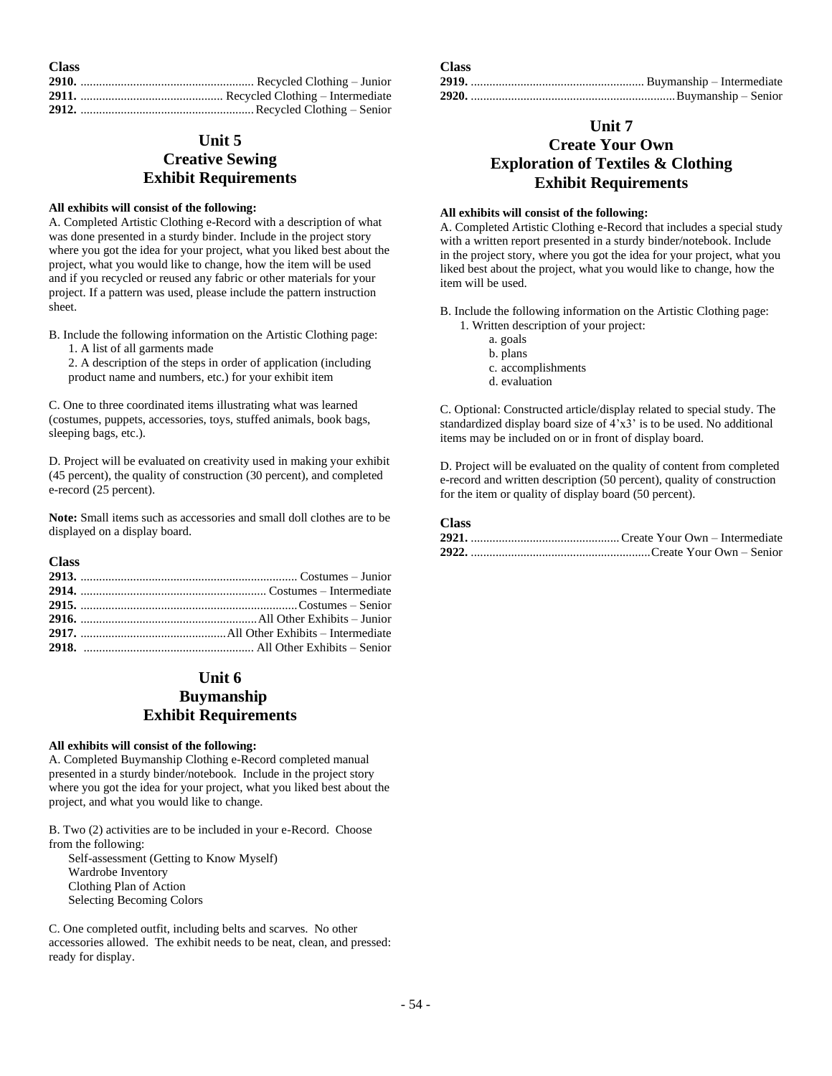| <b>Class</b> |  |
|--------------|--|
|              |  |
|              |  |
|              |  |

# **Unit 5 Creative Sewing Exhibit Requirements**

#### **All exhibits will consist of the following:**

A. Completed Artistic Clothing e-Record with a description of what was done presented in a sturdy binder. Include in the project story where you got the idea for your project, what you liked best about the project, what you would like to change, how the item will be used and if you recycled or reused any fabric or other materials for your project. If a pattern was used, please include the pattern instruction sheet.

B. Include the following information on the Artistic Clothing page: 1. A list of all garments made

2. A description of the steps in order of application (including product name and numbers, etc.) for your exhibit item

C. One to three coordinated items illustrating what was learned (costumes, puppets, accessories, toys, stuffed animals, book bags, sleeping bags, etc.).

D. Project will be evaluated on creativity used in making your exhibit (45 percent), the quality of construction (30 percent), and completed e-record (25 percent).

**Note:** Small items such as accessories and small doll clothes are to be displayed on a display board.

**Class**

| 2916. $\ldots$ $\ldots$ $\ldots$ $\ldots$ $\ldots$ $\ldots$ $\ldots$ $\ldots$ $\ldots$ $\ldots$ $\ldots$ $\ldots$ $\ldots$ $\ldots$ $\ldots$ $\ldots$ $\ldots$ $\ldots$ $\ldots$ $\ldots$ $\ldots$ $\ldots$ $\ldots$ $\ldots$ $\ldots$ $\ldots$ $\ldots$ $\ldots$ $\ldots$ $\ldots$ $\ldots$ $\ldots$ $\ldots$ $\ldots$ $\ldots$ $\ldots$ |
|-------------------------------------------------------------------------------------------------------------------------------------------------------------------------------------------------------------------------------------------------------------------------------------------------------------------------------------------|
|                                                                                                                                                                                                                                                                                                                                           |
| 2918. $\ldots$ $\ldots$ $\ldots$ $\ldots$ $\ldots$ $\ldots$ $\ldots$ $\ldots$ $\ldots$ $\ldots$ $\ldots$ $\ldots$ $\ldots$ $\ldots$ $\ldots$ $\ldots$ $\ldots$ $\ldots$ $\ldots$ $\ldots$ $\ldots$ $\ldots$ $\ldots$ $\ldots$ $\ldots$ $\ldots$ $\ldots$ $\ldots$ $\ldots$ $\ldots$ $\ldots$ $\ldots$ $\ldots$ $\ldots$ $\ldots$ $\ldots$ |

# **Unit 6**

# **Buymanship Exhibit Requirements**

### **All exhibits will consist of the following:**

A. Completed Buymanship Clothing e-Record completed manual presented in a sturdy binder/notebook. Include in the project story where you got the idea for your project, what you liked best about the project, and what you would like to change.

B. Two (2) activities are to be included in your e-Record. Choose from the following:

Self-assessment (Getting to Know Myself) Wardrobe Inventory Clothing Plan of Action Selecting Becoming Colors

C. One completed outfit, including belts and scarves. No other accessories allowed. The exhibit needs to be neat, clean, and pressed: ready for display.

| A JASS - |  |
|----------|--|
|          |  |
|          |  |

### **Unit 7**

# **Create Your Own Exploration of Textiles & Clothing Exhibit Requirements**

#### **All exhibits will consist of the following:**

A. Completed Artistic Clothing e-Record that includes a special study with a written report presented in a sturdy binder/notebook. Include in the project story, where you got the idea for your project, what you liked best about the project, what you would like to change, how the item will be used.

B. Include the following information on the Artistic Clothing page:

- 1. Written description of your project:
	- a. goals
		- b. plans
	- c. accomplishments
	- d. evaluation

C. Optional: Constructed article/display related to special study. The standardized display board size of 4'x3' is to be used. No additional items may be included on or in front of display board.

D. Project will be evaluated on the quality of content from completed e-record and written description (50 percent), quality of construction for the item or quality of display board (50 percent).

### **Class**

 $\mathbf{C}$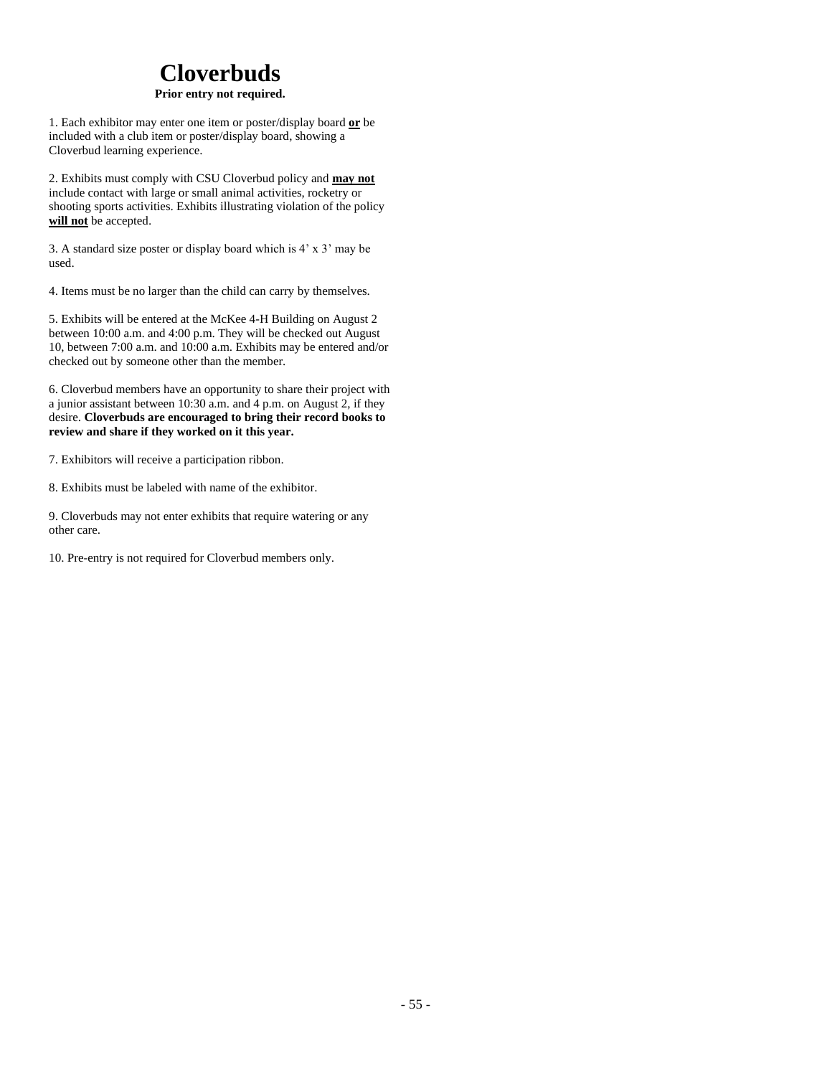# **Cloverbuds**

### **Prior entry not required.**

1. Each exhibitor may enter one item or poster/display board **or** be included with a club item or poster/display board, showing a Cloverbud learning experience.

2. Exhibits must comply with CSU Cloverbud policy and **may not** include contact with large or small animal activities, rocketry or shooting sports activities. Exhibits illustrating violation of the policy **will not** be accepted.

3. A standard size poster or display board which is 4' x 3' may be used.

4. Items must be no larger than the child can carry by themselves.

5. Exhibits will be entered at the McKee 4-H Building on August 2 between 10:00 a.m. and 4:00 p.m. They will be checked out August 10, between 7:00 a.m. and 10:00 a.m. Exhibits may be entered and/or checked out by someone other than the member.

6. Cloverbud members have an opportunity to share their project with a junior assistant between 10:30 a.m. and 4 p.m. on August 2, if they desire. **Cloverbuds are encouraged to bring their record books to review and share if they worked on it this year.**

7. Exhibitors will receive a participation ribbon.

8. Exhibits must be labeled with name of the exhibitor.

9. Cloverbuds may not enter exhibits that require watering or any other care.

10. Pre-entry is not required for Cloverbud members only.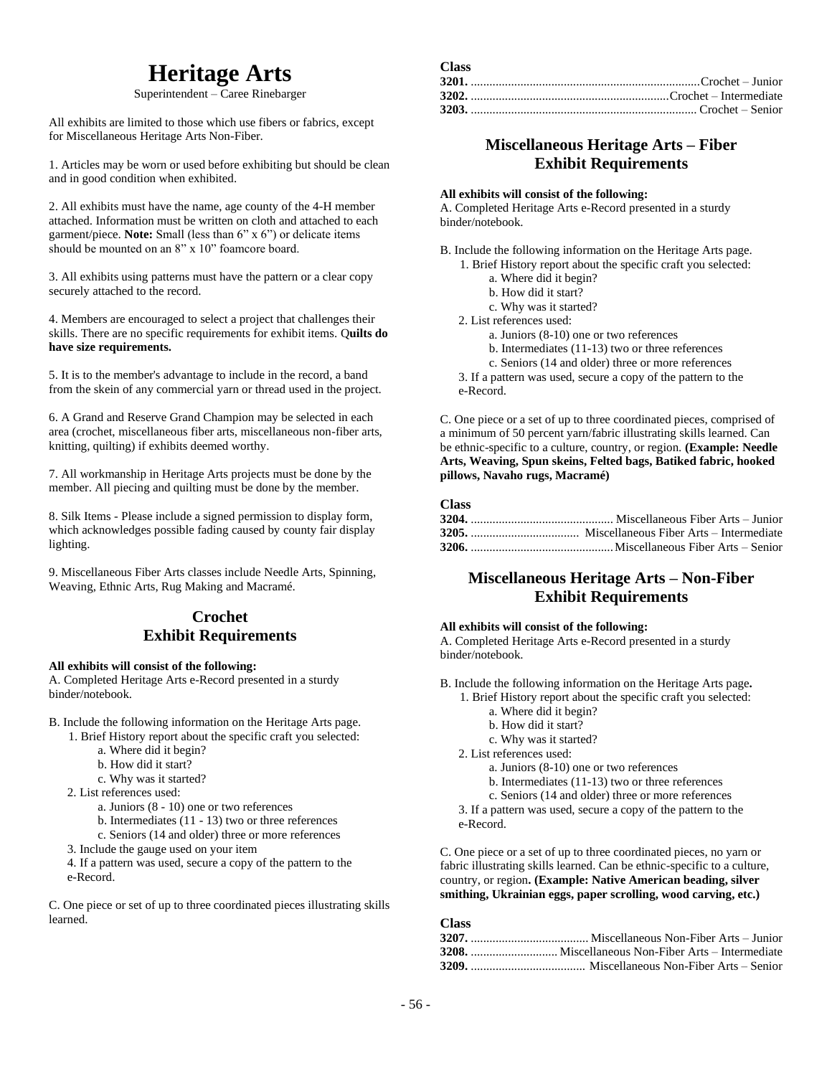# **Heritage Arts**

Superintendent – Caree Rinebarger

All exhibits are limited to those which use fibers or fabrics, except for Miscellaneous Heritage Arts Non-Fiber.

1. Articles may be worn or used before exhibiting but should be clean and in good condition when exhibited.

2. All exhibits must have the name, age county of the 4-H member attached. Information must be written on cloth and attached to each garment/piece. **Note:** Small (less than 6" x 6") or delicate items should be mounted on an 8" x 10" foamcore board.

3. All exhibits using patterns must have the pattern or a clear copy securely attached to the record.

4. Members are encouraged to select a project that challenges their skills. There are no specific requirements for exhibit items. Q**uilts do have size requirements.**

5. It is to the member's advantage to include in the record, a band from the skein of any commercial yarn or thread used in the project.

6. A Grand and Reserve Grand Champion may be selected in each area (crochet, miscellaneous fiber arts, miscellaneous non-fiber arts, knitting, quilting) if exhibits deemed worthy.

7. All workmanship in Heritage Arts projects must be done by the member. All piecing and quilting must be done by the member.

8. Silk Items - Please include a signed permission to display form, which acknowledges possible fading caused by county fair display lighting.

9. Miscellaneous Fiber Arts classes include Needle Arts, Spinning, Weaving, Ethnic Arts, Rug Making and Macramé.

## **Crochet Exhibit Requirements**

#### **All exhibits will consist of the following:**

A. Completed Heritage Arts e-Record presented in a sturdy binder/notebook.

- B. Include the following information on the Heritage Arts page.
	- 1. Brief History report about the specific craft you selected:
		- a. Where did it begin?
		- b. How did it start?
		- c. Why was it started?
	- 2. List references used:
		- a. Juniors (8 10) one or two references
		- b. Intermediates (11 13) two or three references
		- c. Seniors (14 and older) three or more references
	- 3. Include the gauge used on your item

4. If a pattern was used, secure a copy of the pattern to the e-Record.

C. One piece or set of up to three coordinated pieces illustrating skills learned.

| UTASS. |  |
|--------|--|
|        |  |
|        |  |
|        |  |

## **Miscellaneous Heritage Arts – Fiber Exhibit Requirements**

#### **All exhibits will consist of the following:**

A. Completed Heritage Arts e-Record presented in a sturdy binder/notebook.

B. Include the following information on the Heritage Arts page. 1. Brief History report about the specific craft you selected:

- a. Where did it begin?
- b. How did it start?

c. Why was it started?

2. List references used:

- a. Juniors (8-10) one or two references
- b. Intermediates (11-13) two or three references
- c. Seniors (14 and older) three or more references

3. If a pattern was used, secure a copy of the pattern to the e-Record.

C. One piece or a set of up to three coordinated pieces, comprised of a minimum of 50 percent yarn/fabric illustrating skills learned. Can be ethnic-specific to a culture, country, or region. **(Example: Needle Arts, Weaving, Spun skeins, Felted bags, Batiked fabric, hooked pillows, Navaho rugs, Macramé)**

#### **Class**

**Class**

# **Miscellaneous Heritage Arts – Non-Fiber Exhibit Requirements**

#### **All exhibits will consist of the following:**

A. Completed Heritage Arts e-Record presented in a sturdy binder/notebook.

B. Include the following information on the Heritage Arts page**.**

- 1. Brief History report about the specific craft you selected: a. Where did it begin?
	- b. How did it start?
	- c. Why was it started?
- 2. List references used:
	- a. Juniors (8-10) one or two references
	- b. Intermediates (11-13) two or three references
	- c. Seniors (14 and older) three or more references
- 3. If a pattern was used, secure a copy of the pattern to the e-Record.

C. One piece or a set of up to three coordinated pieces, no yarn or fabric illustrating skills learned. Can be ethnic-specific to a culture, country, or region**. (Example: Native American beading, silver smithing, Ukrainian eggs, paper scrolling, wood carving, etc.)**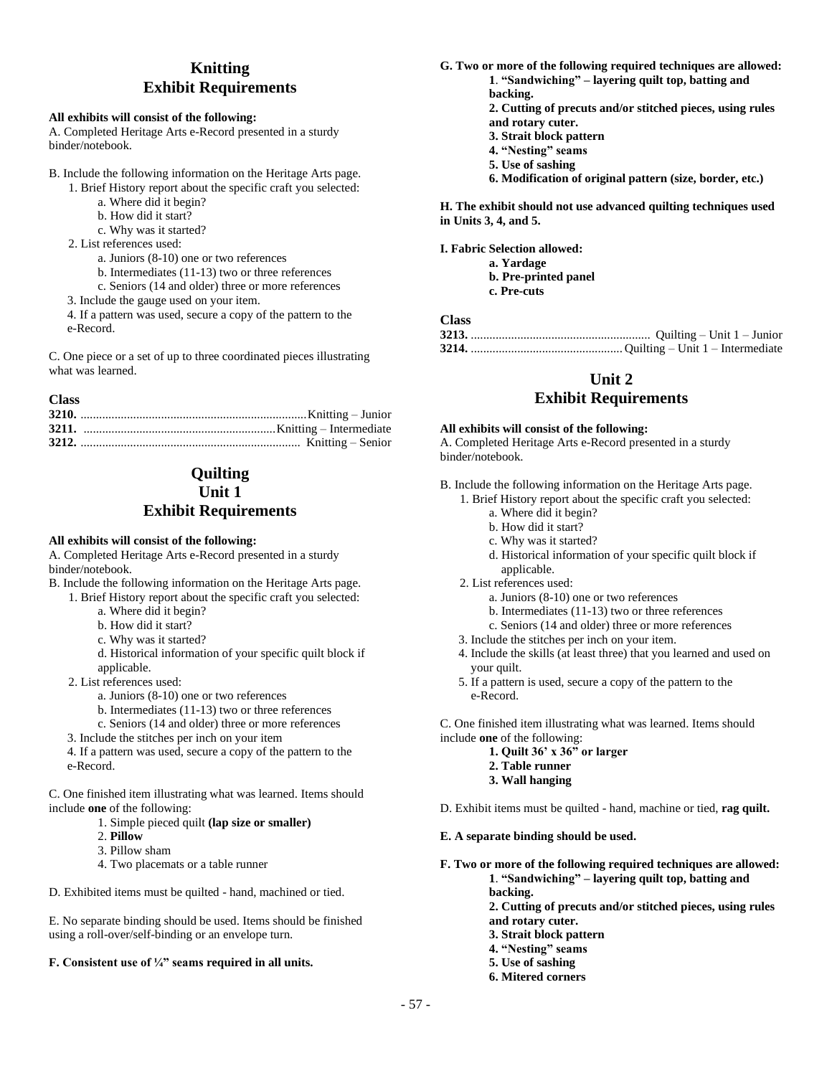# **Knitting Exhibit Requirements**

### **All exhibits will consist of the following:**

A. Completed Heritage Arts e-Record presented in a sturdy binder/notebook.

- B. Include the following information on the Heritage Arts page.
	- 1. Brief History report about the specific craft you selected:
		- a. Where did it begin?
		- b. How did it start?
		- c. Why was it started?
	- 2. List references used:
		- a. Juniors (8-10) one or two references
		- b. Intermediates (11-13) two or three references
		- c. Seniors (14 and older) three or more references
	- 3. Include the gauge used on your item.
	- 4. If a pattern was used, secure a copy of the pattern to the e-Record.

C. One piece or a set of up to three coordinated pieces illustrating what was learned.

### **Class**

# **Quilting Unit 1 Exhibit Requirements**

### **All exhibits will consist of the following:**

A. Completed Heritage Arts e-Record presented in a sturdy binder/notebook.

- B. Include the following information on the Heritage Arts page.
	- 1. Brief History report about the specific craft you selected:
		- a. Where did it begin?
		- b. How did it start?
		- c. Why was it started?
		- d. Historical information of your specific quilt block if applicable.
	- 2. List references used:
		- a. Juniors (8-10) one or two references
		- b. Intermediates (11-13) two or three references
		- c. Seniors (14 and older) three or more references
	- 3. Include the stitches per inch on your item
	- 4. If a pattern was used, secure a copy of the pattern to the e-Record.

C. One finished item illustrating what was learned. Items should include **one** of the following:

- 1. Simple pieced quilt **(lap size or smaller)**
- 2. **Pillow**
- 3. Pillow sham
- 4. Two placemats or a table runner
- D. Exhibited items must be quilted hand, machined or tied.

E. No separate binding should be used. Items should be finished using a roll-over/self-binding or an envelope turn.

### **F. Consistent use of ¼" seams required in all units.**

- **G. Two or more of the following required techniques are allowed: 1**. **"Sandwiching" – layering quilt top, batting and backing.**
	- **2. Cutting of precuts and/or stitched pieces, using rules and rotary cuter.**
	- **3. Strait block pattern**
	- **4. "Nesting" seams**
	- **5. Use of sashing**
	- **6. Modification of original pattern (size, border, etc.)**

**H. The exhibit should not use advanced quilting techniques used in Units 3, 4, and 5.**

**I. Fabric Selection allowed: a. Yardage**

**b. Pre-printed panel c. Pre-cuts**

### **Class**

# **Unit 2 Exhibit Requirements**

#### **All exhibits will consist of the following:**

A. Completed Heritage Arts e-Record presented in a sturdy binder/notebook.

B. Include the following information on the Heritage Arts page.

- 1. Brief History report about the specific craft you selected:
	- a. Where did it begin?
	- b. How did it start?
	- c. Why was it started?
	- d. Historical information of your specific quilt block if applicable.
- 2. List references used:
	- a. Juniors (8-10) one or two references
	- b. Intermediates (11-13) two or three references
	- c. Seniors (14 and older) three or more references
- 3. Include the stitches per inch on your item.
- 4. Include the skills (at least three) that you learned and used on your quilt.
- 5. If a pattern is used, secure a copy of the pattern to the e-Record.

C. One finished item illustrating what was learned. Items should include **one** of the following:

- **1. Quilt 36' x 36" or larger**
- **2. Table runner**
- **3. Wall hanging**
- D. Exhibit items must be quilted hand, machine or tied, **rag quilt.**

### **E. A separate binding should be used.**

**F. Two or more of the following required techniques are allowed: 1**. **"Sandwiching" – layering quilt top, batting and** 

**backing.**

**2. Cutting of precuts and/or stitched pieces, using rules and rotary cuter.**

- **3. Strait block pattern**
- **4. "Nesting" seams**
- **5. Use of sashing**
- **6. Mitered corners**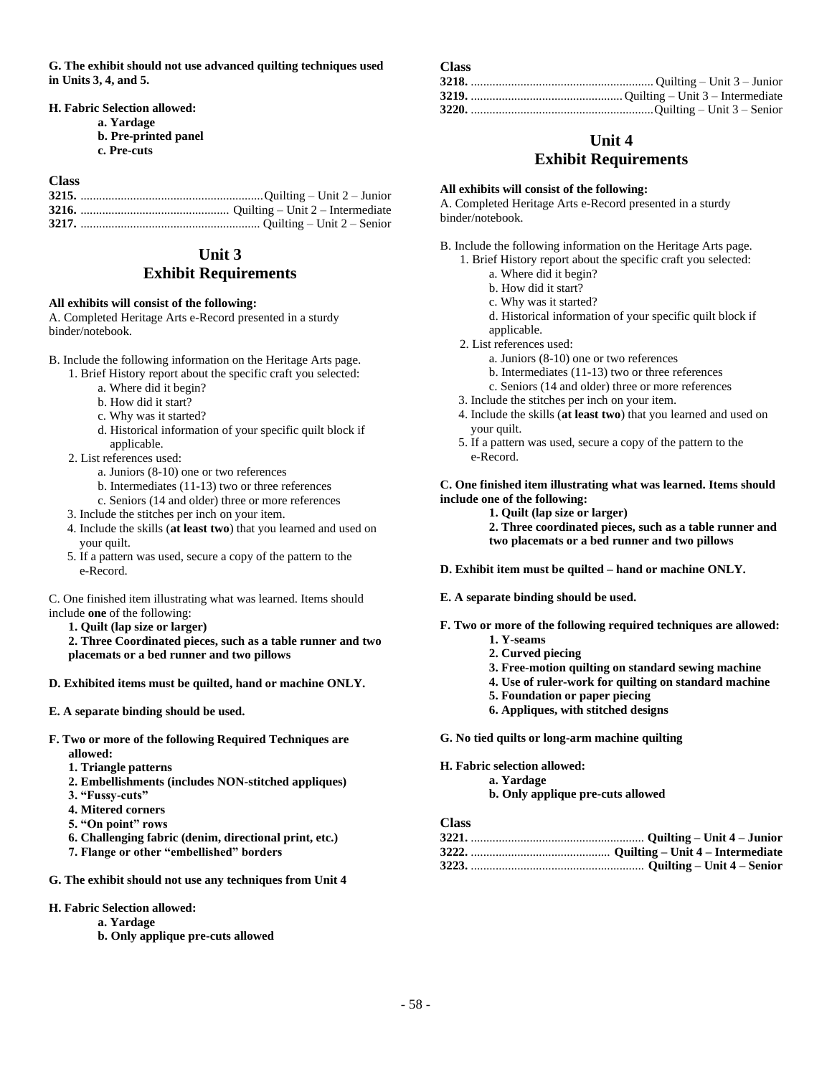**G. The exhibit should not use advanced quilting techniques used in Units 3, 4, and 5.**

**H. Fabric Selection allowed:**

- **a. Yardage**
	- **b. Pre-printed panel**
	- **c. Pre-cuts**

# **Class**

### **Unit 3 Exhibit Requirements**

#### **All exhibits will consist of the following:**

A. Completed Heritage Arts e-Record presented in a sturdy binder/notebook.

- B. Include the following information on the Heritage Arts page.
	- 1. Brief History report about the specific craft you selected:
		- a. Where did it begin?
		- b. How did it start?
		- c. Why was it started?
		- d. Historical information of your specific quilt block if applicable.
	- 2. List references used:
		- a. Juniors (8-10) one or two references
		- b. Intermediates (11-13) two or three references
		- c. Seniors (14 and older) three or more references
	- 3. Include the stitches per inch on your item.
	- 4. Include the skills (**at least two**) that you learned and used on your quilt.
	- 5. If a pattern was used, secure a copy of the pattern to the e-Record.

C. One finished item illustrating what was learned. Items should include **one** of the following:

**1. Quilt (lap size or larger)**

**2. Three Coordinated pieces, such as a table runner and two placemats or a bed runner and two pillows**

- **D. Exhibited items must be quilted, hand or machine ONLY.**
- **E. A separate binding should be used.**
- **F. Two or more of the following Required Techniques are allowed:**
	- **1. Triangle patterns**
	- **2. Embellishments (includes NON-stitched appliques)**
	- **3. "Fussy-cuts"**
	- **4. Mitered corners**
	- **5. "On point" rows**
	- **6. Challenging fabric (denim, directional print, etc.)**
	- **7. Flange or other "embellished" borders**
- **G. The exhibit should not use any techniques from Unit 4**
- **H. Fabric Selection allowed:**
	- **a. Yardage**
	- **b. Only applique pre-cuts allowed**

### **Unit 4**

### **Exhibit Requirements**

#### **All exhibits will consist of the following:**

**Class**

A. Completed Heritage Arts e-Record presented in a sturdy binder/notebook.

- B. Include the following information on the Heritage Arts page.
	- 1. Brief History report about the specific craft you selected:
		- a. Where did it begin?
		- b. How did it start?
		- c. Why was it started?
		- d. Historical information of your specific quilt block if applicable.
	- 2. List references used:
		- a. Juniors (8-10) one or two references
		- b. Intermediates (11-13) two or three references
		- c. Seniors (14 and older) three or more references
	- 3. Include the stitches per inch on your item.
	- 4. Include the skills (**at least two**) that you learned and used on your quilt.
	- 5. If a pattern was used, secure a copy of the pattern to the e-Record.

**C. One finished item illustrating what was learned. Items should include one of the following:**

- **1. Quilt (lap size or larger)**
- **2. Three coordinated pieces, such as a table runner and two placemats or a bed runner and two pillows**
- **D. Exhibit item must be quilted – hand or machine ONLY.**
- **E. A separate binding should be used.**
- **F. Two or more of the following required techniques are allowed:**
	- **1. Y-seams**
	- **2. Curved piecing**
	- **3. Free-motion quilting on standard sewing machine**
	- **4. Use of ruler-work for quilting on standard machine**
	- **5. Foundation or paper piecing**
	- **6. Appliques, with stitched designs**

**G. No tied quilts or long-arm machine quilting**

**H. Fabric selection allowed:**

**a. Yardage b. Only applique pre-cuts allowed**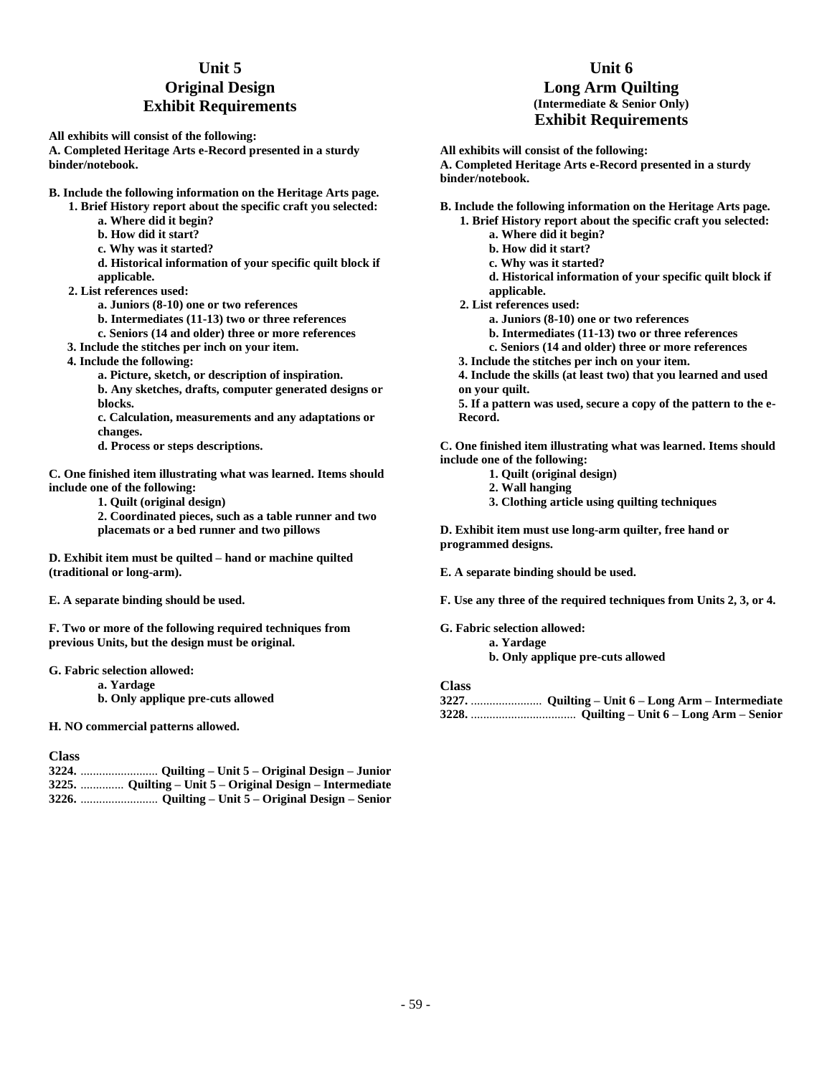# **Unit 5 Original Design Exhibit Requirements**

**All exhibits will consist of the following: A. Completed Heritage Arts e-Record presented in a sturdy binder/notebook.**

- **B. Include the following information on the Heritage Arts page.**
	- **1. Brief History report about the specific craft you selected:**
		- **a. Where did it begin?**
		- **b. How did it start?**
		- **c. Why was it started?**
		- **d. Historical information of your specific quilt block if applicable.**
	- **2. List references used:**
		- **a. Juniors (8-10) one or two references**
		- **b. Intermediates (11-13) two or three references**
		- **c. Seniors (14 and older) three or more references**
	- **3. Include the stitches per inch on your item.**
	- **4. Include the following:**
		- **a. Picture, sketch, or description of inspiration. b. Any sketches, drafts, computer generated designs or blocks.**
		- **c. Calculation, measurements and any adaptations or changes.**
		- **d. Process or steps descriptions.**

**C. One finished item illustrating what was learned. Items should include one of the following:**

**1. Quilt (original design)**

**2. Coordinated pieces, such as a table runner and two placemats or a bed runner and two pillows**

**D. Exhibit item must be quilted – hand or machine quilted (traditional or long-arm).**

**E. A separate binding should be used.**

**F. Two or more of the following required techniques from previous Units, but the design must be original.**

- **G. Fabric selection allowed:**
	- **a. Yardage**
	- **b. Only applique pre-cuts allowed**

**H. NO commercial patterns allowed.**

#### **Class**

| 3225.  Quilting – Unit 5 – Original Design – Intermediate |
|-----------------------------------------------------------|
|                                                           |

### **Unit 6 Long Arm Quilting (Intermediate & Senior Only) Exhibit Requirements**

**All exhibits will consist of the following: A. Completed Heritage Arts e-Record presented in a sturdy binder/notebook.**

**B. Include the following information on the Heritage Arts page. 1. Brief History report about the specific craft you selected:**

- **a. Where did it begin?**
- **b. How did it start?**
- **c. Why was it started?**
- **d. Historical information of your specific quilt block if applicable.**

**2. List references used:**

- **a. Juniors (8-10) one or two references**
- **b. Intermediates (11-13) two or three references**
- **c. Seniors (14 and older) three or more references**
- **3. Include the stitches per inch on your item.**

**4. Include the skills (at least two) that you learned and used on your quilt.**

**5. If a pattern was used, secure a copy of the pattern to the e-Record.**

**C. One finished item illustrating what was learned. Items should include one of the following:**

- **1. Quilt (original design)**
- **2. Wall hanging**
- **3. Clothing article using quilting techniques**

**D. Exhibit item must use long-arm quilter, free hand or programmed designs.**

**E. A separate binding should be used.**

**F. Use any three of the required techniques from Units 2, 3, or 4.**

**G. Fabric selection allowed: a. Yardage**

**b. Only applique pre-cuts allowed**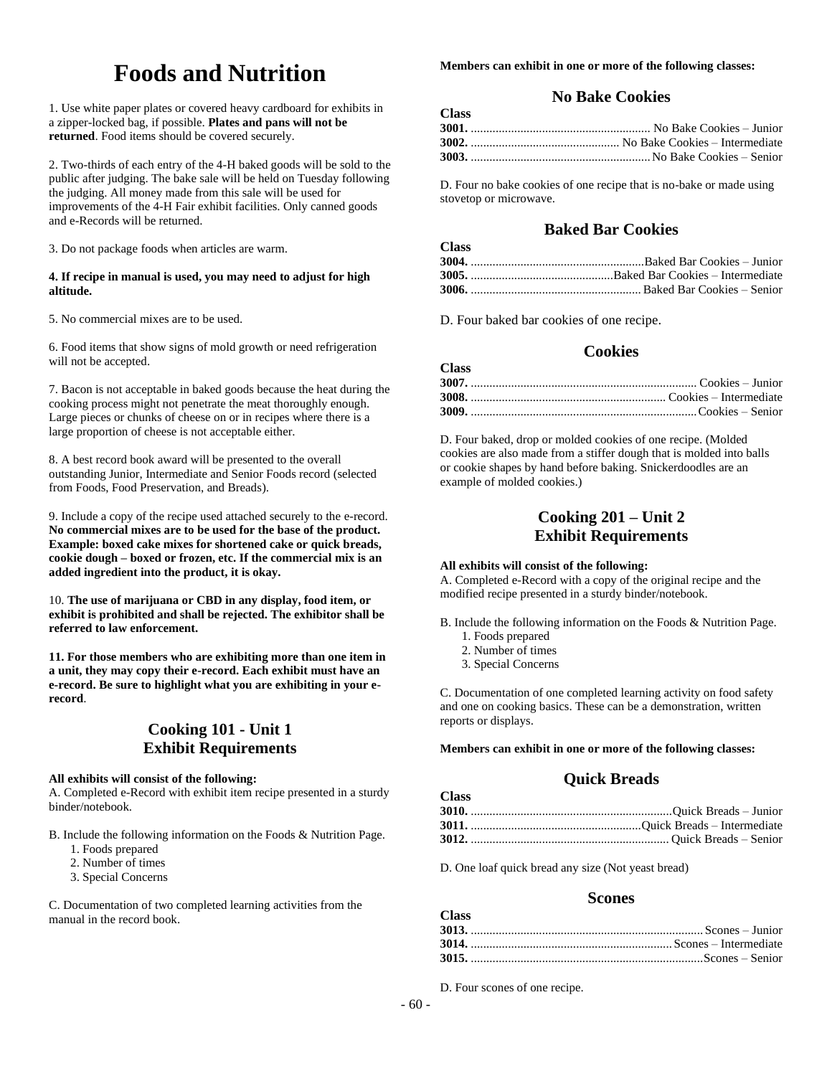# **Foods and Nutrition**

1. Use white paper plates or covered heavy cardboard for exhibits in a zipper-locked bag, if possible. **Plates and pans will not be returned**. Food items should be covered securely.

2. Two-thirds of each entry of the 4-H baked goods will be sold to the public after judging. The bake sale will be held on Tuesday following the judging. All money made from this sale will be used for improvements of the 4-H Fair exhibit facilities. Only canned goods and e-Records will be returned.

3. Do not package foods when articles are warm.

### **4. If recipe in manual is used, you may need to adjust for high altitude.**

5. No commercial mixes are to be used.

6. Food items that show signs of mold growth or need refrigeration will not be accepted.

7. Bacon is not acceptable in baked goods because the heat during the cooking process might not penetrate the meat thoroughly enough. Large pieces or chunks of cheese on or in recipes where there is a large proportion of cheese is not acceptable either.

8. A best record book award will be presented to the overall outstanding Junior, Intermediate and Senior Foods record (selected from Foods, Food Preservation, and Breads).

9. Include a copy of the recipe used attached securely to the e-record. **No commercial mixes are to be used for the base of the product. Example: boxed cake mixes for shortened cake or quick breads, cookie dough – boxed or frozen, etc. If the commercial mix is an added ingredient into the product, it is okay.**

10. **The use of marijuana or CBD in any display, food item, or exhibit is prohibited and shall be rejected. The exhibitor shall be referred to law enforcement.**

**11. For those members who are exhibiting more than one item in a unit, they may copy their e-record. Each exhibit must have an e-record. Be sure to highlight what you are exhibiting in your erecord**.

# **Cooking 101 - Unit 1 Exhibit Requirements**

### **All exhibits will consist of the following:**

A. Completed e-Record with exhibit item recipe presented in a sturdy binder/notebook.

- B. Include the following information on the Foods & Nutrition Page.
	- 1. Foods prepared
	- 2. Number of times
	- 3. Special Concerns

C. Documentation of two completed learning activities from the manual in the record book.

**Members can exhibit in one or more of the following classes:**

# **No Bake Cookies**

| <b>Class</b> |  |
|--------------|--|
|              |  |
|              |  |
|              |  |

D. Four no bake cookies of one recipe that is no-bake or made using stovetop or microwave.

# **Baked Bar Cookies**

| 1.11.177 |  |
|----------|--|
|          |  |
|          |  |
|          |  |
|          |  |

D. Four baked bar cookies of one recipe.

**Class**

## **Cookies**

| <b>Class</b> |  |
|--------------|--|
|              |  |
|              |  |
|              |  |

D. Four baked, drop or molded cookies of one recipe. (Molded cookies are also made from a stiffer dough that is molded into balls or cookie shapes by hand before baking. Snickerdoodles are an example of molded cookies.)

# **Cooking 201 – Unit 2 Exhibit Requirements**

### **All exhibits will consist of the following:**

A. Completed e-Record with a copy of the original recipe and the modified recipe presented in a sturdy binder/notebook.

- B. Include the following information on the Foods & Nutrition Page.
	- 1. Foods prepared
	- 2. Number of times
	- 3. Special Concerns

**Class**

**Class**

C. Documentation of one completed learning activity on food safety and one on cooking basics. These can be a demonstration, written reports or displays.

### **Members can exhibit in one or more of the following classes:**

### **Quick Breads**

D. One loaf quick bread any size (Not yeast bread)

### **Scones**

| UTASS. |  |
|--------|--|
|        |  |
|        |  |
|        |  |

D. Four scones of one recipe.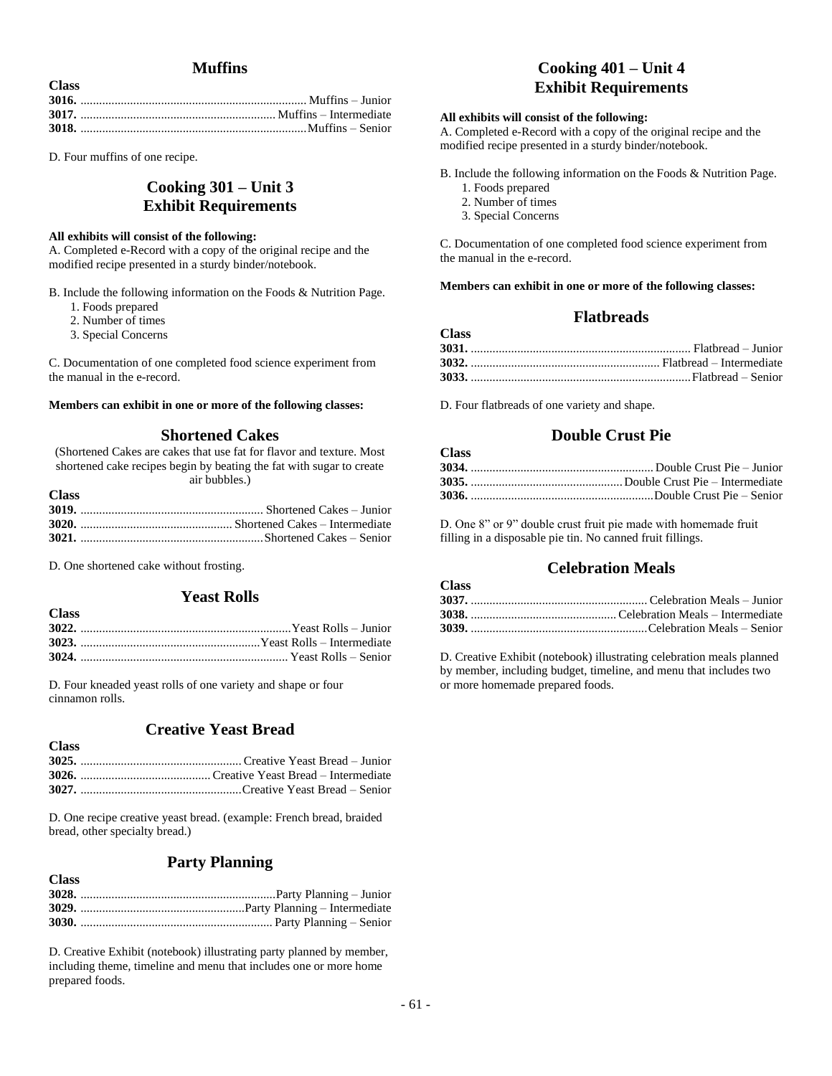# **Muffins**

| - 32.455 |  |
|----------|--|
|          |  |
|          |  |
|          |  |

D. Four muffins of one recipe.

**Class**

# **Cooking 301 – Unit 3 Exhibit Requirements**

#### **All exhibits will consist of the following:**

A. Completed e-Record with a copy of the original recipe and the modified recipe presented in a sturdy binder/notebook.

B. Include the following information on the Foods & Nutrition Page.

- 1. Foods prepared
- 2. Number of times
- 3. Special Concerns

C. Documentation of one completed food science experiment from the manual in the e-record.

#### **Members can exhibit in one or more of the following classes:**

### **Shortened Cakes**

(Shortened Cakes are cakes that use fat for flavor and texture. Most shortened cake recipes begin by beating the fat with sugar to create air bubbles.)

| M.<br>۰,<br>×<br>٩<br>۰.<br>۰,<br>$-$ |  |
|---------------------------------------|--|
|---------------------------------------|--|

**Class**

| <b>A</b> |  |
|----------|--|
|          |  |
|          |  |
|          |  |
|          |  |

D. One shortened cake without frosting.

### **Yeast Rolls**

| <b>*********</b> |  |
|------------------|--|
|                  |  |
|                  |  |
|                  |  |

D. Four kneaded yeast rolls of one variety and shape or four cinnamon rolls.

### **Creative Yeast Bread**

| <b>Class</b> |  |
|--------------|--|
|              |  |
|              |  |
|              |  |

D. One recipe creative yeast bread. (example: French bread, braided bread, other specialty bread.)

# **Party Planning**

| <b>Class</b> |  |
|--------------|--|
|              |  |
|              |  |
|              |  |
|              |  |

D. Creative Exhibit (notebook) illustrating party planned by member, including theme, timeline and menu that includes one or more home prepared foods.

# **Cooking 401 – Unit 4 Exhibit Requirements**

### **All exhibits will consist of the following:**

A. Completed e-Record with a copy of the original recipe and the modified recipe presented in a sturdy binder/notebook.

B. Include the following information on the Foods & Nutrition Page.

- 1. Foods prepared
- 2. Number of times
- 3. Special Concerns

C. Documentation of one completed food science experiment from the manual in the e-record.

**Members can exhibit in one or more of the following classes:**

### **Flatbreads**

| <b>Class</b> |  |
|--------------|--|
|              |  |
|              |  |
|              |  |

D. Four flatbreads of one variety and shape.

**Class**

**Class**

### **Double Crust Pie**

| UTASS. |  |
|--------|--|
|        |  |
|        |  |
|        |  |
|        |  |

D. One 8" or 9" double crust fruit pie made with homemade fruit filling in a disposable pie tin. No canned fruit fillings.

# **Celebration Meals**

| $\mathbf{v}$ |  |
|--------------|--|
|              |  |
|              |  |
|              |  |
|              |  |

D. Creative Exhibit (notebook) illustrating celebration meals planned by member, including budget, timeline, and menu that includes two or more homemade prepared foods.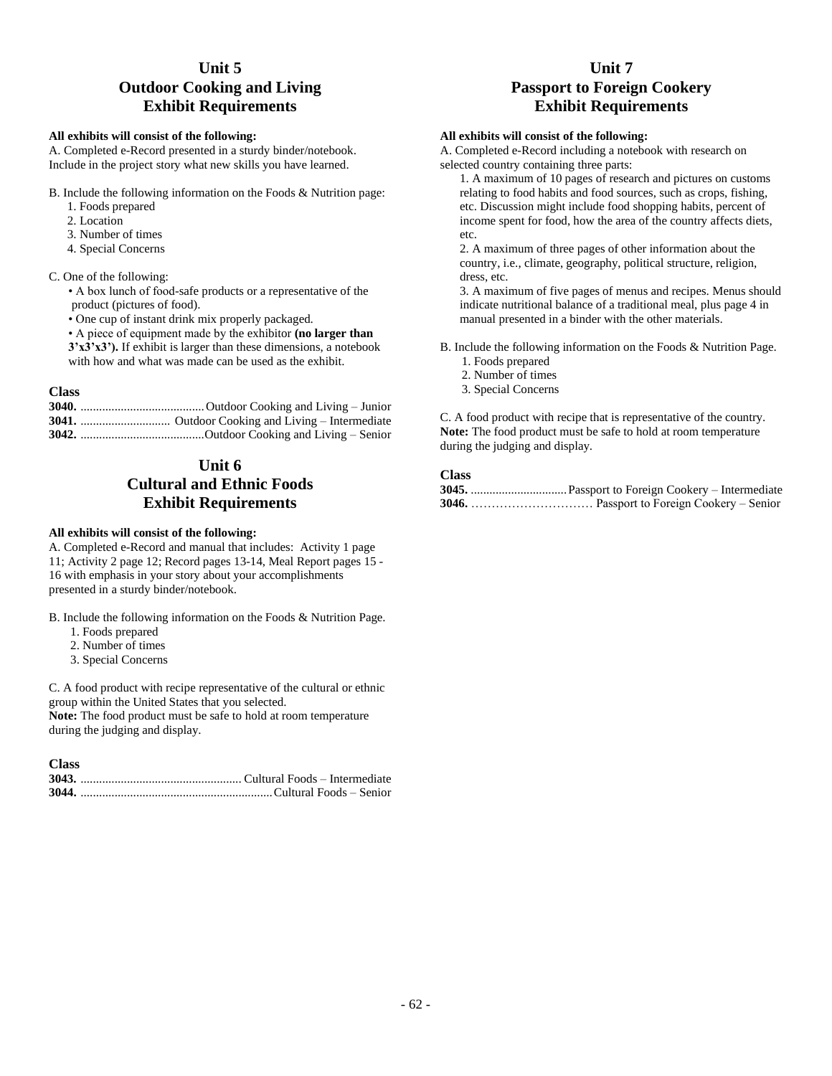# **Unit 5 Outdoor Cooking and Living Exhibit Requirements**

### **All exhibits will consist of the following:**

A. Completed e-Record presented in a sturdy binder/notebook. Include in the project story what new skills you have learned.

- B. Include the following information on the Foods & Nutrition page:
	- 1. Foods prepared
	- 2. Location
	- 3. Number of times
	- 4. Special Concerns
- C. One of the following:
	- A box lunch of food-safe products or a representative of the product (pictures of food).
	- One cup of instant drink mix properly packaged.
	- A piece of equipment made by the exhibitor **(no larger than**
	- **3'x3'x3').** If exhibit is larger than these dimensions, a notebook with how and what was made can be used as the exhibit.

### **Class**

#### **3040.** ........................................Outdoor Cooking and Living – Junior **3041.** ............................. Outdoor Cooking and Living – Intermediate **3042.** ........................................Outdoor Cooking and Living – Senior

# **Unit 6 Cultural and Ethnic Foods Exhibit Requirements**

### **All exhibits will consist of the following:**

A. Completed e-Record and manual that includes: Activity 1 page 11; Activity 2 page 12; Record pages 13-14, Meal Report pages 15 - 16 with emphasis in your story about your accomplishments presented in a sturdy binder/notebook.

B. Include the following information on the Foods & Nutrition Page.

- 1. Foods prepared
- 2. Number of times
- 3. Special Concerns

C. A food product with recipe representative of the cultural or ethnic group within the United States that you selected.

**Note:** The food product must be safe to hold at room temperature during the judging and display.

| <b>Class</b> |  |
|--------------|--|
|              |  |
|              |  |

# **Unit 7 Passport to Foreign Cookery Exhibit Requirements**

#### **All exhibits will consist of the following:**

A. Completed e-Record including a notebook with research on selected country containing three parts:

1. A maximum of 10 pages of research and pictures on customs relating to food habits and food sources, such as crops, fishing, etc. Discussion might include food shopping habits, percent of income spent for food, how the area of the country affects diets, etc.

2. A maximum of three pages of other information about the country, i.e., climate, geography, political structure, religion, dress, etc.

3. A maximum of five pages of menus and recipes. Menus should indicate nutritional balance of a traditional meal, plus page 4 in manual presented in a binder with the other materials.

B. Include the following information on the Foods & Nutrition Page.

- 1. Foods prepared
- 2. Number of times
- 3. Special Concerns

C. A food product with recipe that is representative of the country. **Note:** The food product must be safe to hold at room temperature during the judging and display.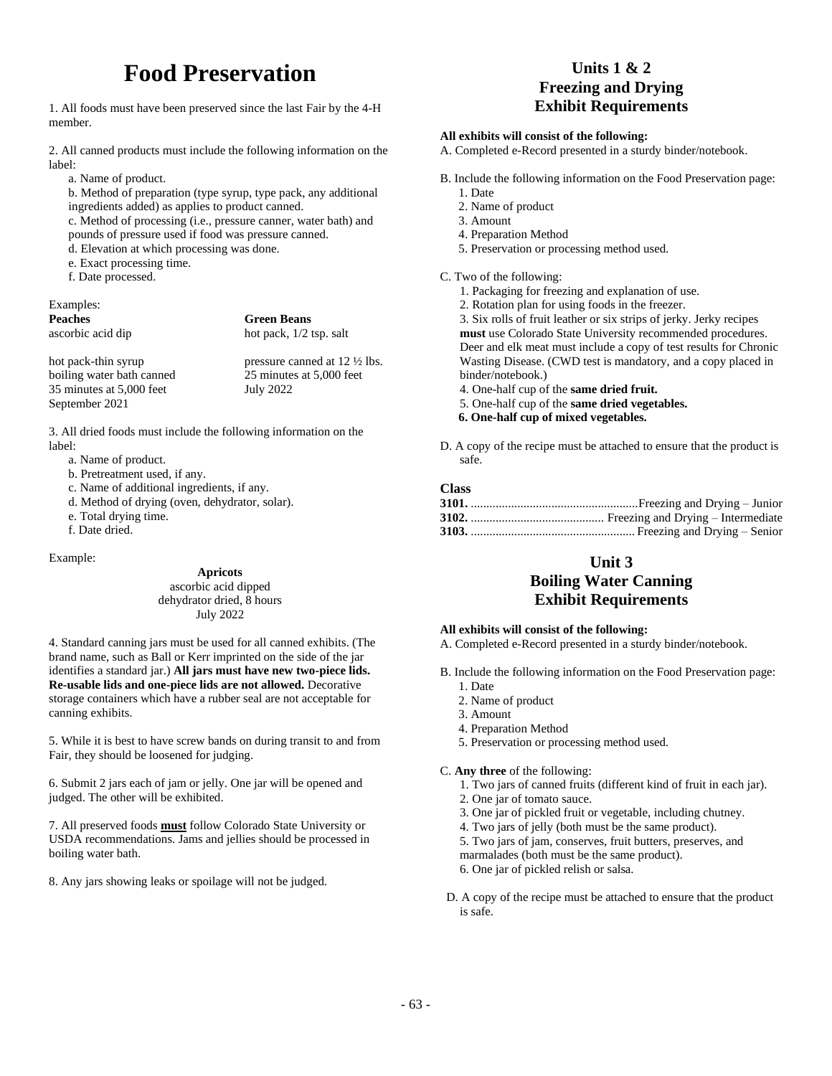# **Food Preservation**

1. All foods must have been preserved since the last Fair by the 4-H member.

2. All canned products must include the following information on the label:

a. Name of product.

b. Method of preparation (type syrup, type pack, any additional ingredients added) as applies to product canned.

c. Method of processing (i.e., pressure canner, water bath) and pounds of pressure used if food was pressure canned.

- d. Elevation at which processing was done.
- e. Exact processing time.
- f. Date processed.

### Examples:

**Peaches Green Beans** ascorbic acid dip hot pack,  $1/2$  tsp. salt

hot pack-thin syrup pressure canned at  $12\frac{1}{2}$  lbs. boiling water bath canned 25 minutes at 5,000 feet 35 minutes at 5,000 feet July 2022 September 2021

3. All dried foods must include the following information on the label:

- a. Name of product.
- b. Pretreatment used, if any.
- c. Name of additional ingredients, if any.
- d. Method of drying (oven, dehydrator, solar).
- e. Total drying time.
- f. Date dried.

Example:

**Apricots** ascorbic acid dipped dehydrator dried, 8 hours July 2022

4. Standard canning jars must be used for all canned exhibits. (The brand name, such as Ball or Kerr imprinted on the side of the jar identifies a standard jar.) **All jars must have new two-piece lids. Re-usable lids and one-piece lids are not allowed.** Decorative storage containers which have a rubber seal are not acceptable for canning exhibits.

5. While it is best to have screw bands on during transit to and from Fair, they should be loosened for judging.

6. Submit 2 jars each of jam or jelly. One jar will be opened and judged. The other will be exhibited.

7. All preserved foods **must** follow Colorado State University or USDA recommendations. Jams and jellies should be processed in boiling water bath.

8. Any jars showing leaks or spoilage will not be judged.

# **Units 1 & 2 Freezing and Drying Exhibit Requirements**

#### **All exhibits will consist of the following:**

A. Completed e-Record presented in a sturdy binder/notebook.

- B. Include the following information on the Food Preservation page:
	- 1. Date
	- 2. Name of product
	- 3. Amount
	- 4. Preparation Method
	- 5. Preservation or processing method used.

### C. Two of the following:

- 1. Packaging for freezing and explanation of use.
- 2. Rotation plan for using foods in the freezer.
- 3. Six rolls of fruit leather or six strips of jerky. Jerky recipes **must** use Colorado State University recommended procedures. Deer and elk meat must include a copy of test results for Chronic Wasting Disease. (CWD test is mandatory, and a copy placed in binder/notebook.)
- 4. One-half cup of the **same dried fruit.**
- 5. One-half cup of the **same dried vegetables.**
- **6. One-half cup of mixed vegetables.**
- D. A copy of the recipe must be attached to ensure that the product is safe.

### **Class**

# **Unit 3 Boiling Water Canning Exhibit Requirements**

#### **All exhibits will consist of the following:**

A. Completed e-Record presented in a sturdy binder/notebook.

- B. Include the following information on the Food Preservation page: 1. Date
	- 2. Name of product
	- 3. Amount
	- 4. Preparation Method
	- 5. Preservation or processing method used.

### C. **Any three** of the following:

- 1. Two jars of canned fruits (different kind of fruit in each jar).
- 2. One jar of tomato sauce.
- 3. One jar of pickled fruit or vegetable, including chutney.
- 4. Two jars of jelly (both must be the same product).
- 5. Two jars of jam, conserves, fruit butters, preserves, and marmalades (both must be the same product).
- 6. One jar of pickled relish or salsa.
- D. A copy of the recipe must be attached to ensure that the product is safe.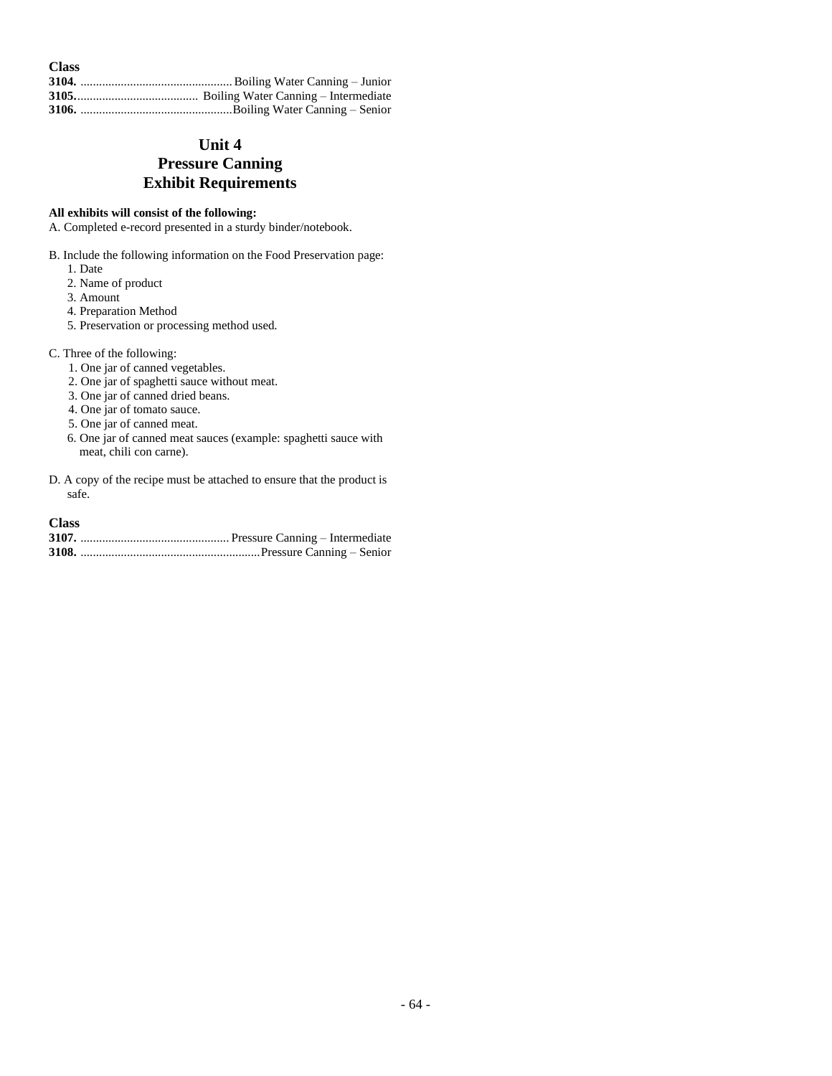| <b>Class</b> |  |
|--------------|--|
|              |  |
|              |  |
|              |  |

# **Unit 4 Pressure Canning Exhibit Requirements**

### **All exhibits will consist of the following:**

A. Completed e-record presented in a sturdy binder/notebook.

- B. Include the following information on the Food Preservation page:
	- 1. Date
	- 2. Name of product
	- 3. Amount
	- 4. Preparation Method
	- 5. Preservation or processing method used.

### C. Three of the following:

- 1. One jar of canned vegetables.
- 2. One jar of spaghetti sauce without meat.
- 3. One jar of canned dried beans.
- 4. One jar of tomato sauce.
- 5. One jar of canned meat.
- 6. One jar of canned meat sauces (example: spaghetti sauce with meat, chili con carne).
- D. A copy of the recipe must be attached to ensure that the product is safe.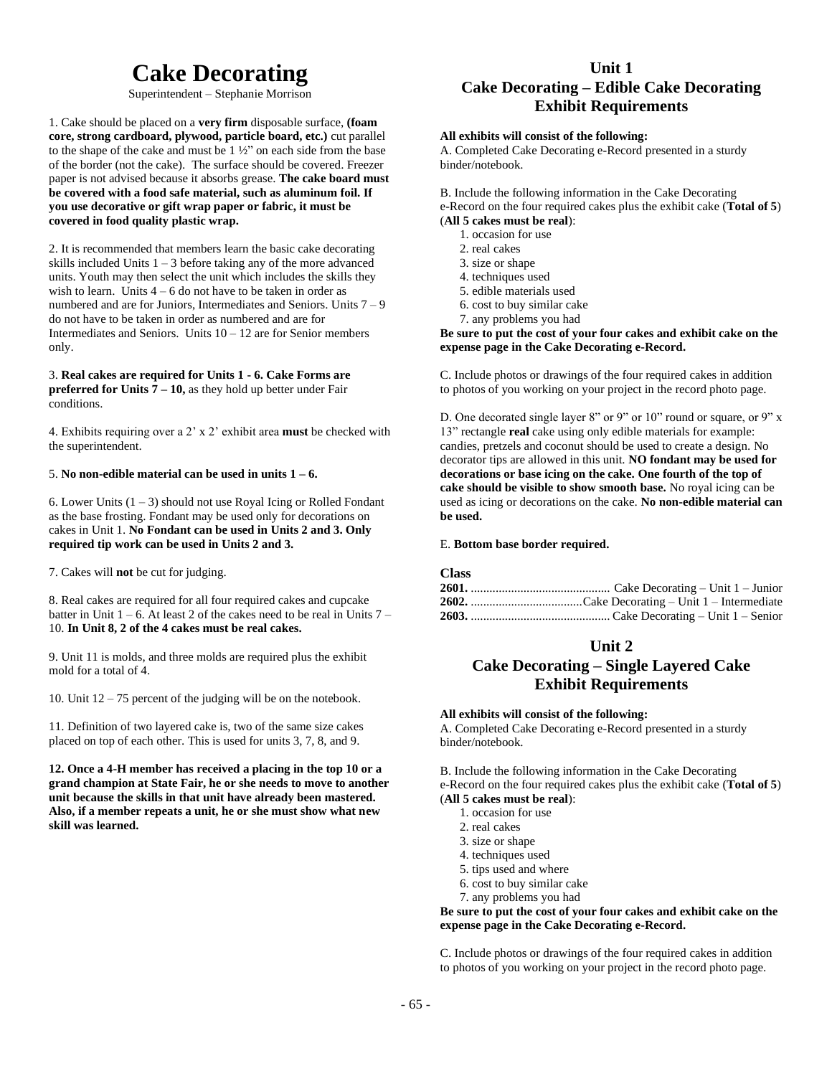# **Cake Decorating**

Superintendent – Stephanie Morrison

1. Cake should be placed on a **very firm** disposable surface, **(foam core, strong cardboard, plywood, particle board, etc.)** cut parallel to the shape of the cake and must be 1 ½" on each side from the base of the border (not the cake). The surface should be covered. Freezer paper is not advised because it absorbs grease. **The cake board must be covered with a food safe material, such as aluminum foil. If you use decorative or gift wrap paper or fabric, it must be covered in food quality plastic wrap.**

2. It is recommended that members learn the basic cake decorating skills included Units  $1 - 3$  before taking any of the more advanced units. Youth may then select the unit which includes the skills they wish to learn. Units  $4 - 6$  do not have to be taken in order as numbered and are for Juniors, Intermediates and Seniors. Units 7 – 9 do not have to be taken in order as numbered and are for Intermediates and Seniors. Units  $10 - 12$  are for Senior members only.

3. **Real cakes are required for Units 1 - 6. Cake Forms are preferred for Units**  $\overline{7}$  **– 10,** as they hold up better under Fair conditions.

4. Exhibits requiring over a 2' x 2' exhibit area **must** be checked with the superintendent.

#### 5. **No non-edible material can be used in units 1 – 6.**

6. Lower Units  $(1 – 3)$  should not use Royal Icing or Rolled Fondant as the base frosting. Fondant may be used only for decorations on cakes in Unit 1. **No Fondant can be used in Units 2 and 3. Only required tip work can be used in Units 2 and 3.**

7. Cakes will **not** be cut for judging.

8. Real cakes are required for all four required cakes and cupcake batter in Unit  $1 - 6$ . At least 2 of the cakes need to be real in Units  $7 -$ 10. **In Unit 8, 2 of the 4 cakes must be real cakes.**

9. Unit 11 is molds, and three molds are required plus the exhibit mold for a total of 4.

10. Unit 12 – 75 percent of the judging will be on the notebook.

11. Definition of two layered cake is, two of the same size cakes placed on top of each other. This is used for units 3, 7, 8, and 9.

**12. Once a 4-H member has received a placing in the top 10 or a grand champion at State Fair, he or she needs to move to another unit because the skills in that unit have already been mastered. Also, if a member repeats a unit, he or she must show what new skill was learned.**

# **Unit 1 Cake Decorating – Edible Cake Decorating Exhibit Requirements**

### **All exhibits will consist of the following:**

A. Completed Cake Decorating e-Record presented in a sturdy binder/notebook.

B. Include the following information in the Cake Decorating e-Record on the four required cakes plus the exhibit cake (**Total of 5**) (**All 5 cakes must be real**):

1. occasion for use

- 2. real cakes
- 3. size or shape
- 4. techniques used
- 5. edible materials used
- 6. cost to buy similar cake
- 7. any problems you had

**Be sure to put the cost of your four cakes and exhibit cake on the expense page in the Cake Decorating e-Record.**

C. Include photos or drawings of the four required cakes in addition to photos of you working on your project in the record photo page.

D. One decorated single layer 8" or 9" or 10" round or square, or 9" x 13" rectangle **real** cake using only edible materials for example: candies, pretzels and coconut should be used to create a design. No decorator tips are allowed in this unit. **NO fondant may be used for decorations or base icing on the cake. One fourth of the top of cake should be visible to show smooth base.** No royal icing can be used as icing or decorations on the cake. **No non-edible material can be used.**

#### E. **Bottom base border required.**

#### **Class**

### **Unit 2**

# **Cake Decorating – Single Layered Cake Exhibit Requirements**

#### **All exhibits will consist of the following:**

A. Completed Cake Decorating e-Record presented in a sturdy binder/notebook.

B. Include the following information in the Cake Decorating e-Record on the four required cakes plus the exhibit cake (**Total of 5**) (**All 5 cakes must be real**):

- 1. occasion for use
- 2. real cakes
- 3. size or shape
- 4. techniques used
- 5. tips used and where
- 6. cost to buy similar cake
- 7. any problems you had

**Be sure to put the cost of your four cakes and exhibit cake on the expense page in the Cake Decorating e-Record.**

C. Include photos or drawings of the four required cakes in addition to photos of you working on your project in the record photo page.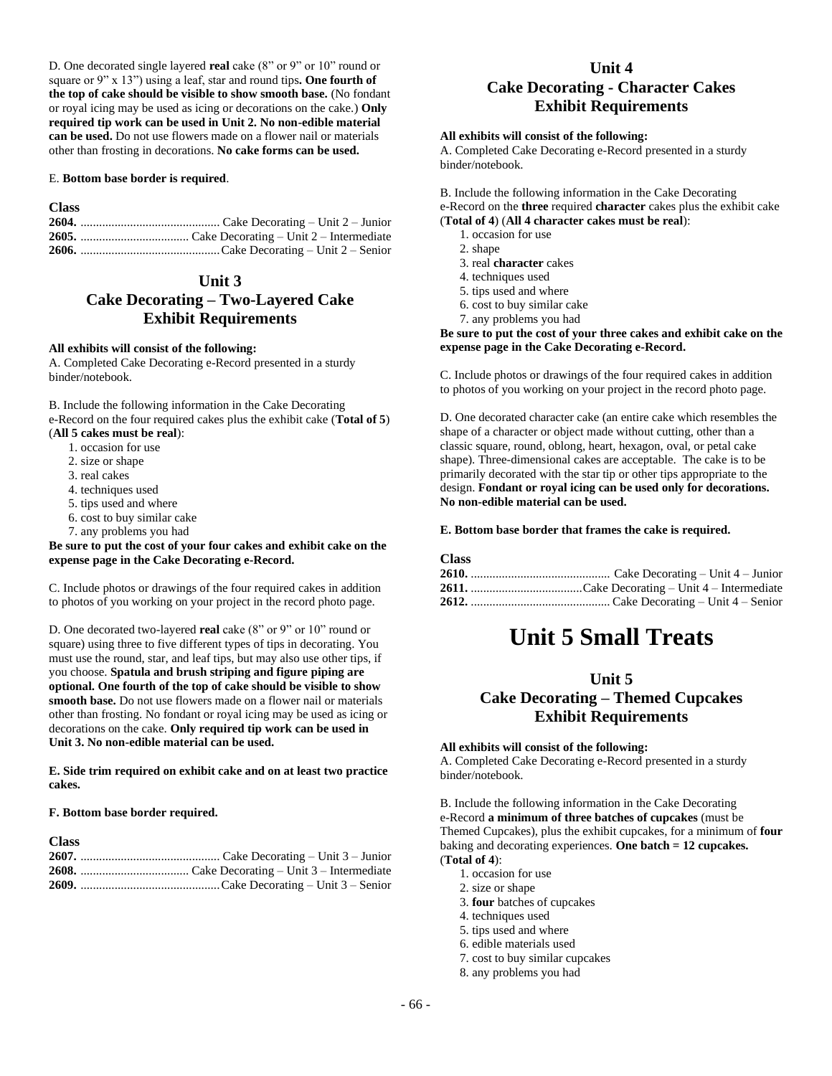D. One decorated single layered **real** cake (8" or 9" or 10" round or square or 9" x 13") using a leaf, star and round tips**. One fourth of the top of cake should be visible to show smooth base.** (No fondant or royal icing may be used as icing or decorations on the cake.) **Only required tip work can be used in Unit 2. No non-edible material can be used.** Do not use flowers made on a flower nail or materials other than frosting in decorations. **No cake forms can be used.**

#### E. **Bottom base border is required**.

### **Class**

# **Unit 3 Cake Decorating – Two-Layered Cake Exhibit Requirements**

#### **All exhibits will consist of the following:**

A. Completed Cake Decorating e-Record presented in a sturdy binder/notebook.

B. Include the following information in the Cake Decorating e-Record on the four required cakes plus the exhibit cake (**Total of 5**) (**All 5 cakes must be real**):

# 1. occasion for use

- 
- 2. size or shape
- 3. real cakes
- 4. techniques used
- 5. tips used and where
- 6. cost to buy similar cake
- 7. any problems you had

#### **Be sure to put the cost of your four cakes and exhibit cake on the expense page in the Cake Decorating e-Record.**

C. Include photos or drawings of the four required cakes in addition to photos of you working on your project in the record photo page.

D. One decorated two-layered **real** cake (8" or 9" or 10" round or square) using three to five different types of tips in decorating. You must use the round, star, and leaf tips, but may also use other tips, if you choose. **Spatula and brush striping and figure piping are optional. One fourth of the top of cake should be visible to show smooth base.** Do not use flowers made on a flower nail or materials other than frosting. No fondant or royal icing may be used as icing or decorations on the cake. **Only required tip work can be used in Unit 3. No non-edible material can be used.**

**E. Side trim required on exhibit cake and on at least two practice cakes.**

#### **F. Bottom base border required.**

| <b>Class</b> |  |
|--------------|--|
|              |  |
|              |  |
|              |  |

# **Unit 4 Cake Decorating - Character Cakes Exhibit Requirements**

#### **All exhibits will consist of the following:**

A. Completed Cake Decorating e-Record presented in a sturdy binder/notebook.

#### B. Include the following information in the Cake Decorating

e-Record on the **three** required **character** cakes plus the exhibit cake (**Total of 4**) (**All 4 character cakes must be real**):

- 1. occasion for use
- 2. shape
- 3. real **character** cakes
- 4. techniques used
- 5. tips used and where
- 6. cost to buy similar cake
- 7. any problems you had

**Be sure to put the cost of your three cakes and exhibit cake on the expense page in the Cake Decorating e-Record.**

C. Include photos or drawings of the four required cakes in addition to photos of you working on your project in the record photo page.

D. One decorated character cake (an entire cake which resembles the shape of a character or object made without cutting, other than a classic square, round, oblong, heart, hexagon, oval, or petal cake shape). Three-dimensional cakes are acceptable. The cake is to be primarily decorated with the star tip or other tips appropriate to the design. **Fondant or royal icing can be used only for decorations. No non-edible material can be used.**

#### **E. Bottom base border that frames the cake is required.**

#### **Class**

# **Unit 5 Small Treats**

### **Unit 5**

# **Cake Decorating – Themed Cupcakes Exhibit Requirements**

#### **All exhibits will consist of the following:**

A. Completed Cake Decorating e-Record presented in a sturdy binder/notebook.

B. Include the following information in the Cake Decorating e-Record **a minimum of three batches of cupcakes** (must be Themed Cupcakes), plus the exhibit cupcakes, for a minimum of **four** baking and decorating experiences. **One batch = 12 cupcakes.**  (**Total of 4**):

- 1. occasion for use
- 2. size or shape
- 3. **four** batches of cupcakes
- 4. techniques used
- 5. tips used and where
- 6. edible materials used
- 7. cost to buy similar cupcakes
- 8. any problems you had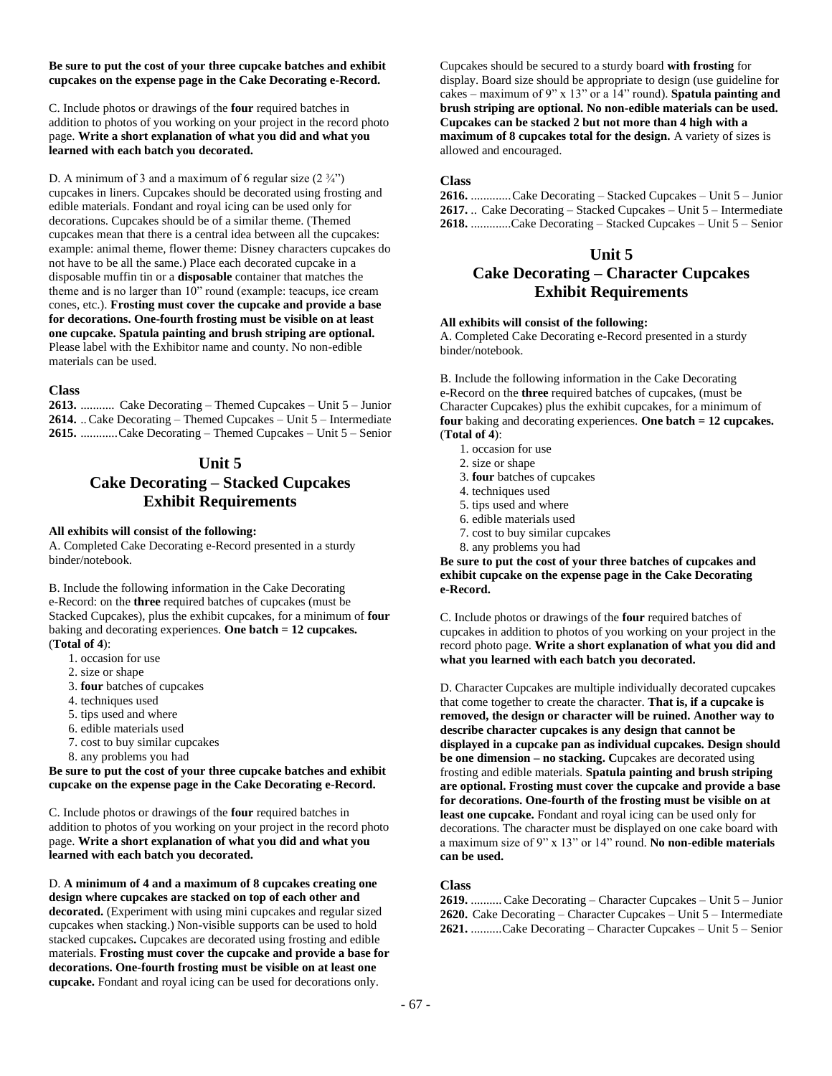#### **Be sure to put the cost of your three cupcake batches and exhibit cupcakes on the expense page in the Cake Decorating e-Record.**

C. Include photos or drawings of the **four** required batches in addition to photos of you working on your project in the record photo page. **Write a short explanation of what you did and what you learned with each batch you decorated.**

D. A minimum of 3 and a maximum of 6 regular size  $(2 \frac{3}{4})$ cupcakes in liners. Cupcakes should be decorated using frosting and edible materials. Fondant and royal icing can be used only for decorations. Cupcakes should be of a similar theme. (Themed cupcakes mean that there is a central idea between all the cupcakes: example: animal theme, flower theme: Disney characters cupcakes do not have to be all the same.) Place each decorated cupcake in a disposable muffin tin or a **disposable** container that matches the theme and is no larger than 10" round (example: teacups, ice cream cones, etc.). **Frosting must cover the cupcake and provide a base for decorations. One-fourth frosting must be visible on at least one cupcake. Spatula painting and brush striping are optional.**  Please label with the Exhibitor name and county. No non-edible materials can be used.

#### **Class**

**2613.** ........... Cake Decorating – Themed Cupcakes – Unit 5 – Junior **2614.** ..Cake Decorating – Themed Cupcakes – Unit 5 – Intermediate **2615.** ............Cake Decorating – Themed Cupcakes – Unit 5 – Senior

### **Unit 5**

# **Cake Decorating – Stacked Cupcakes Exhibit Requirements**

#### **All exhibits will consist of the following:**

A. Completed Cake Decorating e-Record presented in a sturdy binder/notebook.

B. Include the following information in the Cake Decorating e-Record: on the **three** required batches of cupcakes (must be Stacked Cupcakes), plus the exhibit cupcakes, for a minimum of **four** baking and decorating experiences. **One batch = 12 cupcakes.**  (**Total of 4**):

- 1. occasion for use
- 2. size or shape
- 3. **four** batches of cupcakes
- 4. techniques used
- 5. tips used and where
- 6. edible materials used
- 7. cost to buy similar cupcakes
- 8. any problems you had

**Be sure to put the cost of your three cupcake batches and exhibit cupcake on the expense page in the Cake Decorating e-Record.**

C. Include photos or drawings of the **four** required batches in addition to photos of you working on your project in the record photo page. **Write a short explanation of what you did and what you learned with each batch you decorated.** 

D. **A minimum of 4 and a maximum of 8 cupcakes creating one design where cupcakes are stacked on top of each other and decorated.** (Experiment with using mini cupcakes and regular sized cupcakes when stacking.) Non-visible supports can be used to hold stacked cupcakes**.** Cupcakes are decorated using frosting and edible materials. **Frosting must cover the cupcake and provide a base for decorations. One-fourth frosting must be visible on at least one cupcake.** Fondant and royal icing can be used for decorations only.

Cupcakes should be secured to a sturdy board **with frosting** for display. Board size should be appropriate to design (use guideline for cakes – maximum of 9" x 13" or a 14" round). **Spatula painting and brush striping are optional. No non-edible materials can be used. Cupcakes can be stacked 2 but not more than 4 high with a maximum of 8 cupcakes total for the design.** A variety of sizes is allowed and encouraged.

### **Class**

**2616.** .............Cake Decorating – Stacked Cupcakes – Unit 5 – Junior **2617.** .. Cake Decorating – Stacked Cupcakes – Unit 5 – Intermediate **2618.** .............Cake Decorating – Stacked Cupcakes – Unit 5 – Senior

# **Unit 5 Cake Decorating – Character Cupcakes Exhibit Requirements**

### **All exhibits will consist of the following:**

A. Completed Cake Decorating e-Record presented in a sturdy binder/notebook.

B. Include the following information in the Cake Decorating e-Record on the **three** required batches of cupcakes, (must be Character Cupcakes) plus the exhibit cupcakes, for a minimum of **four** baking and decorating experiences. **One batch = 12 cupcakes.**  (**Total of 4**):

- 1. occasion for use
- 2. size or shape
- 3. **four** batches of cupcakes
- 4. techniques used
- 5. tips used and where
- 6. edible materials used
- 7. cost to buy similar cupcakes
- 8. any problems you had

**Be sure to put the cost of your three batches of cupcakes and exhibit cupcake on the expense page in the Cake Decorating e-Record.**

C. Include photos or drawings of the **four** required batches of cupcakes in addition to photos of you working on your project in the record photo page. **Write a short explanation of what you did and what you learned with each batch you decorated.**

D. Character Cupcakes are multiple individually decorated cupcakes that come together to create the character. **That is, if a cupcake is removed, the design or character will be ruined. Another way to describe character cupcakes is any design that cannot be displayed in a cupcake pan as individual cupcakes. Design should be one dimension – no stacking. C**upcakes are decorated using frosting and edible materials. **Spatula painting and brush striping are optional. Frosting must cover the cupcake and provide a base for decorations. One-fourth of the frosting must be visible on at least one cupcake.** Fondant and royal icing can be used only for decorations. The character must be displayed on one cake board with a maximum size of 9" x 13" or 14" round. **No non-edible materials can be used.**

### **Class**

**2619.** ..........Cake Decorating – Character Cupcakes – Unit 5 – Junior **2620.** Cake Decorating – Character Cupcakes – Unit 5 – Intermediate **2621.** ..........Cake Decorating – Character Cupcakes – Unit 5 – Senior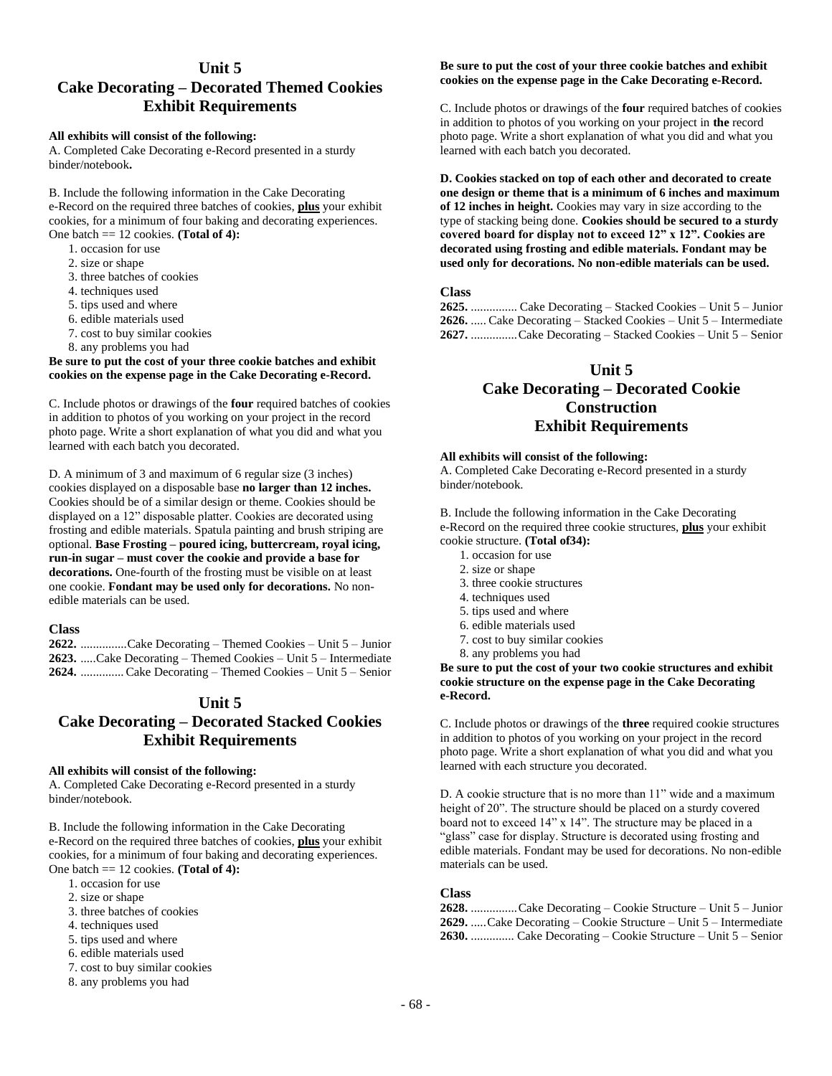### **Unit 5**

## **Cake Decorating – Decorated Themed Cookies Exhibit Requirements**

#### **All exhibits will consist of the following:**

A. Completed Cake Decorating e-Record presented in a sturdy binder/notebook**.**

B. Include the following information in the Cake Decorating e-Record on the required three batches of cookies, **plus** your exhibit cookies, for a minimum of four baking and decorating experiences. One batch == 12 cookies. **(Total of 4):**

- 1. occasion for use
- 2. size or shape
- 3. three batches of cookies
- 4. techniques used
- 5. tips used and where
- 6. edible materials used
- 7. cost to buy similar cookies
- 8. any problems you had

#### **Be sure to put the cost of your three cookie batches and exhibit cookies on the expense page in the Cake Decorating e-Record.**

C. Include photos or drawings of the **four** required batches of cookies in addition to photos of you working on your project in the record photo page. Write a short explanation of what you did and what you learned with each batch you decorated.

D. A minimum of 3 and maximum of 6 regular size (3 inches) cookies displayed on a disposable base **no larger than 12 inches.**  Cookies should be of a similar design or theme. Cookies should be displayed on a 12" disposable platter. Cookies are decorated using frosting and edible materials. Spatula painting and brush striping are optional. **Base Frosting – poured icing, buttercream, royal icing, run-in sugar – must cover the cookie and provide a base for decorations.** One-fourth of the frosting must be visible on at least one cookie. **Fondant may be used only for decorations.** No nonedible materials can be used.

### **Class**

**2622.** ...............Cake Decorating – Themed Cookies – Unit 5 – Junior **2623.** .....Cake Decorating – Themed Cookies – Unit 5 – Intermediate **2624.** ..............Cake Decorating – Themed Cookies – Unit 5 – Senior

### **Unit 5**

# **Cake Decorating – Decorated Stacked Cookies Exhibit Requirements**

#### **All exhibits will consist of the following:**

A. Completed Cake Decorating e-Record presented in a sturdy binder/notebook.

B. Include the following information in the Cake Decorating e-Record on the required three batches of cookies, **plus** your exhibit cookies, for a minimum of four baking and decorating experiences. One batch == 12 cookies. **(Total of 4):**

- 1. occasion for use
- 2. size or shape
- 3. three batches of cookies
- 4. techniques used
- 5. tips used and where
- 6. edible materials used
- 7. cost to buy similar cookies
- 8. any problems you had

### **Be sure to put the cost of your three cookie batches and exhibit cookies on the expense page in the Cake Decorating e-Record.**

C. Include photos or drawings of the **four** required batches of cookies in addition to photos of you working on your project in **the** record photo page. Write a short explanation of what you did and what you learned with each batch you decorated.

**D. Cookies stacked on top of each other and decorated to create one design or theme that is a minimum of 6 inches and maximum of 12 inches in height.** Cookies may vary in size according to the type of stacking being done. **Cookies should be secured to a sturdy covered board for display not to exceed 12" x 12". Cookies are decorated using frosting and edible materials. Fondant may be used only for decorations. No non-edible materials can be used.**

### **Class**

**2625.** ............... Cake Decorating – Stacked Cookies – Unit 5 – Junior **2626.** ..... Cake Decorating – Stacked Cookies – Unit 5 – Intermediate **2627.** ...............Cake Decorating – Stacked Cookies – Unit 5 – Senior

### **Unit 5**

# **Cake Decorating – Decorated Cookie Construction Exhibit Requirements**

### **All exhibits will consist of the following:**

A. Completed Cake Decorating e-Record presented in a sturdy binder/notebook.

B. Include the following information in the Cake Decorating e-Record on the required three cookie structures, **plus** your exhibit cookie structure. **(Total of34):**

- 1. occasion for use
- 2. size or shape
- 3. three cookie structures
- 4. techniques used
- 5. tips used and where
- 6. edible materials used
- 7. cost to buy similar cookies
- 8. any problems you had

#### **Be sure to put the cost of your two cookie structures and exhibit cookie structure on the expense page in the Cake Decorating e-Record.**

C. Include photos or drawings of the **three** required cookie structures in addition to photos of you working on your project in the record photo page. Write a short explanation of what you did and what you learned with each structure you decorated.

D. A cookie structure that is no more than 11" wide and a maximum height of 20". The structure should be placed on a sturdy covered board not to exceed 14" x 14". The structure may be placed in a "glass" case for display. Structure is decorated using frosting and edible materials. Fondant may be used for decorations. No non-edible materials can be used.

#### **Class**

**2628.** ...............Cake Decorating – Cookie Structure – Unit 5 – Junior **2629.** .....Cake Decorating – Cookie Structure – Unit 5 – Intermediate **2630.** .............. Cake Decorating – Cookie Structure – Unit 5 – Senior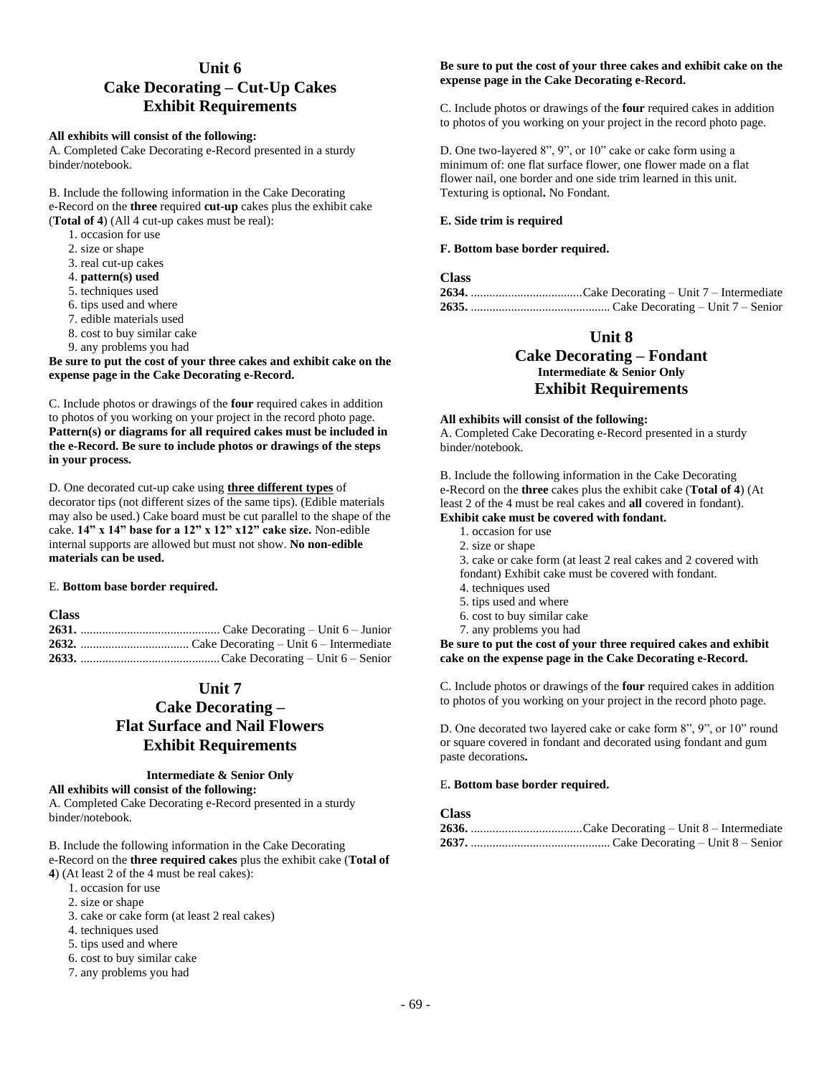# **Unit 6 Cake Decorating – Cut-Up Cakes Exhibit Requirements**

### **All exhibits will consist of the following:**

A. Completed Cake Decorating e-Record presented in a sturdy binder/notebook.

B. Include the following information in the Cake Decorating e-Record on the **three** required **cut-up** cakes plus the exhibit cake (**Total of 4**) (All 4 cut-up cakes must be real):

- 1. occasion for use
- 2. size or shape
- 3. real cut-up cakes
- 4. **pattern(s) used**
- 5. techniques used
- 6. tips used and where
- 7. edible materials used
- 8. cost to buy similar cake
- 9. any problems you had

**Be sure to put the cost of your three cakes and exhibit cake on the expense page in the Cake Decorating e-Record.**

C. Include photos or drawings of the **four** required cakes in addition to photos of you working on your project in the record photo page. **Pattern(s) or diagrams for all required cakes must be included in the e-Record. Be sure to include photos or drawings of the steps in your process.**

D. One decorated cut-up cake using **three different types** of decorator tips (not different sizes of the same tips). (Edible materials may also be used.) Cake board must be cut parallel to the shape of the cake. **14" x 14" base for a 12" x 12" x12" cake size.** Non-edible internal supports are allowed but must not show. **No non-edible materials can be used.**

#### E. **Bottom base border required.**

### **Class**

# **Unit 7**

# **Cake Decorating – Flat Surface and Nail Flowers Exhibit Requirements**

#### **Intermediate & Senior Only**

#### **All exhibits will consist of the following:**

A. Completed Cake Decorating e-Record presented in a sturdy binder/notebook.

B. Include the following information in the Cake Decorating e-Record on the **three required cakes** plus the exhibit cake (**Total of 4**) (At least 2 of the 4 must be real cakes):

- 1. occasion for use
- 2. size or shape
- 
- 3. cake or cake form (at least 2 real cakes)
- 4. techniques used
- 5. tips used and where
- 6. cost to buy similar cake
- 7. any problems you had

#### **Be sure to put the cost of your three cakes and exhibit cake on the expense page in the Cake Decorating e-Record.**

C. Include photos or drawings of the **four** required cakes in addition to photos of you working on your project in the record photo page.

D. One two-layered 8", 9", or 10" cake or cake form using a minimum of: one flat surface flower, one flower made on a flat flower nail, one border and one side trim learned in this unit. Texturing is optional**.** No Fondant.

#### **E. Side trim is required**

#### **F. Bottom base border required.**

### **Class**

### **Unit 8**

### **Cake Decorating – Fondant Intermediate & Senior Only Exhibit Requirements**

#### **All exhibits will consist of the following:**

A. Completed Cake Decorating e-Record presented in a sturdy binder/notebook.

B. Include the following information in the Cake Decorating e-Record on the **three** cakes plus the exhibit cake (**Total of 4**) (At least 2 of the 4 must be real cakes and **all** covered in fondant). **Exhibit cake must be covered with fondant.**

- 1. occasion for use
	- 2. size or shape
	- 3. cake or cake form (at least 2 real cakes and 2 covered with
	- fondant) Exhibit cake must be covered with fondant.
	- 4. techniques used
	- 5. tips used and where
	- 6. cost to buy similar cake
- 7. any problems you had

**Be sure to put the cost of your three required cakes and exhibit cake on the expense page in the Cake Decorating e-Record.**

C. Include photos or drawings of the **four** required cakes in addition to photos of you working on your project in the record photo page.

D. One decorated two layered cake or cake form 8", 9", or 10" round or square covered in fondant and decorated using fondant and gum paste decorations**.**

#### E**. Bottom base border required.**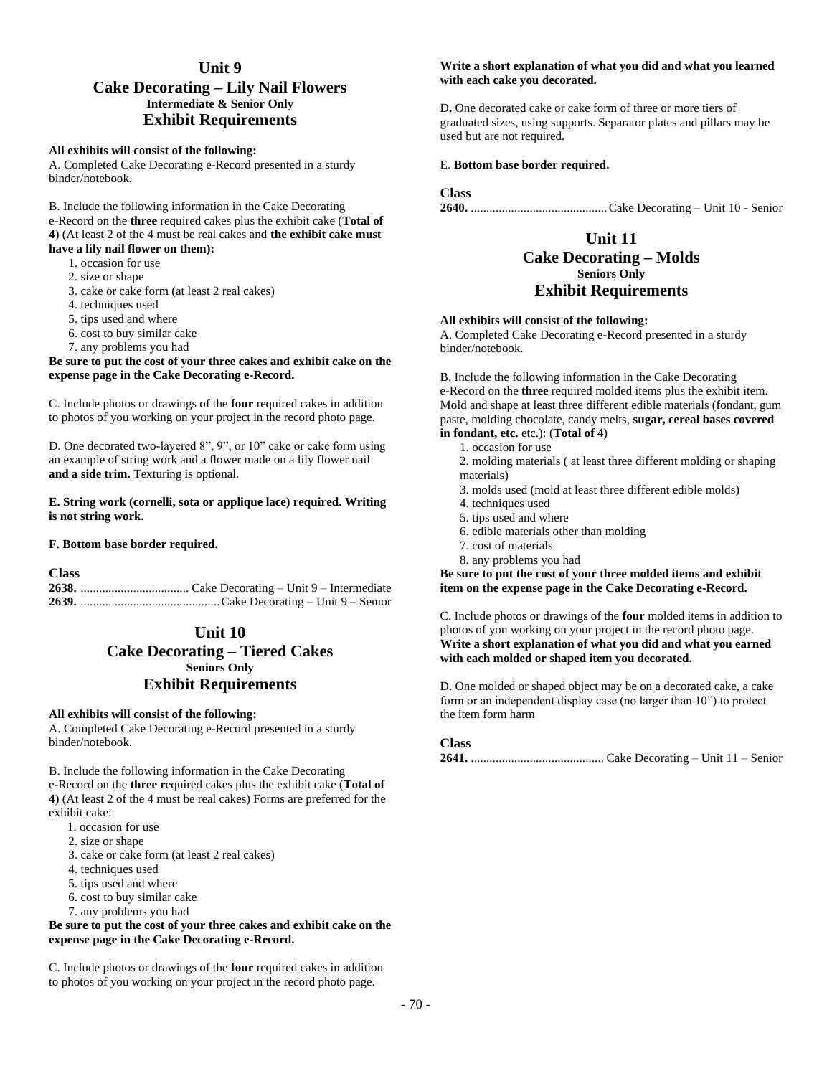# **Unit 9**

### **Cake Decorating – Lily Nail Flowers Intermediate & Senior Only Exhibit Requirements**

#### **All exhibits will consist of the following:**

A. Completed Cake Decorating e-Record presented in a sturdy binder/notebook.

B. Include the following information in the Cake Decorating e-Record on the **three** required cakes plus the exhibit cake (**Total of 4**) (At least 2 of the 4 must be real cakes and **the exhibit cake must have a lily nail flower on them):**

- 1. occasion for use
	- 2. size or shape
	- 3. cake or cake form (at least 2 real cakes)
	- 4. techniques used
	- 5. tips used and where
	- 6. cost to buy similar cake
	- 7. any problems you had

#### **Be sure to put the cost of your three cakes and exhibit cake on the expense page in the Cake Decorating e-Record.**

C. Include photos or drawings of the **four** required cakes in addition to photos of you working on your project in the record photo page.

D. One decorated two-layered 8", 9", or 10" cake or cake form using an example of string work and a flower made on a lily flower nail **and a side trim.** Texturing is optional.

#### **E. String work (cornelli, sota or applique lace) required. Writing is not string work.**

#### **F. Bottom base border required.**

**Class**

### **Unit 10**

# **Cake Decorating – Tiered Cakes Seniors Only Exhibit Requirements**

#### **All exhibits will consist of the following:**

A. Completed Cake Decorating e-Record presented in a sturdy binder/notebook.

B. Include the following information in the Cake Decorating e-Record on the **three r**equired cakes plus the exhibit cake (**Total of 4**) (At least 2 of the 4 must be real cakes) Forms are preferred for the exhibit cake:

- 1. occasion for use
- 2. size or shape
- 3. cake or cake form (at least 2 real cakes)
- 4. techniques used
- 5. tips used and where
- 6. cost to buy similar cake
- 7. any problems you had

#### **Be sure to put the cost of your three cakes and exhibit cake on the expense page in the Cake Decorating e-Record.**

C. Include photos or drawings of the **four** required cakes in addition to photos of you working on your project in the record photo page.

#### **Write a short explanation of what you did and what you learned with each cake you decorated.**

D**.** One decorated cake or cake form of three or more tiers of graduated sizes, using supports. Separator plates and pillars may be used but are not required.

#### E. **Bottom base border required.**

#### **Class**

**2640.** ............................................Cake Decorating – Unit 10 - Senior

### **Unit 11 Cake Decorating – Molds Seniors Only Exhibit Requirements**

#### **All exhibits will consist of the following:**

A. Completed Cake Decorating e-Record presented in a sturdy binder/notebook.

B. Include the following information in the Cake Decorating e-Record on the **three** required molded items plus the exhibit item. Mold and shape at least three different edible materials (fondant, gum paste, molding chocolate, candy melts, **sugar, cereal bases covered in fondant, etc.** etc.): (**Total of 4**)

- 1. occasion for use
- 2. molding materials ( at least three different molding or shaping materials)
- 3. molds used (mold at least three different edible molds)
- 4. techniques used
- 5. tips used and where
- 6. edible materials other than molding
- 7. cost of materials
- 8. any problems you had

**Be sure to put the cost of your three molded items and exhibit item on the expense page in the Cake Decorating e-Record.**

C. Include photos or drawings of the **four** molded items in addition to photos of you working on your project in the record photo page. **Write a short explanation of what you did and what you earned with each molded or shaped item you decorated.**

D. One molded or shaped object may be on a decorated cake, a cake form or an independent display case (no larger than 10") to protect the item form harm

### **Class**

**2641.** ........................................... Cake Decorating – Unit 11 – Senior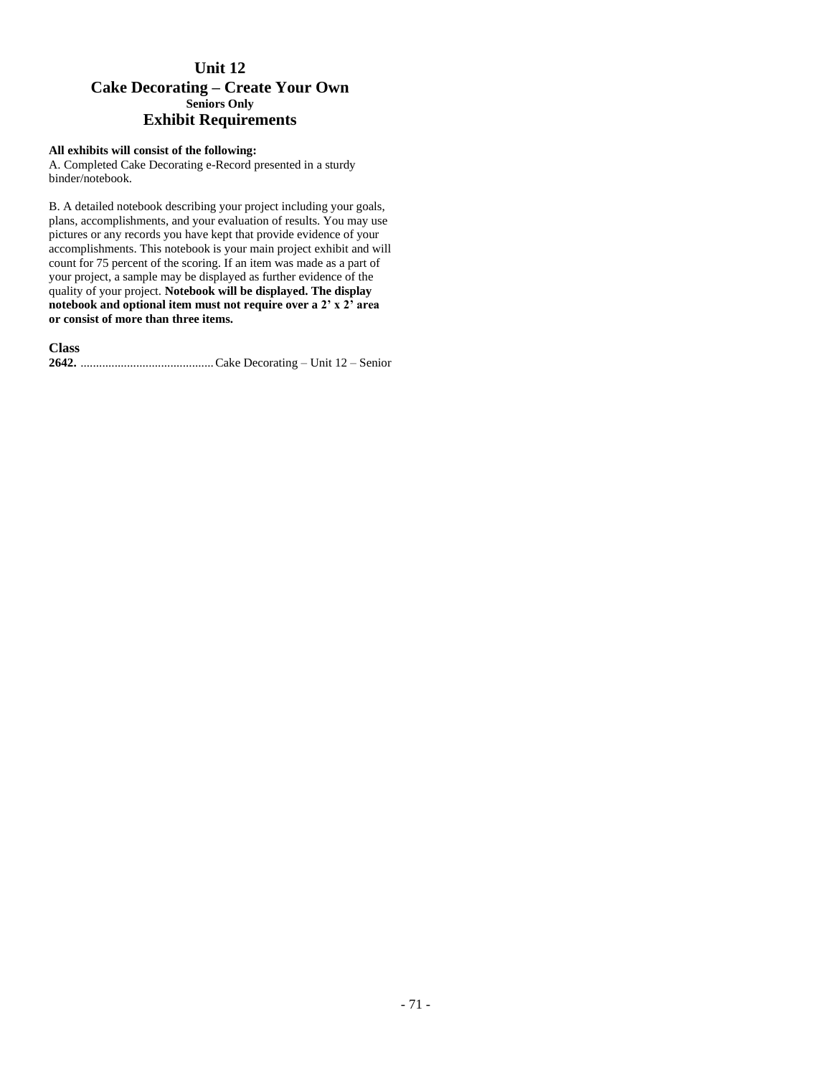# **Unit 12 Cake Decorating – Create Your Own Seniors Only Exhibit Requirements**

### **All exhibits will consist of the following:**

A. Completed Cake Decorating e-Record presented in a sturdy binder/notebook.

B. A detailed notebook describing your project including your goals, plans, accomplishments, and your evaluation of results. You may use pictures or any records you have kept that provide evidence of your accomplishments. This notebook is your main project exhibit and will count for 75 percent of the scoring. If an item was made as a part of your project, a sample may be displayed as further evidence of the quality of your project. **Notebook will be displayed. The display notebook and optional item must not require over a 2' x 2' area or consist of more than three items.** 

**Class 2642.** ...........................................Cake Decorating – Unit 12 – Senior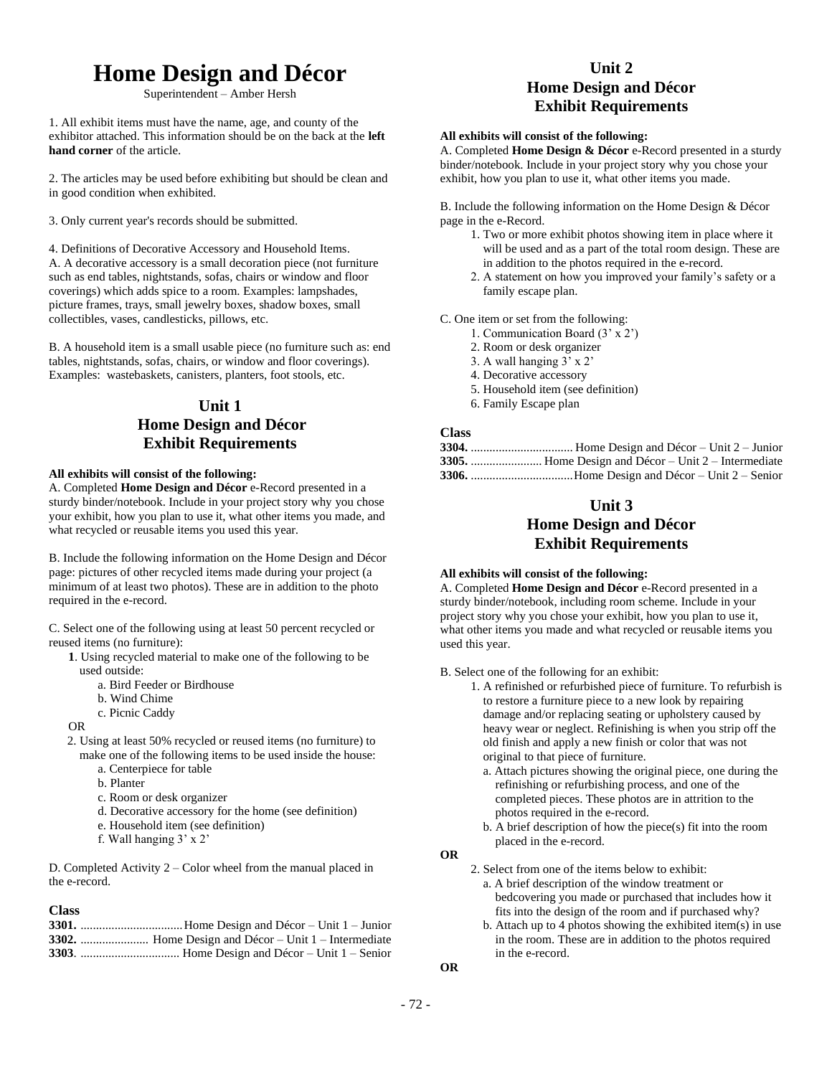# **Home Design and Décor**

Superintendent – Amber Hersh

1. All exhibit items must have the name, age, and county of the exhibitor attached. This information should be on the back at the **left hand corner** of the article.

2. The articles may be used before exhibiting but should be clean and in good condition when exhibited.

3. Only current year's records should be submitted.

4. Definitions of Decorative Accessory and Household Items. A. A decorative accessory is a small decoration piece (not furniture such as end tables, nightstands, sofas, chairs or window and floor coverings) which adds spice to a room. Examples: lampshades, picture frames, trays, small jewelry boxes, shadow boxes, small collectibles, vases, candlesticks, pillows, etc.

B. A household item is a small usable piece (no furniture such as: end tables, nightstands, sofas, chairs, or window and floor coverings). Examples: wastebaskets, canisters, planters, foot stools, etc.

# **Unit 1 Home Design and Décor Exhibit Requirements**

### **All exhibits will consist of the following:**

A. Completed **Home Design and Décor** e-Record presented in a sturdy binder/notebook. Include in your project story why you chose your exhibit, how you plan to use it, what other items you made, and what recycled or reusable items you used this year.

B. Include the following information on the Home Design and Décor page: pictures of other recycled items made during your project (a minimum of at least two photos). These are in addition to the photo required in the e-record.

C. Select one of the following using at least 50 percent recycled or reused items (no furniture):

- **1**. Using recycled material to make one of the following to be used outside:
	- a. Bird Feeder or Birdhouse
	- b. Wind Chime
	- c. Picnic Caddy
- OR
- 2. Using at least 50% recycled or reused items (no furniture) to make one of the following items to be used inside the house:
	- a. Centerpiece for table
	- b. Planter
	- c. Room or desk organizer
	- d. Decorative accessory for the home (see definition)
	- e. Household item (see definition)
	- f. Wall hanging 3' x 2'

D. Completed Activity 2 – Color wheel from the manual placed in the e-record.

#### **Class**

# **Unit 2 Home Design and Décor Exhibit Requirements**

### **All exhibits will consist of the following:**

A. Completed **Home Design & Décor** e-Record presented in a sturdy binder/notebook. Include in your project story why you chose your exhibit, how you plan to use it, what other items you made.

B. Include the following information on the Home Design & Décor page in the e-Record.

- 1. Two or more exhibit photos showing item in place where it will be used and as a part of the total room design. These are in addition to the photos required in the e-record.
- 2. A statement on how you improved your family's safety or a family escape plan.

C. One item or set from the following:

- 1. Communication Board (3' x 2')
- 2. Room or desk organizer
- 3. A wall hanging 3' x 2'
- 4. Decorative accessory
- 5. Household item (see definition)
- 6. Family Escape plan

#### **Class**

### **Unit 3**

# **Home Design and Décor Exhibit Requirements**

### **All exhibits will consist of the following:**

A. Completed **Home Design and Décor** e-Record presented in a sturdy binder/notebook, including room scheme. Include in your project story why you chose your exhibit, how you plan to use it, what other items you made and what recycled or reusable items you used this year.

B. Select one of the following for an exhibit:

- 1. A refinished or refurbished piece of furniture. To refurbish is to restore a furniture piece to a new look by repairing damage and/or replacing seating or upholstery caused by heavy wear or neglect. Refinishing is when you strip off the old finish and apply a new finish or color that was not original to that piece of furniture.
	- a. Attach pictures showing the original piece, one during the refinishing or refurbishing process, and one of the completed pieces. These photos are in attrition to the photos required in the e-record.
	- b. A brief description of how the piece(s) fit into the room placed in the e-record.

- 2. Select from one of the items below to exhibit:
	- a. A brief description of the window treatment or bedcovering you made or purchased that includes how it fits into the design of the room and if purchased why?
	- b. Attach up to 4 photos showing the exhibited item(s) in use in the room. These are in addition to the photos required in the e-record.

**OR**

- 72 -

**OR**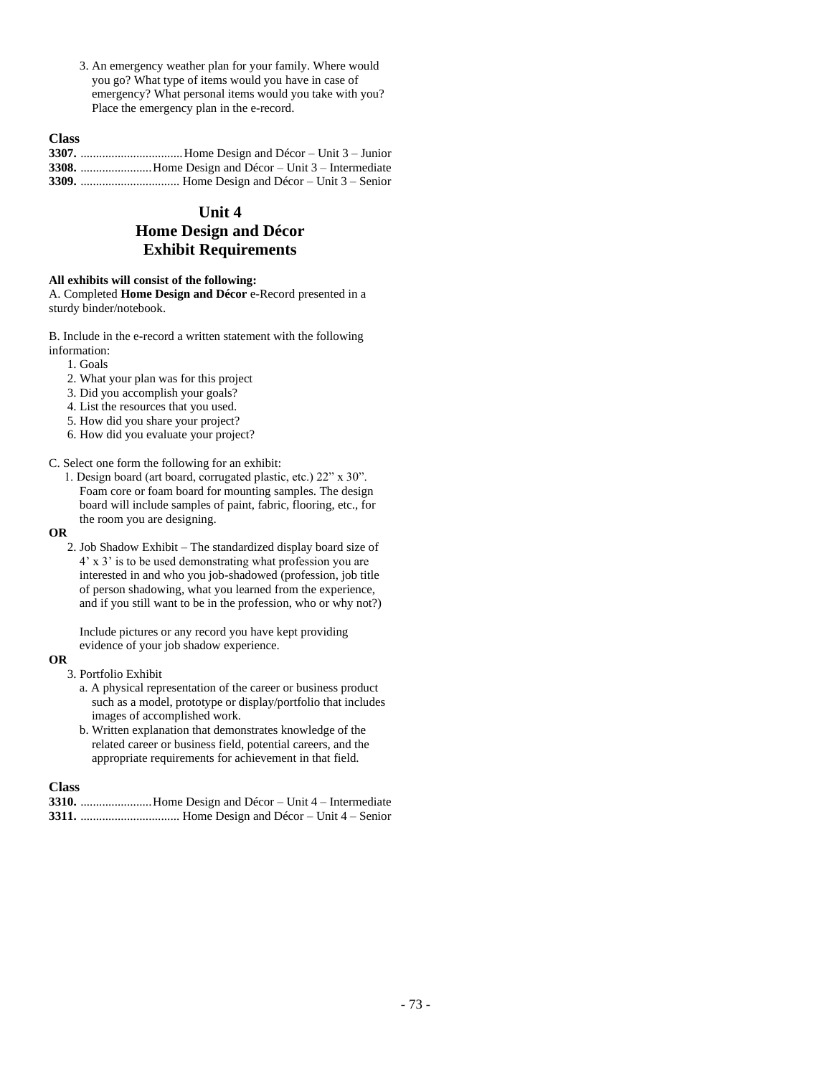3. An emergency weather plan for your family. Where would you go? What type of items would you have in case of emergency? What personal items would you take with you? Place the emergency plan in the e-record.

## **Class**

# **Unit 4 Home Design and Décor Exhibit Requirements**

### **All exhibits will consist of the following:**

A. Completed **Home Design and Décor** e-Record presented in a sturdy binder/notebook.

B. Include in the e-record a written statement with the following information:

- 1. Goals
- 2. What your plan was for this project
- 3. Did you accomplish your goals?
- 4. List the resources that you used.
- 5. How did you share your project?
- 6. How did you evaluate your project?

### C. Select one form the following for an exhibit:

1. Design board (art board, corrugated plastic, etc.) 22" x 30". Foam core or foam board for mounting samples. The design board will include samples of paint, fabric, flooring, etc., for the room you are designing.

#### **OR**

2. Job Shadow Exhibit – The standardized display board size of 4' x 3' is to be used demonstrating what profession you are interested in and who you job-shadowed (profession, job title of person shadowing, what you learned from the experience, and if you still want to be in the profession, who or why not?)

Include pictures or any record you have kept providing evidence of your job shadow experience.

## **OR**

- 3. Portfolio Exhibit
	- a. A physical representation of the career or business product such as a model, prototype or display/portfolio that includes images of accomplished work.
	- b. Written explanation that demonstrates knowledge of the related career or business field, potential careers, and the appropriate requirements for achievement in that field.

## **Class**

**3310.** .......................Home Design and Décor – Unit 4 – Intermediate **3311.** ................................ Home Design and Décor – Unit 4 – Senior